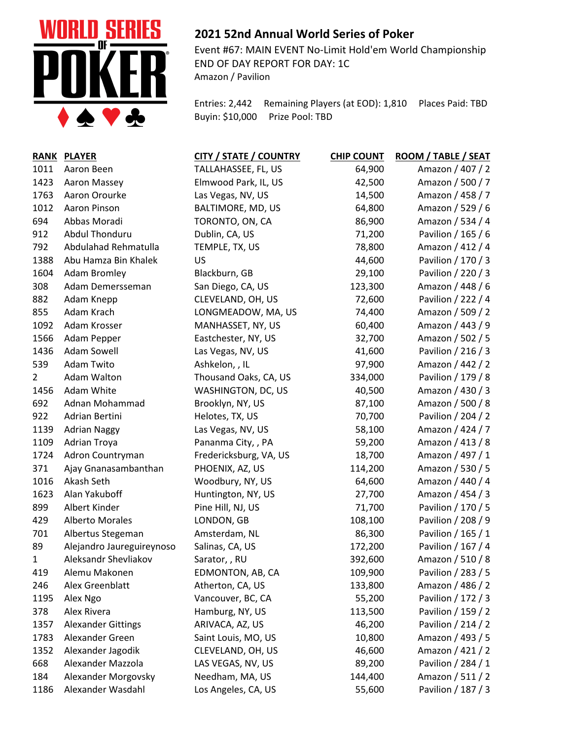

## **2021 52nd Annual World Series of Poker**

Event #67: MAIN EVENT No-Limit Hold'em World Championship END OF DAY REPORT FOR DAY: 1C Amazon / Pavilion

Entries: 2,442 Remaining Players (at EOD): 1,810 Places Paid: TBD Buyin: \$10,000 Prize Pool: TBD

| RANK         | <b>PLAYER</b>             | <b>CITY / STATE / COUNTRY</b> | <b>CHIP COUNT</b> | ROOM / TABLE / SEAT |
|--------------|---------------------------|-------------------------------|-------------------|---------------------|
| 1011         | Aaron Been                | TALLAHASSEE, FL, US           | 64,900            | Amazon / 407 / 2    |
| 1423         | Aaron Massey              | Elmwood Park, IL, US          | 42,500            | Amazon / 500 / 7    |
| 1763         | Aaron Orourke             | Las Vegas, NV, US             | 14,500            | Amazon / 458 / 7    |
| 1012         | Aaron Pinson              | BALTIMORE, MD, US             | 64,800            | Amazon / 529 / 6    |
| 694          | Abbas Moradi              | TORONTO, ON, CA               | 86,900            | Amazon / 534 / 4    |
| 912          | Abdul Thonduru            | Dublin, CA, US                | 71,200            | Pavilion / 165 / 6  |
| 792          | Abdulahad Rehmatulla      | TEMPLE, TX, US                | 78,800            | Amazon / 412 / 4    |
| 1388         | Abu Hamza Bin Khalek      | US                            | 44,600            | Pavilion / 170 / 3  |
| 1604         | <b>Adam Bromley</b>       | Blackburn, GB                 | 29,100            | Pavilion / 220 / 3  |
| 308          | Adam Demersseman          | San Diego, CA, US             | 123,300           | Amazon / 448 / 6    |
| 882          | Adam Knepp                | CLEVELAND, OH, US             | 72,600            | Pavilion / 222 / 4  |
| 855          | Adam Krach                | LONGMEADOW, MA, US            | 74,400            | Amazon / 509 / 2    |
| 1092         | Adam Krosser              | MANHASSET, NY, US             | 60,400            | Amazon / 443 / 9    |
| 1566         | Adam Pepper               | Eastchester, NY, US           | 32,700            | Amazon / 502 / 5    |
| 1436         | Adam Sowell               | Las Vegas, NV, US             | 41,600            | Pavilion / 216 / 3  |
| 539          | Adam Twito                | Ashkelon, , IL                | 97,900            | Amazon / 442 / 2    |
| $\mathbf{2}$ | Adam Walton               | Thousand Oaks, CA, US         | 334,000           | Pavilion / 179 / 8  |
| 1456         | Adam White                | WASHINGTON, DC, US            | 40,500            | Amazon / 430 / 3    |
| 692          | Adnan Mohammad            | Brooklyn, NY, US              | 87,100            | Amazon / 500 / 8    |
| 922          | Adrian Bertini            | Helotes, TX, US               | 70,700            | Pavilion / 204 / 2  |
| 1139         | <b>Adrian Naggy</b>       | Las Vegas, NV, US             | 58,100            | Amazon / 424 / 7    |
| 1109         | Adrian Troya              | Pananma City, , PA            | 59,200            | Amazon / 413 / 8    |
| 1724         | Adron Countryman          | Fredericksburg, VA, US        | 18,700            | Amazon / 497 / 1    |
| 371          | Ajay Gnanasambanthan      | PHOENIX, AZ, US               | 114,200           | Amazon / 530 / 5    |
| 1016         | Akash Seth                | Woodbury, NY, US              | 64,600            | Amazon / 440 / 4    |
| 1623         | Alan Yakuboff             | Huntington, NY, US            | 27,700            | Amazon / 454 / 3    |
| 899          | Albert Kinder             | Pine Hill, NJ, US             | 71,700            | Pavilion / 170 / 5  |
| 429          | <b>Alberto Morales</b>    | LONDON, GB                    | 108,100           | Pavilion / 208 / 9  |
| 701          | Albertus Stegeman         | Amsterdam, NL                 | 86,300            | Pavilion / 165 / 1  |
| 89           | Alejandro Jaureguireynoso | Salinas, CA, US               | 172,200           | Pavilion / 167 / 4  |
| $\mathbf{1}$ | Aleksandr Shevliakov      | Sarator, , RU                 | 392,600           | Amazon / 510 / 8    |
| 419          | Alemu Makonen             | EDMONTON, AB, CA              | 109,900           | Pavilion / 283 / 5  |
| 246          | Alex Greenblatt           | Atherton, CA, US              | 133,800           | Amazon / 486 / 2    |
| 1195         | Alex Ngo                  | Vancouver, BC, CA             | 55,200            | Pavilion / 172 / 3  |
| 378          | Alex Rivera               | Hamburg, NY, US               | 113,500           | Pavilion / 159 / 2  |
| 1357         | <b>Alexander Gittings</b> | ARIVACA, AZ, US               | 46,200            | Pavilion / 214 / 2  |
| 1783         | Alexander Green           | Saint Louis, MO, US           | 10,800            | Amazon / 493 / 5    |
| 1352         | Alexander Jagodik         | CLEVELAND, OH, US             | 46,600            | Amazon / 421 / 2    |
| 668          | Alexander Mazzola         | LAS VEGAS, NV, US             | 89,200            | Pavilion / 284 / 1  |
| 184          | Alexander Morgovsky       | Needham, MA, US               | 144,400           | Amazon / 511 / 2    |
| 1186         | Alexander Wasdahl         | Los Angeles, CA, US           | 55,600            | Pavilion / 187 / 3  |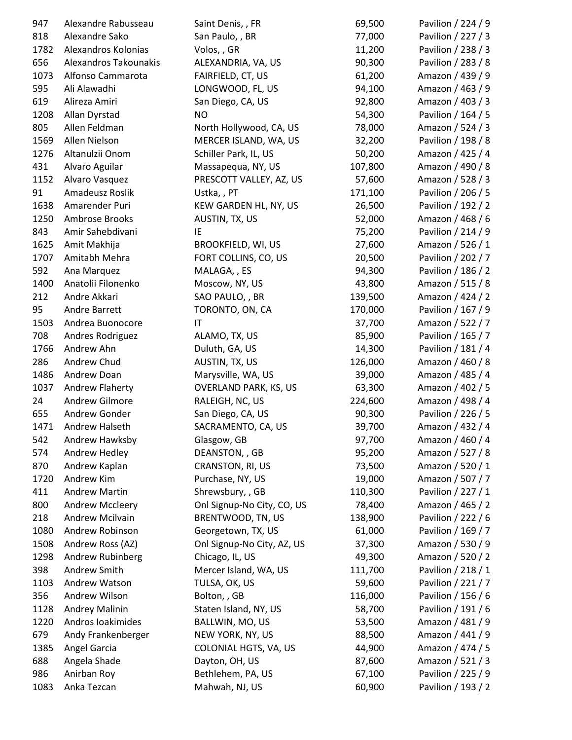| 947  | Alexandre Rabusseau    | Saint Denis, , FR            | 69,500  | Pavilion / 224 / 9 |
|------|------------------------|------------------------------|---------|--------------------|
| 818  | Alexandre Sako         | San Paulo, , BR              | 77,000  | Pavilion / 227 / 3 |
| 1782 | Alexandros Kolonias    | Volos, , GR                  | 11,200  | Pavilion / 238 / 3 |
| 656  | Alexandros Takounakis  | ALEXANDRIA, VA, US           | 90,300  | Pavilion / 283 / 8 |
| 1073 | Alfonso Cammarota      | FAIRFIELD, CT, US            | 61,200  | Amazon / 439 / 9   |
| 595  | Ali Alawadhi           | LONGWOOD, FL, US             | 94,100  | Amazon / 463 / 9   |
| 619  | Alireza Amiri          | San Diego, CA, US            | 92,800  | Amazon / 403 / 3   |
| 1208 | Allan Dyrstad          | <b>NO</b>                    | 54,300  | Pavilion / 164 / 5 |
| 805  | Allen Feldman          | North Hollywood, CA, US      | 78,000  | Amazon / 524 / 3   |
| 1569 | Allen Nielson          | MERCER ISLAND, WA, US        | 32,200  | Pavilion / 198 / 8 |
| 1276 | Altanulzii Onom        | Schiller Park, IL, US        | 50,200  | Amazon / 425 / 4   |
| 431  | Alvaro Aguilar         | Massapequa, NY, US           | 107,800 | Amazon / 490 / 8   |
| 1152 | Alvaro Vasquez         | PRESCOTT VALLEY, AZ, US      | 57,600  | Amazon / 528 / 3   |
| 91   | Amadeusz Roslik        | Ustka,, PT                   | 171,100 | Pavilion / 206 / 5 |
| 1638 | Amarender Puri         | KEW GARDEN HL, NY, US        | 26,500  | Pavilion / 192 / 2 |
| 1250 | Ambrose Brooks         | AUSTIN, TX, US               | 52,000  | Amazon / 468 / 6   |
| 843  | Amir Sahebdivani       | IE                           | 75,200  | Pavilion / 214 / 9 |
| 1625 | Amit Makhija           | <b>BROOKFIELD, WI, US</b>    | 27,600  | Amazon / 526 / 1   |
| 1707 | Amitabh Mehra          | FORT COLLINS, CO, US         | 20,500  | Pavilion / 202 / 7 |
| 592  | Ana Marquez            | MALAGA,, ES                  | 94,300  | Pavilion / 186 / 2 |
| 1400 | Anatolii Filonenko     | Moscow, NY, US               | 43,800  | Amazon / 515 / 8   |
| 212  | Andre Akkari           | SAO PAULO, , BR              | 139,500 | Amazon / 424 / 2   |
| 95   | Andre Barrett          | TORONTO, ON, CA              | 170,000 | Pavilion / 167 / 9 |
| 1503 | Andrea Buonocore       | IT                           | 37,700  | Amazon / 522 / 7   |
| 708  | Andres Rodriguez       | ALAMO, TX, US                | 85,900  | Pavilion / 165 / 7 |
| 1766 | Andrew Ahn             | Duluth, GA, US               | 14,300  | Pavilion / 181 / 4 |
| 286  | Andrew Chud            | AUSTIN, TX, US               | 126,000 | Amazon / 460 / 8   |
| 1486 | Andrew Doan            | Marysville, WA, US           | 39,000  | Amazon / 485 / 4   |
| 1037 | Andrew Flaherty        | <b>OVERLAND PARK, KS, US</b> | 63,300  | Amazon / 402 / 5   |
| 24   | Andrew Gilmore         | RALEIGH, NC, US              | 224,600 | Amazon / 498 / 4   |
| 655  | Andrew Gonder          | San Diego, CA, US            | 90,300  | Pavilion / 226 / 5 |
| 1471 | Andrew Halseth         | SACRAMENTO, CA, US           | 39,700  | Amazon / 432 / 4   |
| 542  | Andrew Hawksby         | Glasgow, GB                  | 97,700  | Amazon / 460 / 4   |
| 574  | Andrew Hedley          | DEANSTON, , GB               | 95,200  | Amazon / 527 / 8   |
| 870  | Andrew Kaplan          | CRANSTON, RI, US             | 73,500  | Amazon / 520 / 1   |
| 1720 | Andrew Kim             | Purchase, NY, US             | 19,000  | Amazon / 507 / 7   |
| 411  | <b>Andrew Martin</b>   | Shrewsbury, , GB             | 110,300 | Pavilion / 227 / 1 |
| 800  | <b>Andrew Mccleery</b> | Onl Signup-No City, CO, US   | 78,400  | Amazon / 465 / 2   |
| 218  | Andrew Mcilvain        | BRENTWOOD, TN, US            | 138,900 | Pavilion / 222 / 6 |
| 1080 | Andrew Robinson        | Georgetown, TX, US           | 61,000  | Pavilion / 169 / 7 |
| 1508 | Andrew Ross (AZ)       | Onl Signup-No City, AZ, US   | 37,300  | Amazon / 530 / 9   |
| 1298 | Andrew Rubinberg       | Chicago, IL, US              | 49,300  | Amazon / 520 / 2   |
| 398  | Andrew Smith           | Mercer Island, WA, US        | 111,700 | Pavilion / 218 / 1 |
| 1103 | Andrew Watson          | TULSA, OK, US                | 59,600  | Pavilion / 221 / 7 |
| 356  | Andrew Wilson          | Bolton, , GB                 | 116,000 | Pavilion / 156 / 6 |
| 1128 | Andrey Malinin         | Staten Island, NY, US        | 58,700  | Pavilion / 191 / 6 |
| 1220 | Andros Ioakimides      | BALLWIN, MO, US              | 53,500  | Amazon / 481 / 9   |
| 679  | Andy Frankenberger     | NEW YORK, NY, US             | 88,500  | Amazon / 441 / 9   |
| 1385 | Angel Garcia           | COLONIAL HGTS, VA, US        | 44,900  | Amazon / 474 / 5   |
| 688  | Angela Shade           | Dayton, OH, US               | 87,600  | Amazon / 521 / 3   |
| 986  | Anirban Roy            | Bethlehem, PA, US            | 67,100  | Pavilion / 225 / 9 |
| 1083 | Anka Tezcan            | Mahwah, NJ, US               | 60,900  | Pavilion / 193 / 2 |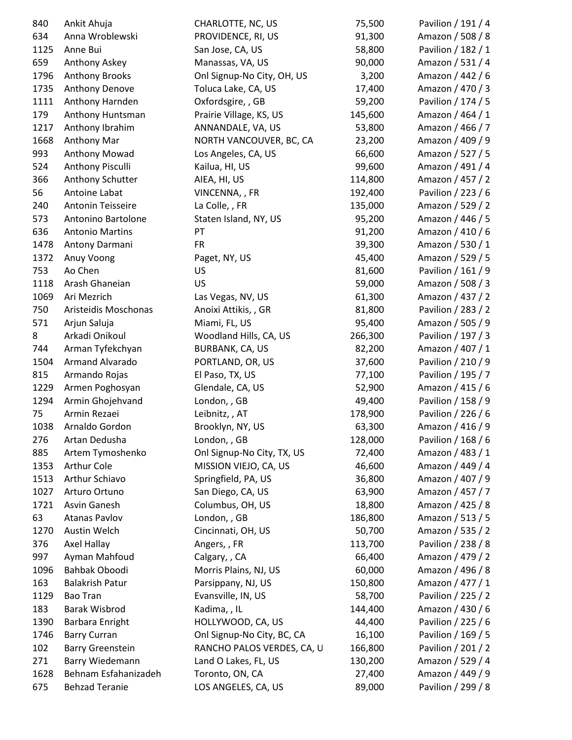| 840  | Ankit Ahuja             | CHARLOTTE, NC, US          | 75,500  | Pavilion / 191 / 4 |
|------|-------------------------|----------------------------|---------|--------------------|
| 634  | Anna Wroblewski         | PROVIDENCE, RI, US         | 91,300  | Amazon / 508 / 8   |
| 1125 | Anne Bui                | San Jose, CA, US           | 58,800  | Pavilion / 182 / 1 |
| 659  | Anthony Askey           | Manassas, VA, US           | 90,000  | Amazon / 531 / 4   |
| 1796 | <b>Anthony Brooks</b>   | Onl Signup-No City, OH, US | 3,200   | Amazon / 442 / 6   |
| 1735 | Anthony Denove          | Toluca Lake, CA, US        | 17,400  | Amazon / 470 / 3   |
| 1111 | Anthony Harnden         | Oxfordsgire, , GB          | 59,200  | Pavilion / 174 / 5 |
| 179  | Anthony Huntsman        | Prairie Village, KS, US    | 145,600 | Amazon / 464 / 1   |
| 1217 | Anthony Ibrahim         | ANNANDALE, VA, US          | 53,800  | Amazon / 466 / 7   |
| 1668 | Anthony Mar             | NORTH VANCOUVER, BC, CA    | 23,200  | Amazon / 409 / 9   |
| 993  | Anthony Mowad           | Los Angeles, CA, US        | 66,600  | Amazon / 527 / 5   |
| 524  | Anthony Pisculli        | Kailua, HI, US             | 99,600  | Amazon / 491 / 4   |
| 366  | Anthony Schutter        | AIEA, HI, US               | 114,800 | Amazon / 457 / 2   |
| 56   | Antoine Labat           | VINCENNA, , FR             | 192,400 | Pavilion / 223 / 6 |
| 240  | Antonin Teisseire       | La Colle, , FR             | 135,000 | Amazon / 529 / 2   |
| 573  | Antonino Bartolone      | Staten Island, NY, US      | 95,200  | Amazon / 446 / 5   |
| 636  | <b>Antonio Martins</b>  | PT                         | 91,200  | Amazon / 410 / 6   |
| 1478 | Antony Darmani          | <b>FR</b>                  | 39,300  | Amazon / 530 / 1   |
| 1372 | Anuy Voong              | Paget, NY, US              | 45,400  | Amazon / 529 / 5   |
| 753  | Ao Chen                 | US                         | 81,600  | Pavilion / 161 / 9 |
| 1118 | Arash Ghaneian          | <b>US</b>                  | 59,000  | Amazon / 508 / 3   |
| 1069 | Ari Mezrich             | Las Vegas, NV, US          | 61,300  | Amazon / 437 / 2   |
| 750  | Aristeidis Moschonas    | Anoixi Attikis, , GR       | 81,800  | Pavilion / 283 / 2 |
| 571  | Arjun Saluja            | Miami, FL, US              | 95,400  | Amazon / 505 / 9   |
| 8    | Arkadi Onikoul          | Woodland Hills, CA, US     | 266,300 | Pavilion / 197 / 3 |
| 744  | Arman Tyfekchyan        | BURBANK, CA, US            | 82,200  | Amazon / 407 / 1   |
| 1504 | Armand Alvarado         | PORTLAND, OR, US           | 37,600  | Pavilion / 210 / 9 |
| 815  | Armando Rojas           | El Paso, TX, US            | 77,100  | Pavilion / 195 / 7 |
| 1229 | Armen Poghosyan         | Glendale, CA, US           | 52,900  | Amazon / 415 / 6   |
| 1294 | Armin Ghojehvand        | London, , GB               | 49,400  | Pavilion / 158 / 9 |
| 75   | Armin Rezaei            | Leibnitz, , AT             | 178,900 | Pavilion / 226 / 6 |
| 1038 | Arnaldo Gordon          | Brooklyn, NY, US           | 63,300  | Amazon / 416 / 9   |
| 276  | Artan Dedusha           | London, , GB               | 128,000 | Pavilion / 168 / 6 |
| 885  | Artem Tymoshenko        | Onl Signup-No City, TX, US | 72,400  | Amazon / 483 / 1   |
| 1353 | Arthur Cole             | MISSION VIEJO, CA, US      | 46,600  | Amazon / 449 / 4   |
| 1513 | Arthur Schiavo          | Springfield, PA, US        | 36,800  | Amazon / 407 / 9   |
| 1027 | Arturo Ortuno           | San Diego, CA, US          | 63,900  | Amazon / 457 / 7   |
| 1721 | Asvin Ganesh            | Columbus, OH, US           | 18,800  | Amazon / 425 / 8   |
| 63   | <b>Atanas Pavlov</b>    | London, , GB               | 186,800 | Amazon / 513 / 5   |
| 1270 | Austin Welch            | Cincinnati, OH, US         | 50,700  | Amazon / 535 / 2   |
| 376  | Axel Hallay             | Angers,, FR                | 113,700 | Pavilion / 238 / 8 |
| 997  | Ayman Mahfoud           | Calgary, , CA              | 66,400  | Amazon / 479 / 2   |
| 1096 | Bahbak Oboodi           | Morris Plains, NJ, US      | 60,000  | Amazon / 496 / 8   |
| 163  | <b>Balakrish Patur</b>  | Parsippany, NJ, US         | 150,800 | Amazon / 477 / 1   |
| 1129 | <b>Bao Tran</b>         | Evansville, IN, US         | 58,700  | Pavilion / 225 / 2 |
| 183  | Barak Wisbrod           | Kadima, , IL               | 144,400 | Amazon / 430 / 6   |
| 1390 | Barbara Enright         | HOLLYWOOD, CA, US          | 44,400  | Pavilion / 225 / 6 |
| 1746 | <b>Barry Curran</b>     | Onl Signup-No City, BC, CA | 16,100  | Pavilion / 169 / 5 |
| 102  | <b>Barry Greenstein</b> | RANCHO PALOS VERDES, CA, U | 166,800 | Pavilion / 201 / 2 |
| 271  | Barry Wiedemann         | Land O Lakes, FL, US       | 130,200 | Amazon / 529 / 4   |
| 1628 | Behnam Esfahanizadeh    | Toronto, ON, CA            | 27,400  | Amazon / 449 / 9   |
| 675  | <b>Behzad Teranie</b>   | LOS ANGELES, CA, US        | 89,000  | Pavilion / 299 / 8 |
|      |                         |                            |         |                    |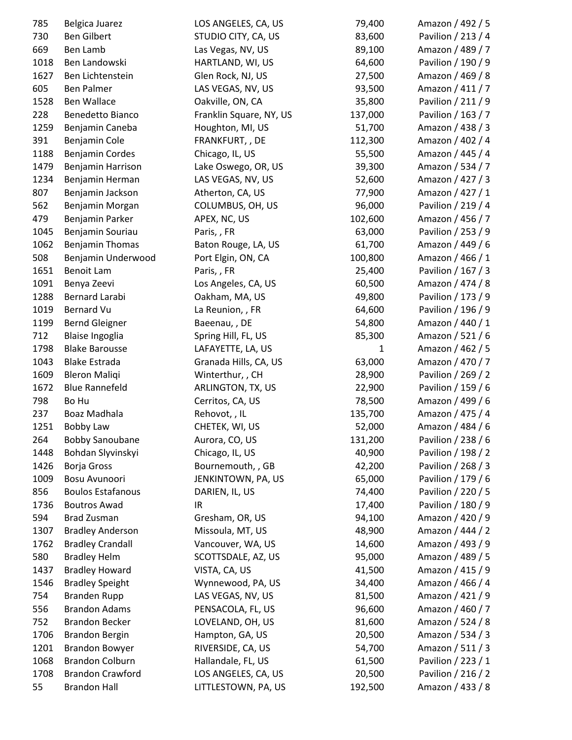| 785  | Belgica Juarez           | LOS ANGELES, CA, US     | 79,400       | Amazon / 492 / 5   |
|------|--------------------------|-------------------------|--------------|--------------------|
| 730  | <b>Ben Gilbert</b>       | STUDIO CITY, CA, US     | 83,600       | Pavilion / 213 / 4 |
| 669  | Ben Lamb                 | Las Vegas, NV, US       | 89,100       | Amazon / 489 / 7   |
| 1018 | Ben Landowski            | HARTLAND, WI, US        | 64,600       | Pavilion / 190 / 9 |
| 1627 | Ben Lichtenstein         | Glen Rock, NJ, US       | 27,500       | Amazon / 469 / 8   |
| 605  | <b>Ben Palmer</b>        | LAS VEGAS, NV, US       | 93,500       | Amazon / 411 / 7   |
| 1528 | <b>Ben Wallace</b>       | Oakville, ON, CA        | 35,800       | Pavilion / 211 / 9 |
| 228  | Benedetto Bianco         | Franklin Square, NY, US | 137,000      | Pavilion / 163 / 7 |
| 1259 | Benjamin Caneba          | Houghton, MI, US        | 51,700       | Amazon / 438 / 3   |
| 391  | Benjamin Cole            | FRANKFURT, , DE         | 112,300      | Amazon / 402 / 4   |
| 1188 | <b>Benjamin Cordes</b>   | Chicago, IL, US         | 55,500       | Amazon / 445 / 4   |
| 1479 | Benjamin Harrison        | Lake Oswego, OR, US     | 39,300       | Amazon / 534 / 7   |
| 1234 | Benjamin Herman          | LAS VEGAS, NV, US       | 52,600       | Amazon / 427 / 3   |
| 807  | Benjamin Jackson         | Atherton, CA, US        | 77,900       | Amazon / 427 / 1   |
| 562  | Benjamin Morgan          | COLUMBUS, OH, US        | 96,000       | Pavilion / 219 / 4 |
| 479  | Benjamin Parker          | APEX, NC, US            | 102,600      | Amazon / 456 / 7   |
| 1045 | Benjamin Souriau         | Paris, , FR             | 63,000       | Pavilion / 253 / 9 |
| 1062 | Benjamin Thomas          | Baton Rouge, LA, US     | 61,700       | Amazon / 449 / 6   |
| 508  | Benjamin Underwood       | Port Elgin, ON, CA      | 100,800      | Amazon / 466 / 1   |
| 1651 | Benoit Lam               | Paris, , FR             | 25,400       | Pavilion / 167 / 3 |
| 1091 | Benya Zeevi              | Los Angeles, CA, US     | 60,500       | Amazon / 474 / 8   |
| 1288 | Bernard Larabi           | Oakham, MA, US          | 49,800       | Pavilion / 173 / 9 |
| 1019 | Bernard Vu               | La Reunion, , FR        | 64,600       | Pavilion / 196 / 9 |
| 1199 | <b>Bernd Gleigner</b>    | Baeenau,, DE            | 54,800       | Amazon / 440 / 1   |
| 712  | Blaise Ingoglia          | Spring Hill, FL, US     | 85,300       | Amazon / 521 / 6   |
| 1798 | <b>Blake Barousse</b>    | LAFAYETTE, LA, US       | $\mathbf{1}$ | Amazon / 462 / 5   |
| 1043 | <b>Blake Estrada</b>     | Granada Hills, CA, US   | 63,000       | Amazon / 470 / 7   |
| 1609 | <b>Bleron Maliqi</b>     | Winterthur, , CH        | 28,900       | Pavilion / 269 / 2 |
| 1672 | <b>Blue Rannefeld</b>    | ARLINGTON, TX, US       | 22,900       | Pavilion / 159 / 6 |
| 798  | Bo Hu                    | Cerritos, CA, US        | 78,500       | Amazon / 499 / 6   |
| 237  | Boaz Madhala             | Rehovot, , IL           | 135,700      | Amazon / 475 / 4   |
| 1251 | Bobby Law                | CHETEK, WI, US          | 52,000       | Amazon / 484 / 6   |
| 264  | <b>Bobby Sanoubane</b>   | Aurora, CO, US          | 131,200      | Pavilion / 238 / 6 |
| 1448 | Bohdan Slyvinskyi        | Chicago, IL, US         | 40,900       | Pavilion / 198 / 2 |
| 1426 | <b>Borja Gross</b>       | Bournemouth, , GB       | 42,200       | Pavilion / 268 / 3 |
| 1009 | Bosu Avunoori            | JENKINTOWN, PA, US      | 65,000       | Pavilion / 179 / 6 |
| 856  | <b>Boulos Estafanous</b> | DARIEN, IL, US          | 74,400       | Pavilion / 220 / 5 |
| 1736 | <b>Boutros Awad</b>      | IR                      | 17,400       | Pavilion / 180 / 9 |
| 594  | <b>Brad Zusman</b>       | Gresham, OR, US         | 94,100       | Amazon / 420 / 9   |
| 1307 | <b>Bradley Anderson</b>  | Missoula, MT, US        | 48,900       | Amazon / 444 / 2   |
| 1762 | <b>Bradley Crandall</b>  | Vancouver, WA, US       | 14,600       | Amazon / 493 / 9   |
| 580  | <b>Bradley Helm</b>      | SCOTTSDALE, AZ, US      | 95,000       | Amazon / 489 / 5   |
| 1437 | <b>Bradley Howard</b>    | VISTA, CA, US           | 41,500       | Amazon / 415 / 9   |
| 1546 | <b>Bradley Speight</b>   | Wynnewood, PA, US       | 34,400       | Amazon / 466 / 4   |
| 754  | <b>Branden Rupp</b>      | LAS VEGAS, NV, US       | 81,500       | Amazon / 421 / 9   |
| 556  | <b>Brandon Adams</b>     | PENSACOLA, FL, US       | 96,600       | Amazon / 460 / 7   |
| 752  | <b>Brandon Becker</b>    | LOVELAND, OH, US        | 81,600       | Amazon / 524 / 8   |
| 1706 | <b>Brandon Bergin</b>    | Hampton, GA, US         | 20,500       | Amazon / 534 / 3   |
| 1201 | <b>Brandon Bowyer</b>    | RIVERSIDE, CA, US       | 54,700       | Amazon / 511 / 3   |
| 1068 | <b>Brandon Colburn</b>   | Hallandale, FL, US      | 61,500       | Pavilion / 223 / 1 |
| 1708 | <b>Brandon Crawford</b>  | LOS ANGELES, CA, US     | 20,500       | Pavilion / 216 / 2 |
| 55   | <b>Brandon Hall</b>      | LITTLESTOWN, PA, US     | 192,500      | Amazon / 433 / 8   |
|      |                          |                         |              |                    |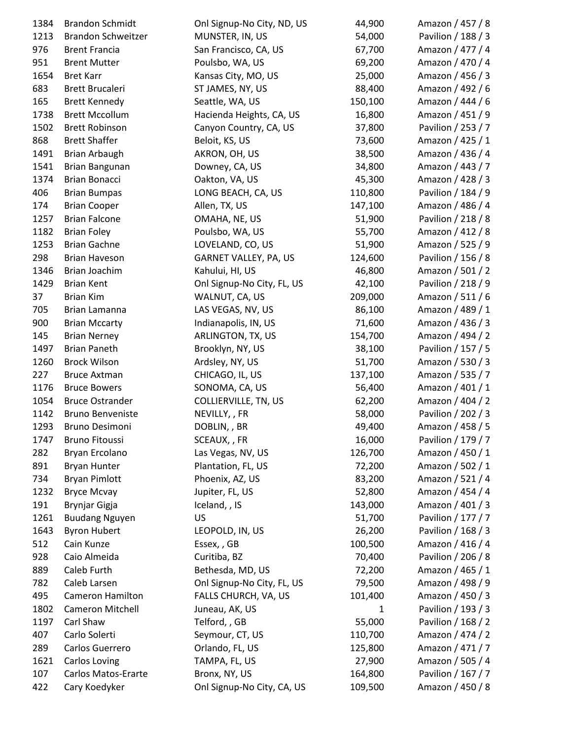| 1384 | <b>Brandon Schmidt</b>     | Onl Signup-No City, ND, US | 44,900  | Amazon / 457 / 8                       |
|------|----------------------------|----------------------------|---------|----------------------------------------|
| 1213 | <b>Brandon Schweitzer</b>  | MUNSTER, IN, US            | 54,000  | Pavilion / 188 / 3                     |
| 976  | <b>Brent Francia</b>       | San Francisco, CA, US      | 67,700  | Amazon / 477 / 4                       |
| 951  | <b>Brent Mutter</b>        | Poulsbo, WA, US            | 69,200  | Amazon / 470 / 4                       |
| 1654 | <b>Bret Karr</b>           | Kansas City, MO, US        | 25,000  | Amazon / 456 / 3                       |
| 683  | <b>Brett Brucaleri</b>     | ST JAMES, NY, US           | 88,400  | Amazon / 492 / 6                       |
| 165  | <b>Brett Kennedy</b>       | Seattle, WA, US            | 150,100 | Amazon / 444 / 6                       |
| 1738 | <b>Brett Mccollum</b>      | Hacienda Heights, CA, US   | 16,800  | Amazon / 451 / 9                       |
| 1502 | <b>Brett Robinson</b>      | Canyon Country, CA, US     | 37,800  | Pavilion / 253 / 7                     |
| 868  | <b>Brett Shaffer</b>       | Beloit, KS, US             | 73,600  | Amazon / 425 / 1                       |
| 1491 | <b>Brian Arbaugh</b>       | AKRON, OH, US              | 38,500  | Amazon / 436 / 4                       |
| 1541 | Brian Bangunan             | Downey, CA, US             | 34,800  | Amazon / 443 / 7                       |
| 1374 | Brian Bonacci              | Oakton, VA, US             | 45,300  | Amazon / 428 / 3                       |
| 406  | <b>Brian Bumpas</b>        | LONG BEACH, CA, US         | 110,800 | Pavilion / 184 / 9                     |
| 174  | <b>Brian Cooper</b>        | Allen, TX, US              | 147,100 | Amazon / 486 / 4                       |
| 1257 | <b>Brian Falcone</b>       | OMAHA, NE, US              | 51,900  | Pavilion / 218 / 8                     |
| 1182 | <b>Brian Foley</b>         | Poulsbo, WA, US            | 55,700  | Amazon / 412 / 8                       |
| 1253 | <b>Brian Gachne</b>        | LOVELAND, CO, US           | 51,900  | Amazon / 525 / 9                       |
| 298  | <b>Brian Haveson</b>       | GARNET VALLEY, PA, US      | 124,600 | Pavilion / 156 / 8                     |
| 1346 | Brian Joachim              | Kahului, HI, US            | 46,800  | Amazon / 501 / 2                       |
| 1429 | <b>Brian Kent</b>          | Onl Signup-No City, FL, US | 42,100  | Pavilion / 218 / 9                     |
| 37   | <b>Brian Kim</b>           | WALNUT, CA, US             | 209,000 | Amazon / 511 / 6                       |
| 705  | Brian Lamanna              | LAS VEGAS, NV, US          | 86,100  | Amazon / 489 / 1                       |
| 900  | <b>Brian Mccarty</b>       | Indianapolis, IN, US       | 71,600  | Amazon / 436 / 3                       |
| 145  | <b>Brian Nerney</b>        | ARLINGTON, TX, US          | 154,700 | Amazon / 494 / 2                       |
| 1497 | <b>Brian Paneth</b>        | Brooklyn, NY, US           | 38,100  | Pavilion / 157 / 5                     |
| 1260 | <b>Brock Wilson</b>        | Ardsley, NY, US            | 51,700  | Amazon / 530 / 3                       |
| 227  | <b>Bruce Axtman</b>        | CHICAGO, IL, US            | 137,100 | Amazon / 535 / 7                       |
|      | <b>Bruce Bowers</b>        |                            | 56,400  |                                        |
| 1176 |                            | SONOMA, CA, US             |         | Amazon / 401 / 1<br>Amazon / 404 / 2   |
| 1054 | <b>Bruce Ostrander</b>     | COLLIERVILLE, TN, US       | 62,200  |                                        |
| 1142 | <b>Bruno Benveniste</b>    | NEVILLY, , FR              | 58,000  | Pavilion / 202 / 3                     |
| 1293 | <b>Bruno Desimoni</b>      | DOBLIN, , BR               | 49,400  | Amazon / 458 / 5<br>Pavilion / 179 / 7 |
| 1747 | <b>Bruno Fitoussi</b>      | SCEAUX, , FR               | 16,000  |                                        |
| 282  | Bryan Ercolano             | Las Vegas, NV, US          | 126,700 | Amazon / 450 / 1                       |
| 891  | <b>Bryan Hunter</b>        | Plantation, FL, US         | 72,200  | Amazon / 502 / 1                       |
| 734  | <b>Bryan Pimlott</b>       | Phoenix, AZ, US            | 83,200  | Amazon / 521 / 4                       |
| 1232 | <b>Bryce Mcvay</b>         | Jupiter, FL, US            | 52,800  | Amazon / 454 / 4                       |
| 191  | Brynjar Gigja              | Iceland, , IS              | 143,000 | Amazon / 401 / 3                       |
| 1261 | <b>Buudang Nguyen</b>      | <b>US</b>                  | 51,700  | Pavilion / 177 / 7                     |
| 1643 | <b>Byron Hubert</b>        | LEOPOLD, IN, US            | 26,200  | Pavilion / 168 / 3                     |
| 512  | Cain Kunze                 | Essex, , GB                | 100,500 | Amazon / 416 / 4                       |
| 928  | Caio Almeida               | Curitiba, BZ               | 70,400  | Pavilion / 206 / 8                     |
| 889  | Caleb Furth                | Bethesda, MD, US           | 72,200  | Amazon / 465 / 1                       |
| 782  | Caleb Larsen               | Onl Signup-No City, FL, US | 79,500  | Amazon / 498 / 9                       |
| 495  | <b>Cameron Hamilton</b>    | FALLS CHURCH, VA, US       | 101,400 | Amazon / 450 / 3                       |
| 1802 | Cameron Mitchell           | Juneau, AK, US             | 1       | Pavilion / 193 / 3                     |
| 1197 | Carl Shaw                  | Telford, , GB              | 55,000  | Pavilion / 168 / 2                     |
| 407  | Carlo Solerti              | Seymour, CT, US            | 110,700 | Amazon / 474 / 2                       |
| 289  | Carlos Guerrero            | Orlando, FL, US            | 125,800 | Amazon / 471 / 7                       |
| 1621 | Carlos Loving              | TAMPA, FL, US              | 27,900  | Amazon / 505 / 4                       |
| 107  | <b>Carlos Matos-Erarte</b> | Bronx, NY, US              | 164,800 | Pavilion / 167 / 7                     |
| 422  | Cary Koedyker              | Onl Signup-No City, CA, US | 109,500 | Amazon / 450 / 8                       |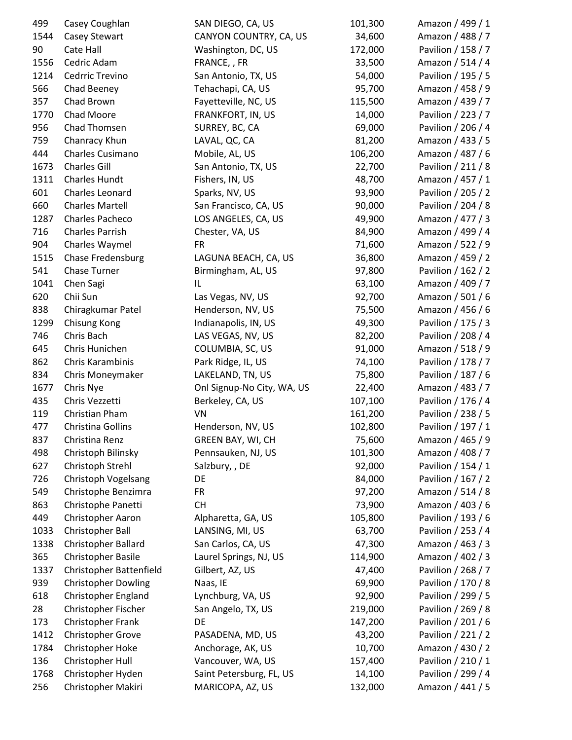| 499         | Casey Coughlan                         | SAN DIEGO, CA, US          | 101,300 | Amazon / 499 / 1                         |
|-------------|----------------------------------------|----------------------------|---------|------------------------------------------|
| 1544        | <b>Casey Stewart</b>                   | CANYON COUNTRY, CA, US     | 34,600  | Amazon / 488 / 7                         |
| 90          | Cate Hall                              | Washington, DC, US         | 172,000 | Pavilion / 158 / 7                       |
| 1556        | Cedric Adam                            | FRANCE, , FR               | 33,500  | Amazon / 514 / 4                         |
| 1214        | Cedrric Trevino                        | San Antonio, TX, US        | 54,000  | Pavilion / 195 / 5                       |
| 566         | Chad Beeney                            | Tehachapi, CA, US          | 95,700  | Amazon / 458 / 9                         |
| 357         | Chad Brown                             | Fayetteville, NC, US       | 115,500 | Amazon / 439 / 7                         |
| 1770        | Chad Moore                             | FRANKFORT, IN, US          | 14,000  | Pavilion / 223 / 7                       |
| 956         | Chad Thomsen                           | SURREY, BC, CA             | 69,000  | Pavilion / 206 / 4                       |
| 759         | Chanracy Khun                          | LAVAL, QC, CA              | 81,200  | Amazon / 433 / 5                         |
| 444         | Charles Cusimano                       | Mobile, AL, US             | 106,200 | Amazon / 487 / 6                         |
| 1673        | <b>Charles Gill</b>                    | San Antonio, TX, US        | 22,700  | Pavilion / 211 / 8                       |
| 1311        | <b>Charles Hundt</b>                   | Fishers, IN, US            | 48,700  | Amazon / 457 / 1                         |
| 601         | Charles Leonard                        | Sparks, NV, US             | 93,900  | Pavilion / 205 / 2                       |
| 660         | <b>Charles Martell</b>                 | San Francisco, CA, US      | 90,000  | Pavilion / 204 / 8                       |
| 1287        | Charles Pacheco                        | LOS ANGELES, CA, US        | 49,900  | Amazon / 477 / 3                         |
| 716         | <b>Charles Parrish</b>                 | Chester, VA, US            | 84,900  | Amazon / 499 / 4                         |
| 904         | Charles Waymel                         | <b>FR</b>                  | 71,600  | Amazon / 522 / 9                         |
| 1515        | <b>Chase Fredensburg</b>               | LAGUNA BEACH, CA, US       | 36,800  | Amazon / 459 / 2                         |
| 541         | <b>Chase Turner</b>                    | Birmingham, AL, US         | 97,800  | Pavilion / 162 / 2                       |
| 1041        | Chen Sagi                              | IL                         | 63,100  | Amazon / 409 / 7                         |
| 620         | Chii Sun                               | Las Vegas, NV, US          | 92,700  | Amazon / 501 / 6                         |
| 838         | Chiragkumar Patel                      | Henderson, NV, US          | 75,500  | Amazon / 456 / 6                         |
| 1299        | Chisung Kong                           | Indianapolis, IN, US       | 49,300  | Pavilion / 175 / 3                       |
| 746         | Chris Bach                             | LAS VEGAS, NV, US          | 82,200  | Pavilion / 208 / 4                       |
| 645         | Chris Hunichen                         | COLUMBIA, SC, US           | 91,000  | Amazon / 518 / 9                         |
| 862         | Chris Karambinis                       | Park Ridge, IL, US         | 74,100  | Pavilion / 178 / 7                       |
| 834         | Chris Moneymaker                       | LAKELAND, TN, US           | 75,800  | Pavilion / 187 / 6                       |
| 1677        | Chris Nye                              | Onl Signup-No City, WA, US | 22,400  | Amazon / 483 / 7                         |
| 435         | Chris Vezzetti                         | Berkeley, CA, US           | 107,100 | Pavilion / 176 / 4                       |
| 119         | Christian Pham                         | VN                         | 161,200 | Pavilion / 238 / 5                       |
| 477         | Christina Gollins                      | Henderson, NV, US          | 102,800 | Pavilion / 197 / 1                       |
| 837         | Christina Renz                         | GREEN BAY, WI, CH          | 75,600  | Amazon / 465 / 9                         |
| 498         | Christoph Bilinsky                     | Pennsauken, NJ, US         | 101,300 | Amazon / 408 / 7                         |
| 627         | Christoph Strehl                       | Salzbury, , DE             | 92,000  | Pavilion / 154 / 1                       |
| 726         | Christoph Vogelsang                    | DE                         | 84,000  | Pavilion / 167 / 2                       |
| 549         | Christophe Benzimra                    | <b>FR</b>                  | 97,200  | Amazon / 514 / 8                         |
| 863         | Christophe Panetti                     | <b>CH</b>                  | 73,900  | Amazon / 403 / 6                         |
| 449         | Christopher Aaron                      | Alpharetta, GA, US         | 105,800 | Pavilion / 193 / 6                       |
| 1033        | Christopher Ball                       | LANSING, MI, US            | 63,700  | Pavilion / 253 / 4                       |
| 1338        | Christopher Ballard                    | San Carlos, CA, US         | 47,300  | Amazon / 463 / 3                         |
| 365         | Christopher Basile                     | Laurel Springs, NJ, US     | 114,900 | Amazon / 402 / 3                         |
| 1337        | Christopher Battenfield                | Gilbert, AZ, US            | 47,400  | Pavilion / 268 / 7                       |
| 939         | <b>Christopher Dowling</b>             | Naas, IE                   | 69,900  | Pavilion / 170 / 8                       |
| 618         | Christopher England                    | Lynchburg, VA, US          | 92,900  | Pavilion / 299 / 5                       |
| 28          | Christopher Fischer                    | San Angelo, TX, US         | 219,000 | Pavilion / 269 / 8                       |
|             |                                        | DE                         | 147,200 |                                          |
| 173<br>1412 | Christopher Frank<br>Christopher Grove | PASADENA, MD, US           | 43,200  | Pavilion / 201 / 6<br>Pavilion / 221 / 2 |
| 1784        | Christopher Hoke                       | Anchorage, AK, US          | 10,700  | Amazon / 430 / 2                         |
| 136         | Christopher Hull                       | Vancouver, WA, US          | 157,400 | Pavilion / 210 / 1                       |
| 1768        | Christopher Hyden                      | Saint Petersburg, FL, US   | 14,100  | Pavilion / 299 / 4                       |
|             | Christopher Makiri                     |                            | 132,000 | Amazon / 441 / 5                         |
| 256         |                                        | MARICOPA, AZ, US           |         |                                          |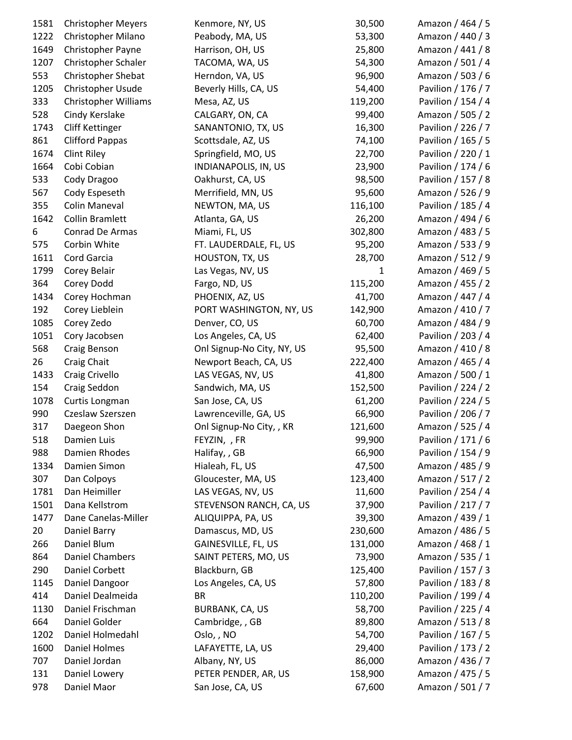| 1581 | <b>Christopher Meyers</b> | Kenmore, NY, US            | 30,500       | Amazon / 464 / 5   |
|------|---------------------------|----------------------------|--------------|--------------------|
| 1222 | Christopher Milano        | Peabody, MA, US            | 53,300       | Amazon / 440 / 3   |
| 1649 | Christopher Payne         | Harrison, OH, US           | 25,800       | Amazon / 441 / 8   |
| 1207 | Christopher Schaler       | TACOMA, WA, US             | 54,300       | Amazon / 501 / 4   |
| 553  | Christopher Shebat        | Herndon, VA, US            | 96,900       | Amazon / 503 / 6   |
| 1205 | Christopher Usude         | Beverly Hills, CA, US      | 54,400       | Pavilion / 176 / 7 |
| 333  | Christopher Williams      | Mesa, AZ, US               | 119,200      | Pavilion / 154 / 4 |
| 528  | Cindy Kerslake            | CALGARY, ON, CA            | 99,400       | Amazon / 505 / 2   |
| 1743 | <b>Cliff Kettinger</b>    | SANANTONIO, TX, US         | 16,300       | Pavilion / 226 / 7 |
| 861  | <b>Clifford Pappas</b>    | Scottsdale, AZ, US         | 74,100       | Pavilion / 165 / 5 |
| 1674 | Clint Riley               | Springfield, MO, US        | 22,700       | Pavilion / 220 / 1 |
| 1664 | Cobi Cobian               | INDIANAPOLIS, IN, US       | 23,900       | Pavilion / 174 / 6 |
| 533  | Cody Dragoo               | Oakhurst, CA, US           | 98,500       | Pavilion / 157 / 8 |
| 567  | Cody Espeseth             | Merrifield, MN, US         | 95,600       | Amazon / 526 / 9   |
| 355  | <b>Colin Maneval</b>      | NEWTON, MA, US             | 116,100      | Pavilion / 185 / 4 |
| 1642 | <b>Collin Bramlett</b>    | Atlanta, GA, US            | 26,200       | Amazon / 494 / 6   |
| 6    | Conrad De Armas           | Miami, FL, US              | 302,800      | Amazon / 483 / 5   |
| 575  | Corbin White              | FT. LAUDERDALE, FL, US     | 95,200       | Amazon / 533 / 9   |
| 1611 | Cord Garcia               | HOUSTON, TX, US            | 28,700       | Amazon / 512 / 9   |
| 1799 | Corey Belair              | Las Vegas, NV, US          | $\mathbf{1}$ | Amazon / 469 / 5   |
| 364  | Corey Dodd                | Fargo, ND, US              | 115,200      | Amazon / 455 / 2   |
| 1434 | Corey Hochman             | PHOENIX, AZ, US            | 41,700       | Amazon / 447 / 4   |
| 192  | Corey Lieblein            | PORT WASHINGTON, NY, US    | 142,900      | Amazon / 410 / 7   |
| 1085 | Corey Zedo                | Denver, CO, US             | 60,700       | Amazon / 484 / 9   |
| 1051 | Cory Jacobsen             | Los Angeles, CA, US        | 62,400       | Pavilion / 203 / 4 |
| 568  | Craig Benson              | Onl Signup-No City, NY, US | 95,500       | Amazon / 410 / 8   |
| 26   | Craig Chait               | Newport Beach, CA, US      | 222,400      | Amazon / 465 / 4   |
| 1433 | Craig Crivello            | LAS VEGAS, NV, US          | 41,800       | Amazon / 500 / 1   |
| 154  | Craig Seddon              | Sandwich, MA, US           | 152,500      | Pavilion / 224 / 2 |
| 1078 | Curtis Longman            | San Jose, CA, US           | 61,200       | Pavilion / 224 / 5 |
| 990  | Czeslaw Szerszen          | Lawrenceville, GA, US      | 66,900       | Pavilion / 206 / 7 |
| 317  | Daegeon Shon              | Onl Signup-No City, , KR   | 121,600      | Amazon / 525 / 4   |
| 518  | Damien Luis               | FEYZIN, , FR               | 99,900       | Pavilion / 171 / 6 |
| 988  | Damien Rhodes             | Halifay, , GB              | 66,900       | Pavilion / 154 / 9 |
| 1334 | Damien Simon              | Hialeah, FL, US            | 47,500       | Amazon / 485 / 9   |
| 307  | Dan Colpoys               | Gloucester, MA, US         | 123,400      | Amazon / 517 / 2   |
| 1781 | Dan Heimiller             | LAS VEGAS, NV, US          | 11,600       | Pavilion / 254 / 4 |
| 1501 | Dana Kellstrom            | STEVENSON RANCH, CA, US    | 37,900       | Pavilion / 217 / 7 |
| 1477 | Dane Canelas-Miller       | ALIQUIPPA, PA, US          | 39,300       | Amazon / 439 / 1   |
| 20   | Daniel Barry              | Damascus, MD, US           | 230,600      | Amazon / 486 / 5   |
| 266  | Daniel Blum               | GAINESVILLE, FL, US        | 131,000      | Amazon / 468 / 1   |
| 864  | <b>Daniel Chambers</b>    | SAINT PETERS, MO, US       | 73,900       | Amazon / 535 / 1   |
| 290  | Daniel Corbett            | Blackburn, GB              | 125,400      | Pavilion / 157 / 3 |
| 1145 | Daniel Dangoor            | Los Angeles, CA, US        | 57,800       | Pavilion / 183 / 8 |
| 414  | Daniel Dealmeida          | <b>BR</b>                  | 110,200      | Pavilion / 199 / 4 |
| 1130 | Daniel Frischman          | BURBANK, CA, US            | 58,700       | Pavilion / 225 / 4 |
| 664  | Daniel Golder             | Cambridge, , GB            | 89,800       | Amazon / 513 / 8   |
| 1202 | Daniel Holmedahl          | Oslo, , NO                 | 54,700       | Pavilion / 167 / 5 |
| 1600 | <b>Daniel Holmes</b>      | LAFAYETTE, LA, US          | 29,400       | Pavilion / 173 / 2 |
| 707  | Daniel Jordan             | Albany, NY, US             | 86,000       | Amazon / 436 / 7   |
| 131  | Daniel Lowery             | PETER PENDER, AR, US       | 158,900      | Amazon / 475 / 5   |
| 978  | Daniel Maor               | San Jose, CA, US           | 67,600       | Amazon / 501 / 7   |
|      |                           |                            |              |                    |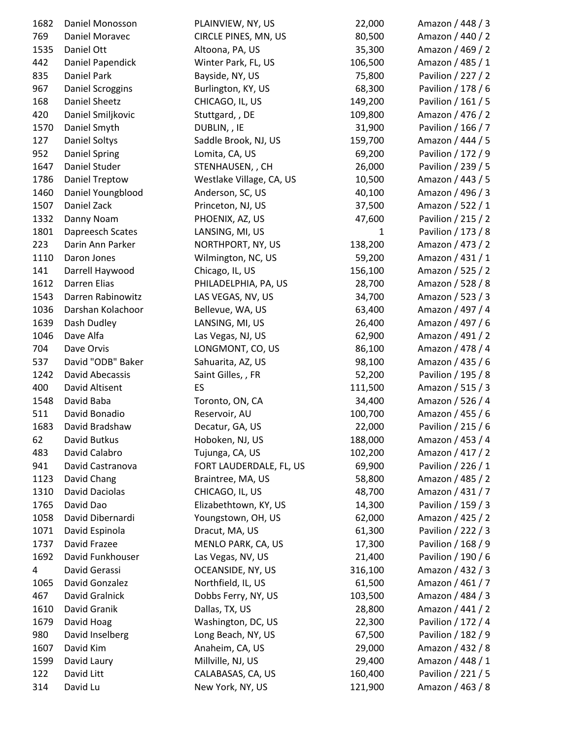| 1682 | Daniel Monosson      | PLAINVIEW, NY, US        | 22,000       | Amazon / 448 / 3   |
|------|----------------------|--------------------------|--------------|--------------------|
| 769  | Daniel Moravec       | CIRCLE PINES, MN, US     | 80,500       | Amazon / 440 / 2   |
| 1535 | Daniel Ott           | Altoona, PA, US          | 35,300       | Amazon / 469 / 2   |
| 442  | Daniel Papendick     | Winter Park, FL, US      | 106,500      | Amazon / 485 / 1   |
| 835  | <b>Daniel Park</b>   | Bayside, NY, US          | 75,800       | Pavilion / 227 / 2 |
| 967  | Daniel Scroggins     | Burlington, KY, US       | 68,300       | Pavilion / 178 / 6 |
| 168  | <b>Daniel Sheetz</b> | CHICAGO, IL, US          | 149,200      | Pavilion / 161 / 5 |
| 420  | Daniel Smiljkovic    | Stuttgard, , DE          | 109,800      | Amazon / 476 / 2   |
| 1570 | Daniel Smyth         | DUBLIN, , IE             | 31,900       | Pavilion / 166 / 7 |
| 127  | Daniel Soltys        | Saddle Brook, NJ, US     | 159,700      | Amazon / 444 / 5   |
| 952  | <b>Daniel Spring</b> | Lomita, CA, US           | 69,200       | Pavilion / 172 / 9 |
| 1647 | Daniel Studer        | STENHAUSEN, , CH         | 26,000       | Pavilion / 239 / 5 |
| 1786 | Daniel Treptow       | Westlake Village, CA, US | 10,500       | Amazon / 443 / 5   |
| 1460 | Daniel Youngblood    | Anderson, SC, US         | 40,100       | Amazon / 496 / 3   |
| 1507 | Daniel Zack          | Princeton, NJ, US        | 37,500       | Amazon / 522 / 1   |
| 1332 | Danny Noam           | PHOENIX, AZ, US          | 47,600       | Pavilion / 215 / 2 |
| 1801 | Dapreesch Scates     | LANSING, MI, US          | $\mathbf{1}$ | Pavilion / 173 / 8 |
| 223  | Darin Ann Parker     | NORTHPORT, NY, US        | 138,200      | Amazon / 473 / 2   |
| 1110 | Daron Jones          | Wilmington, NC, US       | 59,200       | Amazon / 431 / 1   |
| 141  | Darrell Haywood      | Chicago, IL, US          | 156,100      | Amazon / 525 / 2   |
| 1612 | Darren Elias         | PHILADELPHIA, PA, US     | 28,700       | Amazon / 528 / 8   |
| 1543 | Darren Rabinowitz    | LAS VEGAS, NV, US        | 34,700       | Amazon / 523 / 3   |
| 1036 | Darshan Kolachoor    | Bellevue, WA, US         | 63,400       | Amazon / 497 / 4   |
| 1639 | Dash Dudley          | LANSING, MI, US          | 26,400       | Amazon / 497 / 6   |
| 1046 | Dave Alfa            | Las Vegas, NJ, US        | 62,900       | Amazon / 491 / 2   |
| 704  | Dave Orvis           | LONGMONT, CO, US         | 86,100       | Amazon / 478 / 4   |
| 537  | David "ODB" Baker    | Sahuarita, AZ, US        | 98,100       | Amazon / 435 / 6   |
| 1242 | David Abecassis      | Saint Gilles, , FR       | 52,200       | Pavilion / 195 / 8 |
| 400  | David Altisent       | ES                       | 111,500      | Amazon / 515 / 3   |
| 1548 | David Baba           | Toronto, ON, CA          | 34,400       | Amazon / 526 / 4   |
| 511  | David Bonadio        | Reservoir, AU            | 100,700      | Amazon / 455 / 6   |
| 1683 | David Bradshaw       | Decatur, GA, US          | 22,000       | Pavilion / 215 / 6 |
| 62   | David Butkus         | Hoboken, NJ, US          | 188,000      | Amazon / 453 / 4   |
| 483  | David Calabro        | Tujunga, CA, US          | 102,200      | Amazon / 417 / 2   |
| 941  | David Castranova     | FORT LAUDERDALE, FL, US  | 69,900       | Pavilion / 226 / 1 |
| 1123 | David Chang          | Braintree, MA, US        | 58,800       | Amazon / 485 / 2   |
| 1310 | David Daciolas       | CHICAGO, IL, US          | 48,700       | Amazon / 431 / 7   |
| 1765 | David Dao            | Elizabethtown, KY, US    | 14,300       | Pavilion / 159 / 3 |
| 1058 | David Dibernardi     | Youngstown, OH, US       | 62,000       | Amazon / 425 / 2   |
| 1071 | David Espinola       | Dracut, MA, US           | 61,300       | Pavilion / 222 / 3 |
| 1737 | David Frazee         | MENLO PARK, CA, US       | 17,300       | Pavilion / 168 / 9 |
| 1692 | David Funkhouser     | Las Vegas, NV, US        | 21,400       | Pavilion / 190 / 6 |
| 4    | David Gerassi        | OCEANSIDE, NY, US        | 316,100      | Amazon / 432 / 3   |
| 1065 | David Gonzalez       | Northfield, IL, US       | 61,500       | Amazon / 461 / 7   |
| 467  | David Gralnick       | Dobbs Ferry, NY, US      | 103,500      | Amazon / 484 / 3   |
| 1610 | David Granik         | Dallas, TX, US           | 28,800       | Amazon / 441 / 2   |
| 1679 | David Hoag           | Washington, DC, US       | 22,300       | Pavilion / 172 / 4 |
| 980  | David Inselberg      | Long Beach, NY, US       | 67,500       | Pavilion / 182 / 9 |
| 1607 | David Kim            | Anaheim, CA, US          | 29,000       | Amazon / 432 / 8   |
| 1599 | David Laury          | Millville, NJ, US        | 29,400       | Amazon / 448 / 1   |
| 122  | David Litt           | CALABASAS, CA, US        | 160,400      | Pavilion / 221 / 5 |
| 314  | David Lu             | New York, NY, US         | 121,900      | Amazon / 463 / 8   |
|      |                      |                          |              |                    |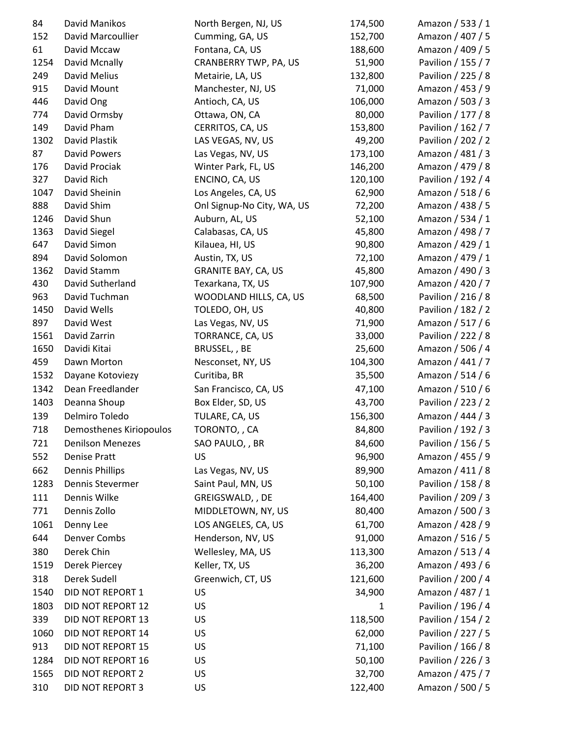| 84   | David Manikos           | North Bergen, NJ, US       | 174,500      | Amazon / 533 / 1   |
|------|-------------------------|----------------------------|--------------|--------------------|
| 152  | David Marcoullier       | Cumming, GA, US            | 152,700      | Amazon / 407 / 5   |
| 61   | David Mccaw             | Fontana, CA, US            | 188,600      | Amazon / 409 / 5   |
| 1254 | David Mcnally           | CRANBERRY TWP, PA, US      | 51,900       | Pavilion / 155 / 7 |
| 249  | David Melius            | Metairie, LA, US           | 132,800      | Pavilion / 225 / 8 |
| 915  | David Mount             | Manchester, NJ, US         | 71,000       | Amazon / 453 / 9   |
| 446  | David Ong               | Antioch, CA, US            | 106,000      | Amazon / 503 / 3   |
| 774  | David Ormsby            | Ottawa, ON, CA             | 80,000       | Pavilion / 177 / 8 |
| 149  | David Pham              | CERRITOS, CA, US           | 153,800      | Pavilion / 162 / 7 |
| 1302 | David Plastik           | LAS VEGAS, NV, US          | 49,200       | Pavilion / 202 / 2 |
| 87   | <b>David Powers</b>     | Las Vegas, NV, US          | 173,100      | Amazon / 481 / 3   |
| 176  | David Prociak           | Winter Park, FL, US        | 146,200      | Amazon / 479 / 8   |
| 327  | David Rich              | ENCINO, CA, US             | 120,100      | Pavilion / 192 / 4 |
| 1047 | David Sheinin           | Los Angeles, CA, US        | 62,900       | Amazon / 518 / 6   |
| 888  | David Shim              | Onl Signup-No City, WA, US | 72,200       | Amazon / 438 / 5   |
| 1246 | David Shun              | Auburn, AL, US             | 52,100       | Amazon / 534 / 1   |
| 1363 | David Siegel            | Calabasas, CA, US          | 45,800       | Amazon / 498 / 7   |
| 647  | David Simon             | Kilauea, HI, US            | 90,800       | Amazon / 429 / 1   |
| 894  | David Solomon           | Austin, TX, US             | 72,100       | Amazon / 479 / 1   |
| 1362 | David Stamm             | <b>GRANITE BAY, CA, US</b> | 45,800       | Amazon / 490 / 3   |
| 430  | David Sutherland        | Texarkana, TX, US          | 107,900      | Amazon / 420 / 7   |
| 963  | David Tuchman           | WOODLAND HILLS, CA, US     | 68,500       | Pavilion / 216 / 8 |
| 1450 | David Wells             | TOLEDO, OH, US             | 40,800       | Pavilion / 182 / 2 |
| 897  | David West              | Las Vegas, NV, US          | 71,900       | Amazon / 517 / 6   |
| 1561 | David Zarrin            | TORRANCE, CA, US           | 33,000       | Pavilion / 222 / 8 |
| 1650 | Davidi Kitai            | BRUSSEL, , BE              | 25,600       | Amazon / 506 / 4   |
| 459  | Dawn Morton             | Nesconset, NY, US          | 104,300      | Amazon / 441 / 7   |
| 1532 | Dayane Kotoviezy        | Curitiba, BR               | 35,500       | Amazon / 514 / 6   |
| 1342 | Dean Freedlander        | San Francisco, CA, US      | 47,100       | Amazon / 510 / 6   |
| 1403 | Deanna Shoup            | Box Elder, SD, US          | 43,700       | Pavilion / 223 / 2 |
| 139  | Delmiro Toledo          | TULARE, CA, US             | 156,300      | Amazon / 444 / 3   |
| 718  | Demosthenes Kiriopoulos | TORONTO,, CA               | 84,800       | Pavilion / 192 / 3 |
| 721  | <b>Denilson Menezes</b> | SAO PAULO, , BR            | 84,600       | Pavilion / 156 / 5 |
| 552  | <b>Denise Pratt</b>     | US                         | 96,900       | Amazon / 455 / 9   |
| 662  | <b>Dennis Phillips</b>  | Las Vegas, NV, US          | 89,900       | Amazon / 411 / 8   |
| 1283 | Dennis Stevermer        | Saint Paul, MN, US         | 50,100       | Pavilion / 158 / 8 |
| 111  | Dennis Wilke            | GREIGSWALD, , DE           | 164,400      | Pavilion / 209 / 3 |
|      | Dennis Zollo            |                            |              |                    |
| 771  |                         | MIDDLETOWN, NY, US         | 80,400       | Amazon / 500 / 3   |
| 1061 | Denny Lee               | LOS ANGELES, CA, US        | 61,700       | Amazon / 428 / 9   |
| 644  | <b>Denver Combs</b>     | Henderson, NV, US          | 91,000       | Amazon / 516 / 5   |
| 380  | Derek Chin              | Wellesley, MA, US          | 113,300      | Amazon / 513 / 4   |
| 1519 | Derek Piercey           | Keller, TX, US             | 36,200       | Amazon / 493 / 6   |
| 318  | Derek Sudell            | Greenwich, CT, US          | 121,600      | Pavilion / 200 / 4 |
| 1540 | DID NOT REPORT 1        | US                         | 34,900       | Amazon / 487 / 1   |
| 1803 | DID NOT REPORT 12       | US                         | $\mathbf{1}$ | Pavilion / 196 / 4 |
| 339  | DID NOT REPORT 13       | US                         | 118,500      | Pavilion / 154 / 2 |
| 1060 | DID NOT REPORT 14       | US                         | 62,000       | Pavilion / 227 / 5 |
| 913  | DID NOT REPORT 15       | US                         | 71,100       | Pavilion / 166 / 8 |
| 1284 | DID NOT REPORT 16       | US                         | 50,100       | Pavilion / 226 / 3 |
| 1565 | DID NOT REPORT 2        | US                         | 32,700       | Amazon / 475 / 7   |
| 310  | DID NOT REPORT 3        | US                         | 122,400      | Amazon / 500 / 5   |
|      |                         |                            |              |                    |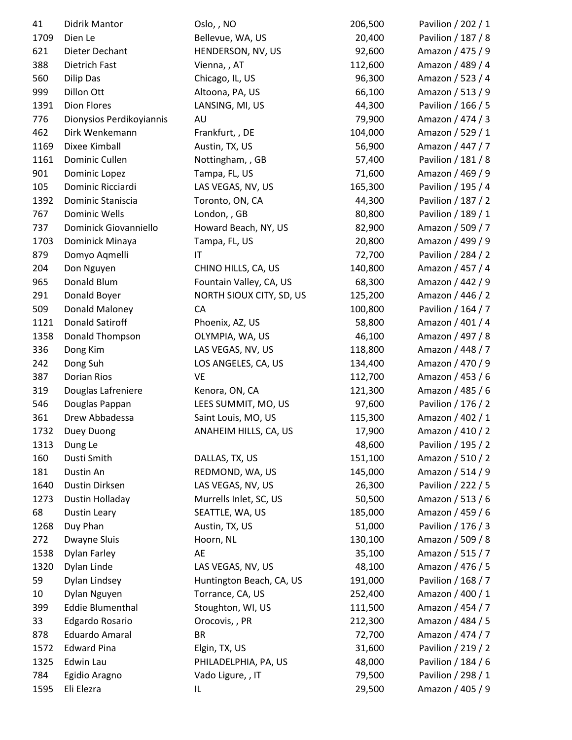| 41   | Didrik Mantor            | Oslo, , NO               | 206,500 | Pavilion / 202 / 1 |
|------|--------------------------|--------------------------|---------|--------------------|
| 1709 | Dien Le                  | Bellevue, WA, US         | 20,400  | Pavilion / 187 / 8 |
| 621  | Dieter Dechant           | HENDERSON, NV, US        | 92,600  | Amazon / 475 / 9   |
| 388  | Dietrich Fast            | Vienna, , AT             | 112,600 | Amazon / 489 / 4   |
| 560  | Dilip Das                | Chicago, IL, US          | 96,300  | Amazon / 523 / 4   |
| 999  | Dillon Ott               | Altoona, PA, US          | 66,100  | Amazon / 513 / 9   |
| 1391 | <b>Dion Flores</b>       | LANSING, MI, US          | 44,300  | Pavilion / 166 / 5 |
| 776  | Dionysios Perdikoyiannis | AU                       | 79,900  | Amazon / 474 / 3   |
| 462  | Dirk Wenkemann           | Frankfurt, , DE          | 104,000 | Amazon / 529 / 1   |
| 1169 | Dixee Kimball            | Austin, TX, US           | 56,900  | Amazon / 447 / 7   |
| 1161 | Dominic Cullen           | Nottingham, , GB         | 57,400  | Pavilion / 181 / 8 |
| 901  | Dominic Lopez            | Tampa, FL, US            | 71,600  | Amazon / 469 / 9   |
| 105  | Dominic Ricciardi        | LAS VEGAS, NV, US        | 165,300 | Pavilion / 195 / 4 |
| 1392 | Dominic Staniscia        | Toronto, ON, CA          | 44,300  | Pavilion / 187 / 2 |
| 767  | <b>Dominic Wells</b>     | London, , GB             | 80,800  | Pavilion / 189 / 1 |
| 737  | Dominick Giovanniello    | Howard Beach, NY, US     | 82,900  | Amazon / 509 / 7   |
| 1703 | Dominick Minaya          | Tampa, FL, US            | 20,800  | Amazon / 499 / 9   |
| 879  | Domyo Aqmelli            | IT                       | 72,700  | Pavilion / 284 / 2 |
| 204  | Don Nguyen               | CHINO HILLS, CA, US      | 140,800 | Amazon / 457 / 4   |
| 965  | Donald Blum              | Fountain Valley, CA, US  | 68,300  | Amazon / 442 / 9   |
| 291  | Donald Boyer             | NORTH SIOUX CITY, SD, US | 125,200 | Amazon / 446 / 2   |
| 509  | Donald Maloney           | CA                       | 100,800 | Pavilion / 164 / 7 |
| 1121 | <b>Donald Satiroff</b>   | Phoenix, AZ, US          | 58,800  | Amazon / 401 / 4   |
| 1358 | Donald Thompson          | OLYMPIA, WA, US          | 46,100  | Amazon / 497 / 8   |
| 336  | Dong Kim                 | LAS VEGAS, NV, US        | 118,800 | Amazon / 448 / 7   |
| 242  | Dong Suh                 | LOS ANGELES, CA, US      | 134,400 | Amazon / 470 / 9   |
| 387  | Dorian Rios              | <b>VE</b>                | 112,700 | Amazon / 453 / 6   |
| 319  | Douglas Lafreniere       | Kenora, ON, CA           | 121,300 | Amazon / 485 / 6   |
| 546  | Douglas Pappan           | LEES SUMMIT, MO, US      | 97,600  | Pavilion / 176 / 2 |
| 361  | Drew Abbadessa           | Saint Louis, MO, US      | 115,300 | Amazon / 402 / 1   |
| 1732 | Duey Duong               | ANAHEIM HILLS, CA, US    | 17,900  | Amazon / 410 / 2   |
| 1313 | Dung Le                  |                          | 48,600  | Pavilion / 195 / 2 |
| 160  | Dusti Smith              | DALLAS, TX, US           | 151,100 | Amazon / 510 / 2   |
| 181  | Dustin An                | REDMOND, WA, US          | 145,000 | Amazon / 514 / 9   |
| 1640 | Dustin Dirksen           | LAS VEGAS, NV, US        | 26,300  | Pavilion / 222 / 5 |
| 1273 | Dustin Holladay          | Murrells Inlet, SC, US   | 50,500  | Amazon / 513 / 6   |
| 68   | <b>Dustin Leary</b>      | SEATTLE, WA, US          | 185,000 | Amazon / 459 / 6   |
| 1268 | Duy Phan                 | Austin, TX, US           | 51,000  | Pavilion / 176 / 3 |
| 272  | Dwayne Sluis             | Hoorn, NL                | 130,100 | Amazon / 509 / 8   |
| 1538 | Dylan Farley             | AE                       | 35,100  | Amazon / 515 / 7   |
| 1320 | Dylan Linde              | LAS VEGAS, NV, US        | 48,100  | Amazon / 476 / 5   |
| 59   | Dylan Lindsey            | Huntington Beach, CA, US | 191,000 | Pavilion / 168 / 7 |
| 10   | Dylan Nguyen             | Torrance, CA, US         | 252,400 | Amazon / 400 / 1   |
| 399  | <b>Eddie Blumenthal</b>  | Stoughton, WI, US        | 111,500 | Amazon / 454 / 7   |
| 33   | Edgardo Rosario          | Orocovis, , PR           | 212,300 | Amazon / 484 / 5   |
| 878  | <b>Eduardo Amaral</b>    | <b>BR</b>                | 72,700  | Amazon / 474 / 7   |
| 1572 | <b>Edward Pina</b>       | Elgin, TX, US            | 31,600  | Pavilion / 219 / 2 |
| 1325 | Edwin Lau                | PHILADELPHIA, PA, US     | 48,000  | Pavilion / 184 / 6 |
| 784  | Egidio Aragno            | Vado Ligure, , IT        | 79,500  | Pavilion / 298 / 1 |
| 1595 | Eli Elezra               | IL                       | 29,500  | Amazon / 405 / 9   |
|      |                          |                          |         |                    |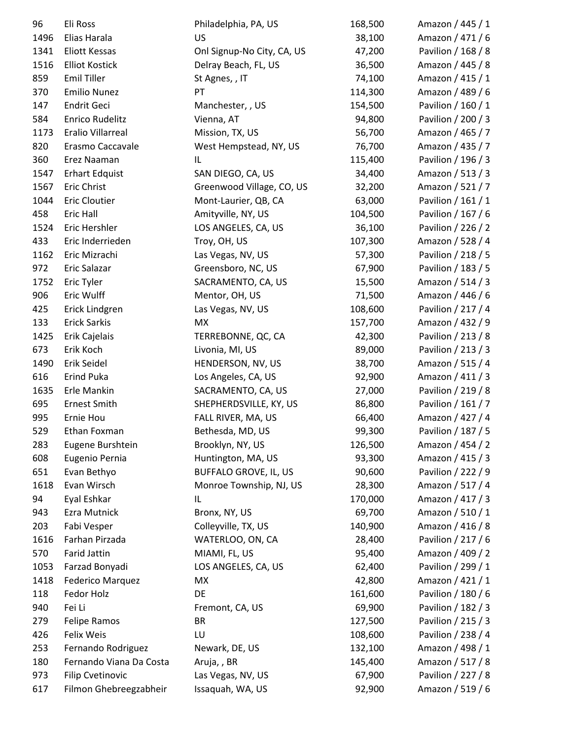| 96   | Eli Ross                | Philadelphia, PA, US         | 168,500 | Amazon / 445 / 1   |
|------|-------------------------|------------------------------|---------|--------------------|
| 1496 | Elias Harala            | <b>US</b>                    | 38,100  | Amazon / 471 / 6   |
| 1341 | Eliott Kessas           | Onl Signup-No City, CA, US   | 47,200  | Pavilion / 168 / 8 |
| 1516 | <b>Elliot Kostick</b>   | Delray Beach, FL, US         | 36,500  | Amazon / 445 / 8   |
| 859  | <b>Emil Tiller</b>      | St Agnes, , IT               | 74,100  | Amazon / 415 / 1   |
| 370  | <b>Emilio Nunez</b>     | PT                           | 114,300 | Amazon / 489 / 6   |
| 147  | Endrit Geci             | Manchester, , US             | 154,500 | Pavilion / 160 / 1 |
| 584  | Enrico Rudelitz         | Vienna, AT                   | 94,800  | Pavilion / 200 / 3 |
| 1173 | Eralio Villarreal       | Mission, TX, US              | 56,700  | Amazon / 465 / 7   |
| 820  | Erasmo Caccavale        | West Hempstead, NY, US       | 76,700  | Amazon / 435 / 7   |
| 360  | Erez Naaman             | IL                           | 115,400 | Pavilion / 196 / 3 |
| 1547 | <b>Erhart Edquist</b>   | SAN DIEGO, CA, US            | 34,400  | Amazon / 513 / 3   |
| 1567 | <b>Eric Christ</b>      | Greenwood Village, CO, US    | 32,200  | Amazon / 521 / 7   |
| 1044 | <b>Eric Cloutier</b>    | Mont-Laurier, QB, CA         | 63,000  | Pavilion / 161 / 1 |
| 458  | <b>Eric Hall</b>        | Amityville, NY, US           | 104,500 | Pavilion / 167 / 6 |
| 1524 | Eric Hershler           | LOS ANGELES, CA, US          | 36,100  | Pavilion / 226 / 2 |
| 433  | Eric Inderrieden        | Troy, OH, US                 | 107,300 | Amazon / 528 / 4   |
| 1162 | Eric Mizrachi           | Las Vegas, NV, US            | 57,300  | Pavilion / 218 / 5 |
| 972  | Eric Salazar            | Greensboro, NC, US           | 67,900  | Pavilion / 183 / 5 |
| 1752 | Eric Tyler              | SACRAMENTO, CA, US           | 15,500  | Amazon / 514 / 3   |
| 906  | Eric Wulff              | Mentor, OH, US               | 71,500  | Amazon / 446 / 6   |
| 425  | Erick Lindgren          | Las Vegas, NV, US            | 108,600 | Pavilion / 217 / 4 |
| 133  | <b>Erick Sarkis</b>     | MX                           | 157,700 | Amazon / 432 / 9   |
| 1425 | Erik Cajelais           | TERREBONNE, QC, CA           | 42,300  | Pavilion / 213 / 8 |
| 673  | Erik Koch               | Livonia, MI, US              | 89,000  | Pavilion / 213 / 3 |
| 1490 | Erik Seidel             | HENDERSON, NV, US            | 38,700  | Amazon / 515 / 4   |
| 616  | <b>Erind Puka</b>       | Los Angeles, CA, US          | 92,900  | Amazon / 411 / 3   |
| 1635 | Erle Mankin             | SACRAMENTO, CA, US           | 27,000  | Pavilion / 219 / 8 |
| 695  | <b>Ernest Smith</b>     | SHEPHERDSVILLE, KY, US       | 86,800  | Pavilion / 161 / 7 |
| 995  | Ernie Hou               | FALL RIVER, MA, US           | 66,400  | Amazon / 427 / 4   |
| 529  | Ethan Foxman            | Bethesda, MD, US             | 99,300  | Pavilion / 187 / 5 |
| 283  | Eugene Burshtein        | Brooklyn, NY, US             | 126,500 | Amazon / 454 / 2   |
| 608  | Eugenio Pernia          | Huntington, MA, US           | 93,300  | Amazon / 415 / 3   |
| 651  | Evan Bethyo             | <b>BUFFALO GROVE, IL, US</b> | 90,600  | Pavilion / 222 / 9 |
| 1618 | Evan Wirsch             | Monroe Township, NJ, US      | 28,300  | Amazon / 517 / 4   |
| 94   | Eyal Eshkar             | IL                           | 170,000 | Amazon / 417 / 3   |
| 943  | Ezra Mutnick            | Bronx, NY, US                | 69,700  | Amazon / 510 / 1   |
| 203  | Fabi Vesper             | Colleyville, TX, US          | 140,900 | Amazon / 416 / 8   |
| 1616 | Farhan Pirzada          | WATERLOO, ON, CA             | 28,400  | Pavilion / 217 / 6 |
| 570  | <b>Farid Jattin</b>     | MIAMI, FL, US                | 95,400  | Amazon / 409 / 2   |
| 1053 | Farzad Bonyadi          | LOS ANGELES, CA, US          | 62,400  | Pavilion / 299 / 1 |
| 1418 | Federico Marquez        | MX                           | 42,800  | Amazon / 421 / 1   |
| 118  | Fedor Holz              | DE                           | 161,600 | Pavilion / 180 / 6 |
| 940  | Fei Li                  | Fremont, CA, US              | 69,900  | Pavilion / 182 / 3 |
| 279  | <b>Felipe Ramos</b>     | <b>BR</b>                    | 127,500 | Pavilion / 215 / 3 |
| 426  | Felix Weis              | LU                           | 108,600 | Pavilion / 238 / 4 |
| 253  | Fernando Rodriguez      | Newark, DE, US               | 132,100 | Amazon / 498 / 1   |
| 180  | Fernando Viana Da Costa | Aruja,, BR                   | 145,400 | Amazon / 517 / 8   |
| 973  | <b>Filip Cvetinovic</b> | Las Vegas, NV, US            | 67,900  | Pavilion / 227 / 8 |
| 617  | Filmon Ghebreegzabheir  | Issaquah, WA, US             | 92,900  | Amazon / 519 / 6   |
|      |                         |                              |         |                    |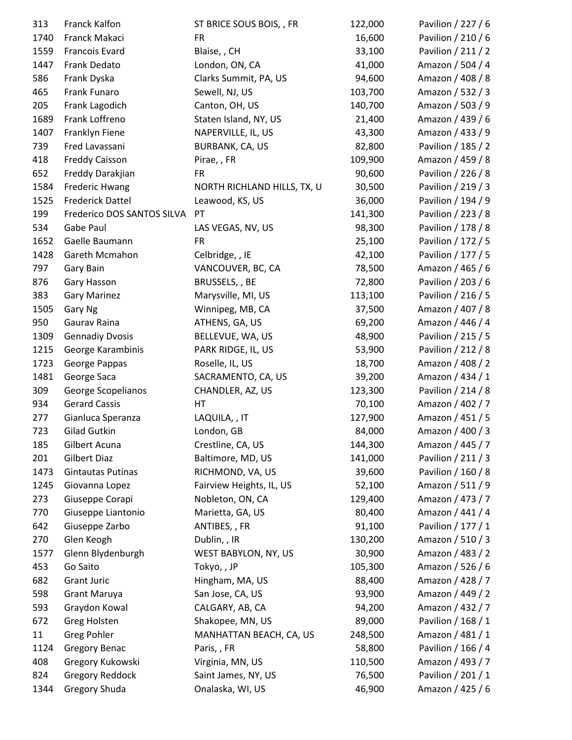| 313  | Franck Kalfon              | ST BRICE SOUS BOIS, , FR     | 122,000 | Pavilion / 227 / 6 |
|------|----------------------------|------------------------------|---------|--------------------|
| 1740 | Franck Makaci              | <b>FR</b>                    | 16,600  | Pavilion / 210 / 6 |
| 1559 | Francois Evard             | Blaise, , CH                 | 33,100  | Pavilion / 211 / 2 |
| 1447 | Frank Dedato               | London, ON, CA               | 41,000  | Amazon / 504 / 4   |
| 586  | Frank Dyska                | Clarks Summit, PA, US        | 94,600  | Amazon / 408 / 8   |
| 465  | Frank Funaro               | Sewell, NJ, US               | 103,700 | Amazon / 532 / 3   |
| 205  | Frank Lagodich             | Canton, OH, US               | 140,700 | Amazon / 503 / 9   |
| 1689 | Frank Loffreno             | Staten Island, NY, US        | 21,400  | Amazon / 439 / 6   |
| 1407 | Franklyn Fiene             | NAPERVILLE, IL, US           | 43,300  | Amazon / 433 / 9   |
| 739  | Fred Lavassani             | <b>BURBANK, CA, US</b>       | 82,800  | Pavilion / 185 / 2 |
| 418  | <b>Freddy Caisson</b>      | Pirae, , FR                  | 109,900 | Amazon / 459 / 8   |
| 652  | Freddy Darakjian           | <b>FR</b>                    | 90,600  | Pavilion / 226 / 8 |
| 1584 | <b>Frederic Hwang</b>      | NORTH RICHLAND HILLS, TX, U. | 30,500  | Pavilion / 219 / 3 |
| 1525 | <b>Frederick Dattel</b>    | Leawood, KS, US              | 36,000  | Pavilion / 194 / 9 |
| 199  | Frederico DOS SANTOS SILVA | PT                           | 141,300 | Pavilion / 223 / 8 |
| 534  | Gabe Paul                  | LAS VEGAS, NV, US            | 98,300  | Pavilion / 178 / 8 |
| 1652 | Gaelle Baumann             | <b>FR</b>                    | 25,100  | Pavilion / 172 / 5 |
| 1428 | Gareth Mcmahon             | Celbridge, , IE              | 42,100  | Pavilion / 177 / 5 |
| 797  | Gary Bain                  | VANCOUVER, BC, CA            | 78,500  | Amazon / 465 / 6   |
| 876  | Gary Hasson                | BRUSSELS, , BE               | 72,800  | Pavilion / 203 / 6 |
| 383  | <b>Gary Marinez</b>        | Marysville, MI, US           | 113,100 | Pavilion / 216 / 5 |
| 1505 | Gary Ng                    | Winnipeg, MB, CA             | 37,500  | Amazon / 407 / 8   |
| 950  | Gaurav Raina               | ATHENS, GA, US               | 69,200  | Amazon / 446 / 4   |
| 1309 | <b>Gennadiy Dvosis</b>     | BELLEVUE, WA, US             | 48,900  | Pavilion / 215 / 5 |
| 1215 | George Karambinis          | PARK RIDGE, IL, US           | 53,900  | Pavilion / 212 / 8 |
| 1723 | George Pappas              | Roselle, IL, US              | 18,700  | Amazon / 408 / 2   |
| 1481 | George Saca                | SACRAMENTO, CA, US           | 39,200  | Amazon / 434 / 1   |
| 309  | George Scopelianos         | CHANDLER, AZ, US             | 123,300 | Pavilion / 214 / 8 |
| 934  | <b>Gerard Cassis</b>       | HT                           | 70,100  | Amazon / 402 / 7   |
| 277  | Gianluca Speranza          | LAQUILA, , IT                | 127,900 | Amazon / 451 / 5   |
| 723  | <b>Gilad Gutkin</b>        | London, GB                   | 84,000  | Amazon / 400 / 3   |
| 185  | Gilbert Acuna              | Crestline, CA, US            | 144,300 | Amazon / 445 / 7   |
| 201  | Gilbert Diaz               | Baltimore, MD, US            | 141,000 | Pavilion / 211 / 3 |
| 1473 | Gintautas Putinas          | RICHMOND, VA, US             | 39,600  | Pavilion / 160 / 8 |
| 1245 | Giovanna Lopez             | Fairview Heights, IL, US     | 52,100  | Amazon / 511 / 9   |
| 273  | Giuseppe Corapi            | Nobleton, ON, CA             | 129,400 | Amazon / 473 / 7   |
| 770  | Giuseppe Liantonio         | Marietta, GA, US             | 80,400  | Amazon / 441 / 4   |
| 642  | Giuseppe Zarbo             | ANTIBES, , FR                | 91,100  | Pavilion / 177 / 1 |
| 270  | Glen Keogh                 | Dublin, , IR                 | 130,200 | Amazon / 510 / 3   |
| 1577 | Glenn Blydenburgh          | WEST BABYLON, NY, US         | 30,900  | Amazon / 483 / 2   |
| 453  | Go Saito                   | Tokyo,, JP                   | 105,300 | Amazon / 526 / 6   |
| 682  | <b>Grant Juric</b>         | Hingham, MA, US              | 88,400  | Amazon / 428 / 7   |
| 598  | <b>Grant Maruya</b>        | San Jose, CA, US             | 93,900  | Amazon / 449 / 2   |
| 593  | Graydon Kowal              | CALGARY, AB, CA              | 94,200  | Amazon / 432 / 7   |
| 672  | Greg Holsten               | Shakopee, MN, US             | 89,000  | Pavilion / 168 / 1 |
| 11   | <b>Greg Pohler</b>         | MANHATTAN BEACH, CA, US      | 248,500 | Amazon / 481 / 1   |
| 1124 | <b>Gregory Benac</b>       | Paris, FR                    | 58,800  | Pavilion / 166 / 4 |
| 408  | Gregory Kukowski           | Virginia, MN, US             | 110,500 | Amazon / 493 / 7   |
| 824  | <b>Gregory Reddock</b>     | Saint James, NY, US          | 76,500  | Pavilion / 201 / 1 |
| 1344 | Gregory Shuda              | Onalaska, WI, US             | 46,900  | Amazon / 425 / 6   |
|      |                            |                              |         |                    |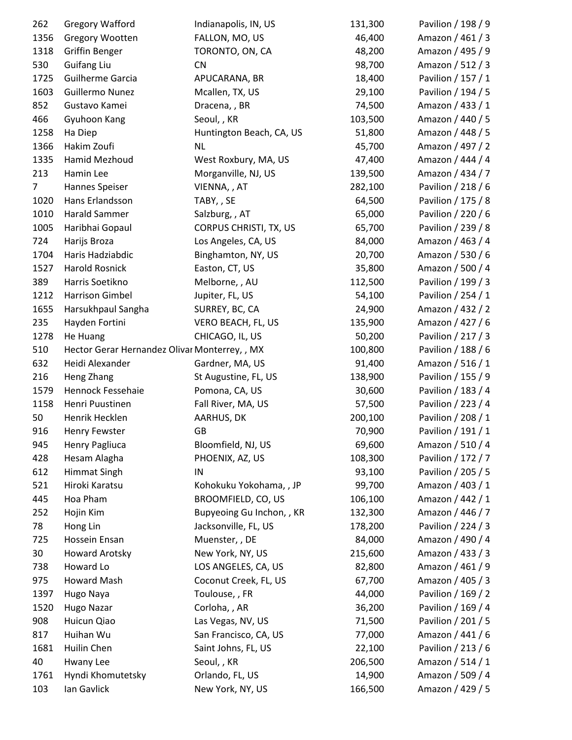| 262            | <b>Gregory Wafford</b>                        | Indianapolis, IN, US          | 131,300 | Pavilion / 198 / 9 |
|----------------|-----------------------------------------------|-------------------------------|---------|--------------------|
| 1356           | Gregory Wootten                               | FALLON, MO, US                | 46,400  | Amazon / 461 / 3   |
| 1318           | Griffin Benger                                | TORONTO, ON, CA               | 48,200  | Amazon / 495 / 9   |
| 530            | <b>Guifang Liu</b>                            | <b>CN</b>                     | 98,700  | Amazon / 512 / 3   |
| 1725           | <b>Guilherme Garcia</b>                       | APUCARANA, BR                 | 18,400  | Pavilion / 157 / 1 |
| 1603           | Guillermo Nunez                               | Mcallen, TX, US               | 29,100  | Pavilion / 194 / 5 |
| 852            | Gustavo Kamei                                 | Dracena, , BR                 | 74,500  | Amazon / 433 / 1   |
| 466            | Gyuhoon Kang                                  | Seoul, , KR                   | 103,500 | Amazon / 440 / 5   |
| 1258           | Ha Diep                                       | Huntington Beach, CA, US      | 51,800  | Amazon / 448 / 5   |
| 1366           | Hakim Zoufi                                   | <b>NL</b>                     | 45,700  | Amazon / 497 / 2   |
| 1335           | Hamid Mezhoud                                 | West Roxbury, MA, US          | 47,400  | Amazon / 444 / 4   |
| 213            | Hamin Lee                                     | Morganville, NJ, US           | 139,500 | Amazon / 434 / 7   |
| $\overline{7}$ | Hannes Speiser                                | VIENNA, , AT                  | 282,100 | Pavilion / 218 / 6 |
| 1020           | Hans Erlandsson                               | TABY, , SE                    | 64,500  | Pavilion / 175 / 8 |
| 1010           | Harald Sammer                                 | Salzburg, , AT                | 65,000  | Pavilion / 220 / 6 |
| 1005           | Haribhai Gopaul                               | <b>CORPUS CHRISTI, TX, US</b> | 65,700  | Pavilion / 239 / 8 |
| 724            | Harijs Broza                                  | Los Angeles, CA, US           | 84,000  | Amazon / 463 / 4   |
| 1704           | Haris Hadziabdic                              | Binghamton, NY, US            | 20,700  | Amazon / 530 / 6   |
| 1527           | Harold Rosnick                                | Easton, CT, US                | 35,800  | Amazon / 500 / 4   |
| 389            | Harris Soetikno                               | Melborne, , AU                | 112,500 | Pavilion / 199 / 3 |
| 1212           | Harrison Gimbel                               | Jupiter, FL, US               | 54,100  | Pavilion / 254 / 1 |
| 1655           | Harsukhpaul Sangha                            | SURREY, BC, CA                | 24,900  | Amazon / 432 / 2   |
| 235            | Hayden Fortini                                | VERO BEACH, FL, US            | 135,900 | Amazon / 427 / 6   |
| 1278           | He Huang                                      | CHICAGO, IL, US               | 50,200  | Pavilion / 217 / 3 |
| 510            | Hector Gerar Hernandez Olivar Monterrey, , MX |                               | 100,800 | Pavilion / 188 / 6 |
| 632            | Heidi Alexander                               | Gardner, MA, US               | 91,400  | Amazon / 516 / 1   |
| 216            | Heng Zhang                                    | St Augustine, FL, US          | 138,900 | Pavilion / 155 / 9 |
| 1579           | Hennock Fessehaie                             | Pomona, CA, US                | 30,600  | Pavilion / 183 / 4 |
| 1158           | Henri Puustinen                               | Fall River, MA, US            | 57,500  | Pavilion / 223 / 4 |
| 50             | Henrik Hecklen                                | AARHUS, DK                    | 200,100 | Pavilion / 208 / 1 |
| 916            | <b>Henry Fewster</b>                          | GB                            | 70,900  | Pavilion / 191 / 1 |
| 945            | Henry Pagliuca                                | Bloomfield, NJ, US            | 69,600  | Amazon / 510 / 4   |
| 428            | Hesam Alagha                                  | PHOENIX, AZ, US               | 108,300 | Pavilion / 172 / 7 |
| 612            | <b>Himmat Singh</b>                           | IN                            | 93,100  | Pavilion / 205 / 5 |
| 521            | Hiroki Karatsu                                | Kohokuku Yokohama, , JP       | 99,700  | Amazon / 403 / 1   |
| 445            | Hoa Pham                                      | BROOMFIELD, CO, US            | 106,100 | Amazon / 442 / 1   |
| 252            | Hojin Kim                                     | Bupyeoing Gu Inchon, , KR     | 132,300 | Amazon / 446 / 7   |
| 78             | Hong Lin                                      | Jacksonville, FL, US          | 178,200 | Pavilion / 224 / 3 |
| 725            | Hossein Ensan                                 | Muenster, , DE                | 84,000  | Amazon / 490 / 4   |
| 30             | <b>Howard Arotsky</b>                         | New York, NY, US              | 215,600 | Amazon / 433 / 3   |
| 738            | Howard Lo                                     | LOS ANGELES, CA, US           | 82,800  | Amazon / 461 / 9   |
| 975            | Howard Mash                                   | Coconut Creek, FL, US         | 67,700  | Amazon / 405 / 3   |
| 1397           | Hugo Naya                                     | Toulouse, , FR                | 44,000  | Pavilion / 169 / 2 |
| 1520           | <b>Hugo Nazar</b>                             | Corloha, , AR                 | 36,200  | Pavilion / 169 / 4 |
| 908            | Huicun Qiao                                   | Las Vegas, NV, US             | 71,500  | Pavilion / 201 / 5 |
| 817            | Huihan Wu                                     | San Francisco, CA, US         | 77,000  | Amazon / 441 / 6   |
| 1681           | Huilin Chen                                   | Saint Johns, FL, US           | 22,100  | Pavilion / 213 / 6 |
| 40             | Hwany Lee                                     | Seoul, , KR                   | 206,500 | Amazon / 514 / 1   |
| 1761           | Hyndi Khomutetsky                             | Orlando, FL, US               | 14,900  | Amazon / 509 / 4   |
| 103            | Ian Gavlick                                   | New York, NY, US              | 166,500 | Amazon / 429 / 5   |
|                |                                               |                               |         |                    |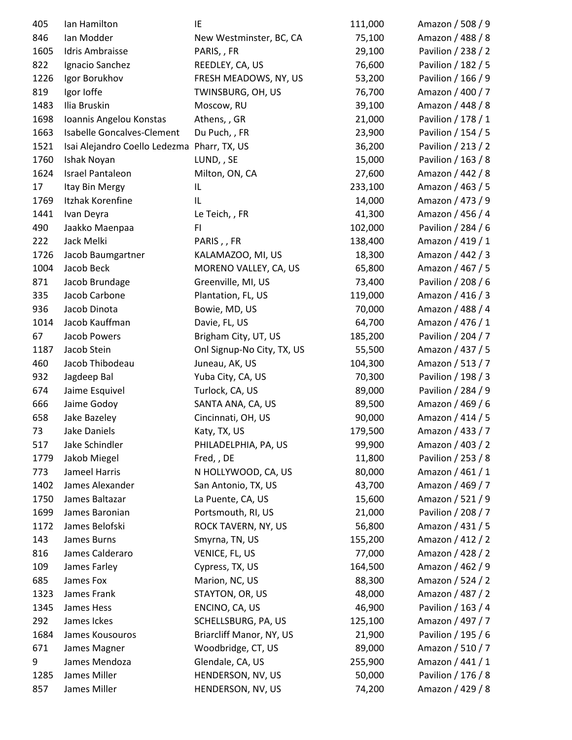| 405  | Ian Hamilton                                | IE                         | 111,000 | Amazon / 508 / 9   |
|------|---------------------------------------------|----------------------------|---------|--------------------|
| 846  | Ian Modder                                  | New Westminster, BC, CA    | 75,100  | Amazon / 488 / 8   |
| 1605 | Idris Ambraisse                             | PARIS, , FR                | 29,100  | Pavilion / 238 / 2 |
| 822  | Ignacio Sanchez                             | REEDLEY, CA, US            | 76,600  | Pavilion / 182 / 5 |
| 1226 | Igor Borukhov                               | FRESH MEADOWS, NY, US      | 53,200  | Pavilion / 166 / 9 |
| 819  | Igor Ioffe                                  | TWINSBURG, OH, US          | 76,700  | Amazon / 400 / 7   |
| 1483 | Ilia Bruskin                                | Moscow, RU                 | 39,100  | Amazon / 448 / 8   |
| 1698 | Ioannis Angelou Konstas                     | Athens, , GR               | 21,000  | Pavilion / 178 / 1 |
| 1663 | Isabelle Goncalves-Clement                  | Du Puch, , FR              | 23,900  | Pavilion / 154 / 5 |
| 1521 | Isai Alejandro Coello Ledezma Pharr, TX, US |                            | 36,200  | Pavilion / 213 / 2 |
| 1760 | Ishak Noyan                                 | LUND, , SE                 | 15,000  | Pavilion / 163 / 8 |
| 1624 | <b>Israel Pantaleon</b>                     | Milton, ON, CA             | 27,600  | Amazon / 442 / 8   |
| 17   | Itay Bin Mergy                              | IL                         | 233,100 | Amazon / 463 / 5   |
| 1769 | Itzhak Korenfine                            | IL                         | 14,000  | Amazon / 473 / 9   |
| 1441 | Ivan Deyra                                  | Le Teich, , FR             | 41,300  | Amazon / 456 / 4   |
| 490  | Jaakko Maenpaa                              | FI                         | 102,000 | Pavilion / 284 / 6 |
| 222  | Jack Melki                                  | PARIS, FR                  | 138,400 | Amazon / 419 / 1   |
| 1726 | Jacob Baumgartner                           | KALAMAZOO, MI, US          | 18,300  | Amazon / 442 / 3   |
| 1004 | Jacob Beck                                  | MORENO VALLEY, CA, US      | 65,800  | Amazon / 467 / 5   |
| 871  | Jacob Brundage                              | Greenville, MI, US         | 73,400  | Pavilion / 208 / 6 |
| 335  | Jacob Carbone                               | Plantation, FL, US         | 119,000 | Amazon / 416 / 3   |
| 936  | Jacob Dinota                                | Bowie, MD, US              | 70,000  | Amazon / 488 / 4   |
| 1014 | Jacob Kauffman                              | Davie, FL, US              | 64,700  | Amazon / 476 / 1   |
| 67   | Jacob Powers                                | Brigham City, UT, US       | 185,200 | Pavilion / 204 / 7 |
| 1187 | Jacob Stein                                 | Onl Signup-No City, TX, US | 55,500  | Amazon / 437 / 5   |
| 460  | Jacob Thibodeau                             | Juneau, AK, US             | 104,300 | Amazon / 513 / 7   |
| 932  | Jagdeep Bal                                 | Yuba City, CA, US          | 70,300  | Pavilion / 198 / 3 |
| 674  | Jaime Esquivel                              | Turlock, CA, US            | 89,000  | Pavilion / 284 / 9 |
| 666  | Jaime Godoy                                 | SANTA ANA, CA, US          | 89,500  | Amazon / 469 / 6   |
| 658  | Jake Bazeley                                | Cincinnati, OH, US         | 90,000  | Amazon / 414 / 5   |
| 73   | Jake Daniels                                | Katy, TX, US               | 179,500 | Amazon / 433 / 7   |
| 517  | Jake Schindler                              | PHILADELPHIA, PA, US       | 99,900  | Amazon / 403 / 2   |
| 1779 | Jakob Miegel                                | Fred, , DE                 | 11,800  | Pavilion / 253 / 8 |
| 773  | Jameel Harris                               | N HOLLYWOOD, CA, US        | 80,000  | Amazon / 461 / 1   |
| 1402 | James Alexander                             | San Antonio, TX, US        | 43,700  | Amazon / 469 / 7   |
| 1750 | James Baltazar                              | La Puente, CA, US          | 15,600  | Amazon / 521 / 9   |
| 1699 | James Baronian                              | Portsmouth, RI, US         | 21,000  | Pavilion / 208 / 7 |
| 1172 | James Belofski                              | ROCK TAVERN, NY, US        | 56,800  | Amazon / 431 / 5   |
| 143  | James Burns                                 | Smyrna, TN, US             | 155,200 | Amazon / 412 / 2   |
| 816  | James Calderaro                             | VENICE, FL, US             | 77,000  | Amazon / 428 / 2   |
| 109  | James Farley                                | Cypress, TX, US            | 164,500 | Amazon / 462 / 9   |
| 685  | James Fox                                   | Marion, NC, US             | 88,300  | Amazon / 524 / 2   |
| 1323 | James Frank                                 | STAYTON, OR, US            | 48,000  | Amazon / 487 / 2   |
| 1345 | James Hess                                  | ENCINO, CA, US             | 46,900  | Pavilion / 163 / 4 |
| 292  | James Ickes                                 | SCHELLSBURG, PA, US        | 125,100 | Amazon / 497 / 7   |
| 1684 | James Kousouros                             | Briarcliff Manor, NY, US   | 21,900  | Pavilion / 195 / 6 |
| 671  | James Magner                                | Woodbridge, CT, US         | 89,000  | Amazon / 510 / 7   |
| 9    | James Mendoza                               | Glendale, CA, US           | 255,900 | Amazon / 441 / 1   |
| 1285 | James Miller                                | HENDERSON, NV, US          | 50,000  | Pavilion / 176 / 8 |
| 857  | James Miller                                | HENDERSON, NV, US          | 74,200  | Amazon / 429 / 8   |
|      |                                             |                            |         |                    |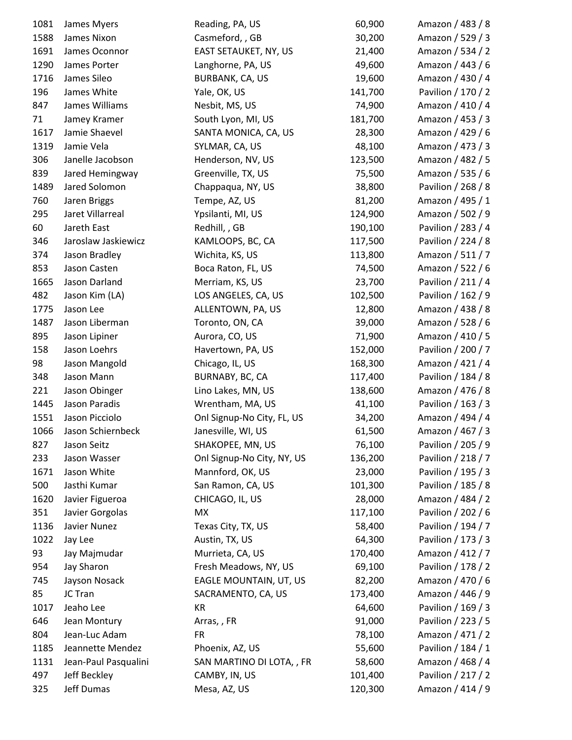| 1081 | James Myers          | Reading, PA, US            | 60,900  | Amazon / 483 / 8   |
|------|----------------------|----------------------------|---------|--------------------|
| 1588 | James Nixon          | Casmeford, , GB            | 30,200  | Amazon / 529 / 3   |
| 1691 | James Oconnor        | EAST SETAUKET, NY, US      | 21,400  | Amazon / 534 / 2   |
| 1290 | James Porter         | Langhorne, PA, US          | 49,600  | Amazon / 443 / 6   |
| 1716 | James Sileo          | <b>BURBANK, CA, US</b>     | 19,600  | Amazon / 430 / 4   |
| 196  | James White          | Yale, OK, US               | 141,700 | Pavilion / 170 / 2 |
| 847  | James Williams       | Nesbit, MS, US             | 74,900  | Amazon / 410 / 4   |
| 71   | Jamey Kramer         | South Lyon, MI, US         | 181,700 | Amazon / 453 / 3   |
| 1617 | Jamie Shaevel        | SANTA MONICA, CA, US       | 28,300  | Amazon / 429 / 6   |
| 1319 | Jamie Vela           | SYLMAR, CA, US             | 48,100  | Amazon / 473 / 3   |
| 306  | Janelle Jacobson     | Henderson, NV, US          | 123,500 | Amazon / 482 / 5   |
| 839  | Jared Hemingway      | Greenville, TX, US         | 75,500  | Amazon / 535 / 6   |
| 1489 | Jared Solomon        | Chappaqua, NY, US          | 38,800  | Pavilion / 268 / 8 |
| 760  | Jaren Briggs         | Tempe, AZ, US              | 81,200  | Amazon / 495 / 1   |
| 295  | Jaret Villarreal     | Ypsilanti, MI, US          | 124,900 | Amazon / 502 / 9   |
| 60   | Jareth East          | Redhill, , GB              | 190,100 | Pavilion / 283 / 4 |
| 346  | Jaroslaw Jaskiewicz  | KAMLOOPS, BC, CA           | 117,500 | Pavilion / 224 / 8 |
| 374  | Jason Bradley        | Wichita, KS, US            | 113,800 | Amazon / 511 / 7   |
| 853  | Jason Casten         | Boca Raton, FL, US         | 74,500  | Amazon / 522 / 6   |
| 1665 | Jason Darland        | Merriam, KS, US            | 23,700  | Pavilion / 211 / 4 |
| 482  | Jason Kim (LA)       | LOS ANGELES, CA, US        | 102,500 | Pavilion / 162 / 9 |
| 1775 | Jason Lee            | ALLENTOWN, PA, US          | 12,800  | Amazon / 438 / 8   |
| 1487 | Jason Liberman       | Toronto, ON, CA            | 39,000  | Amazon / 528 / 6   |
| 895  | Jason Lipiner        | Aurora, CO, US             | 71,900  | Amazon / 410 / 5   |
| 158  | Jason Loehrs         | Havertown, PA, US          | 152,000 | Pavilion / 200 / 7 |
| 98   | Jason Mangold        | Chicago, IL, US            | 168,300 | Amazon / 421 / 4   |
| 348  | Jason Mann           | BURNABY, BC, CA            | 117,400 | Pavilion / 184 / 8 |
| 221  | Jason Obinger        | Lino Lakes, MN, US         | 138,600 | Amazon / 476 / 8   |
| 1445 | Jason Paradis        | Wrentham, MA, US           | 41,100  | Pavilion / 163 / 3 |
| 1551 | Jason Picciolo       | Onl Signup-No City, FL, US | 34,200  | Amazon / 494 / 4   |
| 1066 | Jason Schiernbeck    | Janesville, WI, US         | 61,500  | Amazon / 467 / 3   |
| 827  | Jason Seitz          | SHAKOPEE, MN, US           | 76,100  | Pavilion / 205 / 9 |
| 233  | Jason Wasser         | Onl Signup-No City, NY, US | 136,200 | Pavilion / 218 / 7 |
| 1671 | Jason White          | Mannford, OK, US           | 23,000  | Pavilion / 195 / 3 |
| 500  | Jasthi Kumar         | San Ramon, CA, US          | 101,300 | Pavilion / 185 / 8 |
| 1620 | Javier Figueroa      | CHICAGO, IL, US            | 28,000  | Amazon / 484 / 2   |
| 351  | Javier Gorgolas      | <b>MX</b>                  | 117,100 | Pavilion / 202 / 6 |
| 1136 | Javier Nunez         | Texas City, TX, US         | 58,400  | Pavilion / 194 / 7 |
| 1022 | Jay Lee              | Austin, TX, US             | 64,300  | Pavilion / 173 / 3 |
| 93   | Jay Majmudar         | Murrieta, CA, US           | 170,400 | Amazon / 412 / 7   |
| 954  | Jay Sharon           | Fresh Meadows, NY, US      | 69,100  | Pavilion / 178 / 2 |
| 745  | Jayson Nosack        | EAGLE MOUNTAIN, UT, US     | 82,200  | Amazon / 470 / 6   |
| 85   | JC Tran              | SACRAMENTO, CA, US         | 173,400 | Amazon / 446 / 9   |
| 1017 | Jeaho Lee            | KR                         | 64,600  | Pavilion / 169 / 3 |
| 646  | Jean Montury         | Arras,, FR                 | 91,000  | Pavilion / 223 / 5 |
| 804  | Jean-Luc Adam        | <b>FR</b>                  | 78,100  | Amazon / 471 / 2   |
| 1185 | Jeannette Mendez     | Phoenix, AZ, US            | 55,600  | Pavilion / 184 / 1 |
| 1131 | Jean-Paul Pasqualini | SAN MARTINO DI LOTA, , FR  | 58,600  | Amazon / 468 / 4   |
| 497  | Jeff Beckley         | CAMBY, IN, US              | 101,400 | Pavilion / 217 / 2 |
| 325  | Jeff Dumas           | Mesa, AZ, US               | 120,300 | Amazon / 414 / 9   |
|      |                      |                            |         |                    |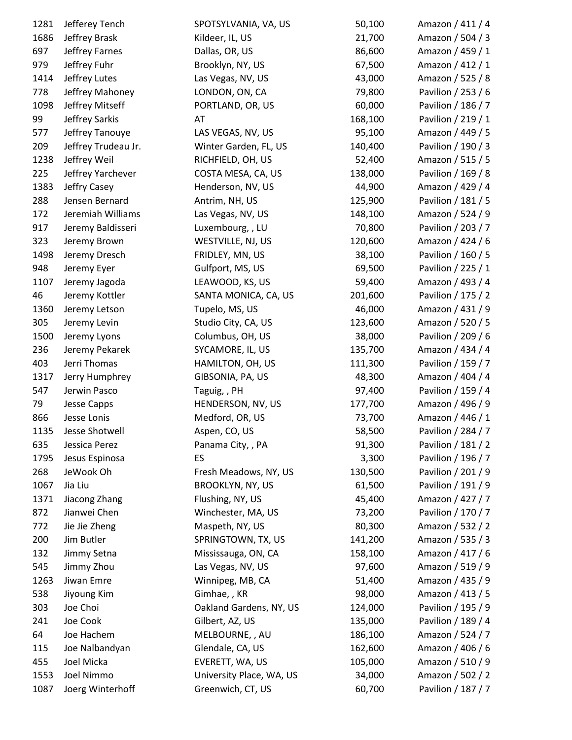| 1281 | Jefferey Tench      | SPOTSYLVANIA, VA, US     | 50,100  | Amazon / 411 / 4   |
|------|---------------------|--------------------------|---------|--------------------|
| 1686 | Jeffrey Brask       | Kildeer, IL, US          | 21,700  | Amazon / 504 / 3   |
| 697  | Jeffrey Farnes      | Dallas, OR, US           | 86,600  | Amazon / 459 / 1   |
| 979  | Jeffrey Fuhr        | Brooklyn, NY, US         | 67,500  | Amazon / 412 / 1   |
| 1414 | Jeffrey Lutes       | Las Vegas, NV, US        | 43,000  | Amazon / 525 / 8   |
| 778  | Jeffrey Mahoney     | LONDON, ON, CA           | 79,800  | Pavilion / 253 / 6 |
| 1098 | Jeffrey Mitseff     | PORTLAND, OR, US         | 60,000  | Pavilion / 186 / 7 |
| 99   | Jeffrey Sarkis      | AT                       | 168,100 | Pavilion / 219 / 1 |
| 577  | Jeffrey Tanouye     | LAS VEGAS, NV, US        | 95,100  | Amazon / 449 / 5   |
| 209  | Jeffrey Trudeau Jr. | Winter Garden, FL, US    | 140,400 | Pavilion / 190 / 3 |
| 1238 | Jeffrey Weil        | RICHFIELD, OH, US        | 52,400  | Amazon / 515 / 5   |
| 225  | Jeffrey Yarchever   | COSTA MESA, CA, US       | 138,000 | Pavilion / 169 / 8 |
| 1383 | Jeffry Casey        | Henderson, NV, US        | 44,900  | Amazon / 429 / 4   |
| 288  | Jensen Bernard      | Antrim, NH, US           | 125,900 | Pavilion / 181 / 5 |
| 172  | Jeremiah Williams   | Las Vegas, NV, US        | 148,100 | Amazon / 524 / 9   |
| 917  | Jeremy Baldisseri   | Luxembourg, , LU         | 70,800  | Pavilion / 203 / 7 |
| 323  | Jeremy Brown        | WESTVILLE, NJ, US        | 120,600 | Amazon / 424 / 6   |
| 1498 | Jeremy Dresch       | FRIDLEY, MN, US          | 38,100  | Pavilion / 160 / 5 |
| 948  | Jeremy Eyer         | Gulfport, MS, US         | 69,500  | Pavilion / 225 / 1 |
| 1107 | Jeremy Jagoda       | LEAWOOD, KS, US          | 59,400  | Amazon / 493 / 4   |
| 46   | Jeremy Kottler      | SANTA MONICA, CA, US     | 201,600 | Pavilion / 175 / 2 |
| 1360 | Jeremy Letson       | Tupelo, MS, US           | 46,000  | Amazon / 431 / 9   |
| 305  | Jeremy Levin        | Studio City, CA, US      | 123,600 | Amazon / 520 / 5   |
| 1500 | Jeremy Lyons        | Columbus, OH, US         | 38,000  | Pavilion / 209 / 6 |
| 236  | Jeremy Pekarek      | SYCAMORE, IL, US         | 135,700 | Amazon / 434 / 4   |
| 403  | Jerri Thomas        | HAMILTON, OH, US         | 111,300 | Pavilion / 159 / 7 |
| 1317 | Jerry Humphrey      | GIBSONIA, PA, US         | 48,300  | Amazon / 404 / 4   |
| 547  | Jerwin Pasco        | Taguig, , PH             | 97,400  | Pavilion / 159 / 4 |
| 79   | <b>Jesse Capps</b>  | HENDERSON, NV, US        | 177,700 | Amazon / 496 / 9   |
| 866  | Jesse Lonis         | Medford, OR, US          | 73,700  | Amazon / 446 / 1   |
| 1135 | Jesse Shotwell      | Aspen, CO, US            | 58,500  | Pavilion / 284 / 7 |
| 635  | Jessica Perez       | Panama City, , PA        | 91,300  | Pavilion / 181 / 2 |
| 1795 | Jesus Espinosa      | ES                       | 3,300   | Pavilion / 196 / 7 |
| 268  | JeWook Oh           | Fresh Meadows, NY, US    | 130,500 | Pavilion / 201 / 9 |
| 1067 | Jia Liu             | <b>BROOKLYN, NY, US</b>  | 61,500  | Pavilion / 191 / 9 |
| 1371 | Jiacong Zhang       | Flushing, NY, US         | 45,400  | Amazon / 427 / 7   |
| 872  | Jianwei Chen        | Winchester, MA, US       | 73,200  | Pavilion / 170 / 7 |
| 772  | Jie Jie Zheng       | Maspeth, NY, US          | 80,300  | Amazon / 532 / 2   |
| 200  | Jim Butler          | SPRINGTOWN, TX, US       | 141,200 | Amazon / 535 / 3   |
| 132  | Jimmy Setna         | Mississauga, ON, CA      | 158,100 | Amazon / 417 / 6   |
| 545  | Jimmy Zhou          | Las Vegas, NV, US        | 97,600  | Amazon / 519 / 9   |
| 1263 | Jiwan Emre          | Winnipeg, MB, CA         | 51,400  | Amazon / 435 / 9   |
| 538  | Jiyoung Kim         | Gimhae, , KR             | 98,000  | Amazon / 413 / 5   |
| 303  | Joe Choi            | Oakland Gardens, NY, US  | 124,000 | Pavilion / 195 / 9 |
| 241  | Joe Cook            | Gilbert, AZ, US          | 135,000 | Pavilion / 189 / 4 |
| 64   | Joe Hachem          | MELBOURNE, , AU          | 186,100 | Amazon / 524 / 7   |
| 115  | Joe Nalbandyan      | Glendale, CA, US         | 162,600 | Amazon / 406 / 6   |
| 455  | Joel Micka          | EVERETT, WA, US          | 105,000 | Amazon / 510 / 9   |
| 1553 | Joel Nimmo          | University Place, WA, US | 34,000  | Amazon / 502 / 2   |
| 1087 | Joerg Winterhoff    | Greenwich, CT, US        | 60,700  | Pavilion / 187 / 7 |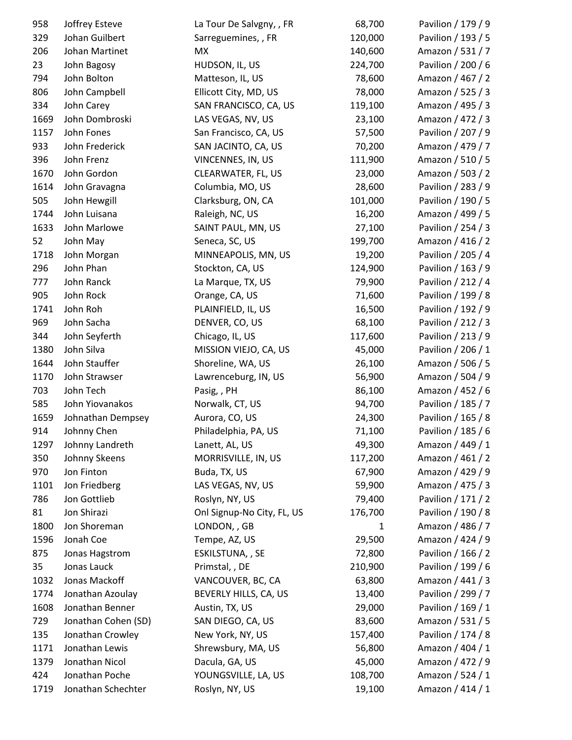| 958  | Joffrey Esteve      | La Tour De Salvgny, , FR   | 68,700  | Pavilion / 179 / 9 |
|------|---------------------|----------------------------|---------|--------------------|
| 329  | Johan Guilbert      | Sarreguemines, , FR        | 120,000 | Pavilion / 193 / 5 |
| 206  | Johan Martinet      | MX                         | 140,600 | Amazon / 531 / 7   |
| 23   | John Bagosy         | HUDSON, IL, US             | 224,700 | Pavilion / 200 / 6 |
| 794  | John Bolton         | Matteson, IL, US           | 78,600  | Amazon / 467 / 2   |
| 806  | John Campbell       | Ellicott City, MD, US      | 78,000  | Amazon / 525 / 3   |
| 334  | John Carey          | SAN FRANCISCO, CA, US      | 119,100 | Amazon / 495 / 3   |
| 1669 | John Dombroski      | LAS VEGAS, NV, US          | 23,100  | Amazon / 472 / 3   |
| 1157 | John Fones          | San Francisco, CA, US      | 57,500  | Pavilion / 207 / 9 |
| 933  | John Frederick      | SAN JACINTO, CA, US        | 70,200  | Amazon / 479 / 7   |
| 396  | John Frenz          | VINCENNES, IN, US          | 111,900 | Amazon / 510 / 5   |
| 1670 | John Gordon         | CLEARWATER, FL, US         | 23,000  | Amazon / 503 / 2   |
| 1614 | John Gravagna       | Columbia, MO, US           | 28,600  | Pavilion / 283 / 9 |
| 505  | John Hewgill        | Clarksburg, ON, CA         | 101,000 | Pavilion / 190 / 5 |
| 1744 | John Luisana        | Raleigh, NC, US            | 16,200  | Amazon / 499 / 5   |
| 1633 | John Marlowe        | SAINT PAUL, MN, US         | 27,100  | Pavilion / 254 / 3 |
| 52   | John May            | Seneca, SC, US             | 199,700 | Amazon / 416 / 2   |
| 1718 | John Morgan         | MINNEAPOLIS, MN, US        | 19,200  | Pavilion / 205 / 4 |
| 296  | John Phan           | Stockton, CA, US           | 124,900 | Pavilion / 163 / 9 |
| 777  | John Ranck          | La Marque, TX, US          | 79,900  | Pavilion / 212 / 4 |
| 905  | John Rock           | Orange, CA, US             | 71,600  | Pavilion / 199 / 8 |
| 1741 | John Roh            | PLAINFIELD, IL, US         | 16,500  | Pavilion / 192 / 9 |
| 969  | John Sacha          | DENVER, CO, US             | 68,100  | Pavilion / 212 / 3 |
| 344  | John Seyferth       | Chicago, IL, US            | 117,600 | Pavilion / 213 / 9 |
| 1380 | John Silva          | MISSION VIEJO, CA, US      | 45,000  | Pavilion / 206 / 1 |
| 1644 | John Stauffer       | Shoreline, WA, US          | 26,100  | Amazon / 506 / 5   |
| 1170 | John Strawser       | Lawrenceburg, IN, US       | 56,900  | Amazon / 504 / 9   |
| 703  | John Tech           | Pasig, , PH                | 86,100  | Amazon / 452 / 6   |
| 585  | John Yiovanakos     | Norwalk, CT, US            | 94,700  | Pavilion / 185 / 7 |
| 1659 | Johnathan Dempsey   | Aurora, CO, US             | 24,300  | Pavilion / 165 / 8 |
| 914  | Johnny Chen         | Philadelphia, PA, US       | 71,100  | Pavilion / 185 / 6 |
| 1297 | Johnny Landreth     | Lanett, AL, US             | 49,300  | Amazon / 449 / 1   |
| 350  | Johnny Skeens       | MORRISVILLE, IN, US        | 117,200 | Amazon / 461 / 2   |
| 970  | Jon Finton          | Buda, TX, US               | 67,900  | Amazon / 429 / 9   |
| 1101 | Jon Friedberg       | LAS VEGAS, NV, US          | 59,900  | Amazon / 475 / 3   |
| 786  | Jon Gottlieb        | Roslyn, NY, US             | 79,400  | Pavilion / 171 / 2 |
| 81   | Jon Shirazi         | Onl Signup-No City, FL, US | 176,700 | Pavilion / 190 / 8 |
| 1800 | Jon Shoreman        | LONDON, , GB               | 1       | Amazon / 486 / 7   |
| 1596 | Jonah Coe           | Tempe, AZ, US              | 29,500  | Amazon / 424 / 9   |
| 875  | Jonas Hagstrom      | ESKILSTUNA, , SE           | 72,800  | Pavilion / 166 / 2 |
| 35   | Jonas Lauck         | Primstal, , DE             | 210,900 | Pavilion / 199 / 6 |
| 1032 | Jonas Mackoff       | VANCOUVER, BC, CA          | 63,800  | Amazon / 441 / 3   |
| 1774 | Jonathan Azoulay    | BEVERLY HILLS, CA, US      | 13,400  | Pavilion / 299 / 7 |
| 1608 | Jonathan Benner     | Austin, TX, US             | 29,000  | Pavilion / 169 / 1 |
| 729  | Jonathan Cohen (SD) | SAN DIEGO, CA, US          | 83,600  | Amazon / 531 / 5   |
| 135  | Jonathan Crowley    | New York, NY, US           | 157,400 | Pavilion / 174 / 8 |
| 1171 | Jonathan Lewis      | Shrewsbury, MA, US         | 56,800  | Amazon / 404 / 1   |
| 1379 | Jonathan Nicol      | Dacula, GA, US             | 45,000  | Amazon / 472 / 9   |
| 424  | Jonathan Poche      | YOUNGSVILLE, LA, US        | 108,700 | Amazon / 524 / 1   |
| 1719 | Jonathan Schechter  | Roslyn, NY, US             | 19,100  | Amazon / 414 / 1   |
|      |                     |                            |         |                    |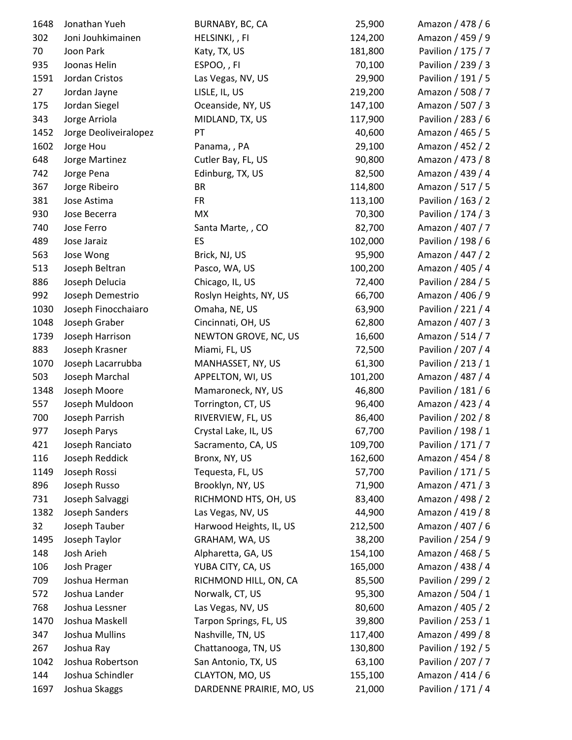| 1648 | Jonathan Yueh         | BURNABY, BC, CA          | 25,900  | Amazon / 478 / 6   |
|------|-----------------------|--------------------------|---------|--------------------|
| 302  | Joni Jouhkimainen     | HELSINKI,, FI            | 124,200 | Amazon / 459 / 9   |
| 70   | Joon Park             | Katy, TX, US             | 181,800 | Pavilion / 175 / 7 |
| 935  | Joonas Helin          | ESPOO,, FI               | 70,100  | Pavilion / 239 / 3 |
| 1591 | Jordan Cristos        | Las Vegas, NV, US        | 29,900  | Pavilion / 191 / 5 |
| 27   | Jordan Jayne          | LISLE, IL, US            | 219,200 | Amazon / 508 / 7   |
| 175  | Jordan Siegel         | Oceanside, NY, US        | 147,100 | Amazon / 507 / 3   |
| 343  | Jorge Arriola         | MIDLAND, TX, US          | 117,900 | Pavilion / 283 / 6 |
| 1452 | Jorge Deoliveiralopez | PT                       | 40,600  | Amazon / 465 / 5   |
| 1602 | Jorge Hou             | Panama, , PA             | 29,100  | Amazon / 452 / 2   |
| 648  | Jorge Martinez        | Cutler Bay, FL, US       | 90,800  | Amazon / 473 / 8   |
| 742  | Jorge Pena            | Edinburg, TX, US         | 82,500  | Amazon / 439 / 4   |
| 367  | Jorge Ribeiro         | BR                       | 114,800 | Amazon / 517 / 5   |
| 381  | Jose Astima           | <b>FR</b>                | 113,100 | Pavilion / 163 / 2 |
| 930  | Jose Becerra          | <b>MX</b>                | 70,300  | Pavilion / 174 / 3 |
| 740  | Jose Ferro            | Santa Marte, , CO        | 82,700  | Amazon / 407 / 7   |
| 489  | Jose Jaraiz           | ES                       | 102,000 | Pavilion / 198 / 6 |
| 563  | Jose Wong             | Brick, NJ, US            | 95,900  | Amazon / 447 / 2   |
| 513  | Joseph Beltran        | Pasco, WA, US            | 100,200 | Amazon / 405 / 4   |
| 886  | Joseph Delucia        | Chicago, IL, US          | 72,400  | Pavilion / 284 / 5 |
| 992  | Joseph Demestrio      | Roslyn Heights, NY, US   | 66,700  | Amazon / 406 / 9   |
| 1030 | Joseph Finocchaiaro   | Omaha, NE, US            | 63,900  | Pavilion / 221 / 4 |
| 1048 | Joseph Graber         | Cincinnati, OH, US       | 62,800  | Amazon / 407 / 3   |
| 1739 | Joseph Harrison       | NEWTON GROVE, NC, US     | 16,600  | Amazon / 514 / 7   |
| 883  | Joseph Krasner        | Miami, FL, US            | 72,500  | Pavilion / 207 / 4 |
| 1070 | Joseph Lacarrubba     | MANHASSET, NY, US        | 61,300  | Pavilion / 213 / 1 |
| 503  | Joseph Marchal        | APPELTON, WI, US         | 101,200 | Amazon / 487 / 4   |
| 1348 | Joseph Moore          | Mamaroneck, NY, US       | 46,800  | Pavilion / 181 / 6 |
| 557  | Joseph Muldoon        | Torrington, CT, US       | 96,400  | Amazon / 423 / 4   |
| 700  | Joseph Parrish        | RIVERVIEW, FL, US        | 86,400  | Pavilion / 202 / 8 |
| 977  | Joseph Parys          | Crystal Lake, IL, US     | 67,700  | Pavilion / 198 / 1 |
| 421  | Joseph Ranciato       | Sacramento, CA, US       | 109,700 | Pavilion / 171 / 7 |
| 116  | Joseph Reddick        | Bronx, NY, US            | 162,600 | Amazon / 454 / 8   |
| 1149 | Joseph Rossi          | Tequesta, FL, US         | 57,700  | Pavilion / 171 / 5 |
| 896  | Joseph Russo          | Brooklyn, NY, US         | 71,900  | Amazon / 471 / 3   |
| 731  | Joseph Salvaggi       | RICHMOND HTS, OH, US     | 83,400  | Amazon / 498 / 2   |
| 1382 | Joseph Sanders        | Las Vegas, NV, US        | 44,900  | Amazon / 419 / 8   |
| 32   | Joseph Tauber         | Harwood Heights, IL, US  | 212,500 | Amazon / 407 / 6   |
| 1495 | Joseph Taylor         | GRAHAM, WA, US           | 38,200  | Pavilion / 254 / 9 |
| 148  | Josh Arieh            | Alpharetta, GA, US       | 154,100 | Amazon / 468 / 5   |
| 106  | Josh Prager           | YUBA CITY, CA, US        | 165,000 | Amazon / 438 / 4   |
| 709  | Joshua Herman         | RICHMOND HILL, ON, CA    | 85,500  | Pavilion / 299 / 2 |
| 572  | Joshua Lander         | Norwalk, CT, US          | 95,300  | Amazon / 504 / 1   |
| 768  | Joshua Lessner        | Las Vegas, NV, US        | 80,600  | Amazon / 405 / 2   |
| 1470 | Joshua Maskell        | Tarpon Springs, FL, US   | 39,800  | Pavilion / 253 / 1 |
| 347  | Joshua Mullins        | Nashville, TN, US        | 117,400 | Amazon / 499 / 8   |
| 267  | Joshua Ray            | Chattanooga, TN, US      | 130,800 | Pavilion / 192 / 5 |
| 1042 | Joshua Robertson      | San Antonio, TX, US      | 63,100  | Pavilion / 207 / 7 |
| 144  | Joshua Schindler      | CLAYTON, MO, US          | 155,100 | Amazon / 414 / 6   |
| 1697 | Joshua Skaggs         | DARDENNE PRAIRIE, MO, US | 21,000  | Pavilion / 171 / 4 |
|      |                       |                          |         |                    |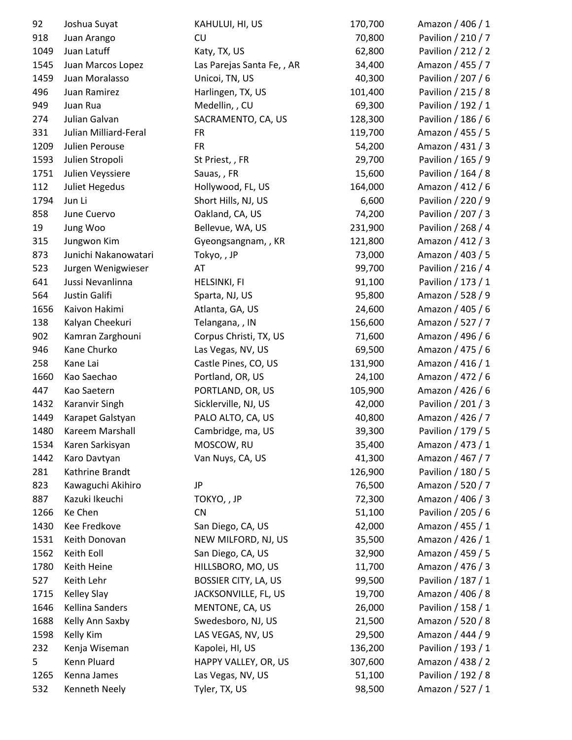| 92   | Joshua Suyat          | KAHULUI, HI, US             | 170,700 | Amazon / 406 / 1   |
|------|-----------------------|-----------------------------|---------|--------------------|
| 918  | Juan Arango           | CU                          | 70,800  | Pavilion / 210 / 7 |
| 1049 | Juan Latuff           | Katy, TX, US                | 62,800  | Pavilion / 212 / 2 |
| 1545 | Juan Marcos Lopez     | Las Parejas Santa Fe, , AR  | 34,400  | Amazon / 455 / 7   |
| 1459 | Juan Moralasso        | Unicoi, TN, US              | 40,300  | Pavilion / 207 / 6 |
| 496  | Juan Ramirez          | Harlingen, TX, US           | 101,400 | Pavilion / 215 / 8 |
| 949  | Juan Rua              | Medellin, , CU              | 69,300  | Pavilion / 192 / 1 |
| 274  | Julian Galvan         | SACRAMENTO, CA, US          | 128,300 | Pavilion / 186 / 6 |
| 331  | Julian Milliard-Feral | <b>FR</b>                   | 119,700 | Amazon / 455 / 5   |
| 1209 | Julien Perouse        | <b>FR</b>                   | 54,200  | Amazon / 431 / 3   |
| 1593 | Julien Stropoli       | St Priest, , FR             | 29,700  | Pavilion / 165 / 9 |
| 1751 | Julien Veyssiere      | Sauas,, FR                  | 15,600  | Pavilion / 164 / 8 |
| 112  | <b>Juliet Hegedus</b> | Hollywood, FL, US           | 164,000 | Amazon / 412 / 6   |
| 1794 | Jun Li                | Short Hills, NJ, US         | 6,600   | Pavilion / 220 / 9 |
| 858  | June Cuervo           | Oakland, CA, US             | 74,200  | Pavilion / 207 / 3 |
| 19   | Jung Woo              | Bellevue, WA, US            | 231,900 | Pavilion / 268 / 4 |
| 315  | Jungwon Kim           | Gyeongsangnam, , KR         | 121,800 | Amazon / 412 / 3   |
| 873  | Junichi Nakanowatari  | Tokyo, , JP                 | 73,000  | Amazon / 403 / 5   |
| 523  | Jurgen Wenigwieser    | AT                          | 99,700  | Pavilion / 216 / 4 |
| 641  | Jussi Nevanlinna      | HELSINKI, FI                | 91,100  | Pavilion / 173 / 1 |
| 564  | Justin Galifi         | Sparta, NJ, US              | 95,800  | Amazon / 528 / 9   |
| 1656 | Kaivon Hakimi         | Atlanta, GA, US             | 24,600  | Amazon / 405 / 6   |
| 138  | Kalyan Cheekuri       | Telangana, , IN             | 156,600 | Amazon / 527 / 7   |
| 902  | Kamran Zarghouni      | Corpus Christi, TX, US      | 71,600  | Amazon / 496 / 6   |
| 946  | Kane Churko           | Las Vegas, NV, US           | 69,500  | Amazon / 475 / 6   |
| 258  | Kane Lai              | Castle Pines, CO, US        | 131,900 | Amazon / 416 / 1   |
| 1660 | Kao Saechao           | Portland, OR, US            | 24,100  | Amazon / 472 / 6   |
| 447  | Kao Saetern           | PORTLAND, OR, US            | 105,900 | Amazon / 426 / 6   |
| 1432 | Karanvir Singh        | Sicklerville, NJ, US        | 42,000  | Pavilion / 201 / 3 |
| 1449 | Karapet Galstyan      | PALO ALTO, CA, US           | 40,800  | Amazon / 426 / 7   |
| 1480 | Kareem Marshall       | Cambridge, ma, US           | 39,300  | Pavilion / 179 / 5 |
| 1534 | Karen Sarkisyan       | MOSCOW, RU                  | 35,400  | Amazon / 473 / 1   |
| 1442 | Karo Davtyan          | Van Nuys, CA, US            | 41,300  | Amazon / 467 / 7   |
| 281  | Kathrine Brandt       |                             | 126,900 | Pavilion / 180 / 5 |
| 823  | Kawaguchi Akihiro     | JP                          | 76,500  | Amazon / 520 / 7   |
| 887  | Kazuki Ikeuchi        | TOKYO, , JP                 | 72,300  | Amazon / 406 / 3   |
| 1266 | Ke Chen               | <b>CN</b>                   | 51,100  | Pavilion / 205 / 6 |
| 1430 | Kee Fredkove          | San Diego, CA, US           | 42,000  | Amazon / 455 / 1   |
| 1531 | Keith Donovan         | NEW MILFORD, NJ, US         | 35,500  | Amazon / 426 / 1   |
| 1562 | Keith Eoll            | San Diego, CA, US           | 32,900  | Amazon / 459 / 5   |
| 1780 | Keith Heine           | HILLSBORO, MO, US           | 11,700  | Amazon / 476 / 3   |
| 527  | Keith Lehr            | <b>BOSSIER CITY, LA, US</b> | 99,500  | Pavilion / 187 / 1 |
| 1715 | <b>Kelley Slay</b>    | JACKSONVILLE, FL, US        | 19,700  | Amazon / 406 / 8   |
| 1646 | Kellina Sanders       | MENTONE, CA, US             | 26,000  | Pavilion / 158 / 1 |
| 1688 | Kelly Ann Saxby       | Swedesboro, NJ, US          | 21,500  | Amazon / 520 / 8   |
| 1598 | Kelly Kim             | LAS VEGAS, NV, US           | 29,500  | Amazon / 444 / 9   |
| 232  | Kenja Wiseman         | Kapolei, HI, US             | 136,200 | Pavilion / 193 / 1 |
| 5    | Kenn Pluard           | HAPPY VALLEY, OR, US        | 307,600 | Amazon / 438 / 2   |
| 1265 | Kenna James           | Las Vegas, NV, US           | 51,100  | Pavilion / 192 / 8 |
| 532  | Kenneth Neely         | Tyler, TX, US               | 98,500  | Amazon / 527 / 1   |
|      |                       |                             |         |                    |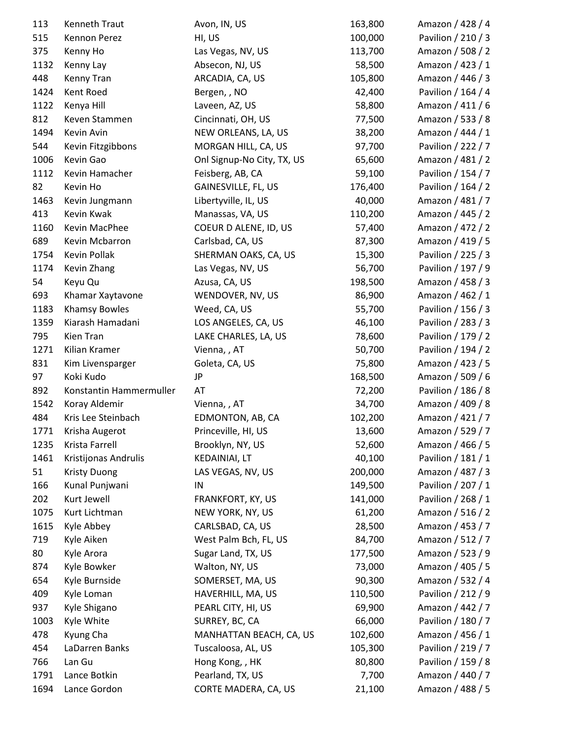| 113  | Kenneth Traut           | Avon, IN, US               | 163,800 | Amazon / 428 / 4   |
|------|-------------------------|----------------------------|---------|--------------------|
| 515  | Kennon Perez            | HI, US                     | 100,000 | Pavilion / 210 / 3 |
| 375  | Kenny Ho                | Las Vegas, NV, US          | 113,700 | Amazon / 508 / 2   |
| 1132 | Kenny Lay               | Absecon, NJ, US            | 58,500  | Amazon / 423 / 1   |
| 448  | Kenny Tran              | ARCADIA, CA, US            | 105,800 | Amazon / 446 / 3   |
| 1424 | Kent Roed               | Bergen, , NO               | 42,400  | Pavilion / 164 / 4 |
| 1122 | Kenya Hill              | Laveen, AZ, US             | 58,800  | Amazon / 411 / 6   |
| 812  | Keven Stammen           | Cincinnati, OH, US         | 77,500  | Amazon / 533 / 8   |
| 1494 | Kevin Avin              | NEW ORLEANS, LA, US        | 38,200  | Amazon / 444 / 1   |
| 544  | Kevin Fitzgibbons       | MORGAN HILL, CA, US        | 97,700  | Pavilion / 222 / 7 |
| 1006 | Kevin Gao               | Onl Signup-No City, TX, US | 65,600  | Amazon / 481 / 2   |
| 1112 | Kevin Hamacher          | Feisberg, AB, CA           | 59,100  | Pavilion / 154 / 7 |
| 82   | Kevin Ho                | GAINESVILLE, FL, US        | 176,400 | Pavilion / 164 / 2 |
| 1463 | Kevin Jungmann          | Libertyville, IL, US       | 40,000  | Amazon / 481 / 7   |
| 413  | Kevin Kwak              | Manassas, VA, US           | 110,200 | Amazon / 445 / 2   |
| 1160 | Kevin MacPhee           | COEUR D ALENE, ID, US      | 57,400  | Amazon / 472 / 2   |
| 689  | Kevin Mcbarron          | Carlsbad, CA, US           | 87,300  | Amazon / 419 / 5   |
| 1754 | Kevin Pollak            | SHERMAN OAKS, CA, US       | 15,300  | Pavilion / 225 / 3 |
| 1174 | Kevin Zhang             | Las Vegas, NV, US          | 56,700  | Pavilion / 197 / 9 |
| 54   | Keyu Qu                 | Azusa, CA, US              | 198,500 | Amazon / 458 / 3   |
| 693  | Khamar Xaytavone        | WENDOVER, NV, US           | 86,900  | Amazon / 462 / 1   |
| 1183 | Khamsy Bowles           | Weed, CA, US               | 55,700  | Pavilion / 156 / 3 |
| 1359 | Kiarash Hamadani        | LOS ANGELES, CA, US        | 46,100  | Pavilion / 283 / 3 |
| 795  | Kien Tran               | LAKE CHARLES, LA, US       | 78,600  | Pavilion / 179 / 2 |
| 1271 | Kilian Kramer           | Vienna, , AT               | 50,700  | Pavilion / 194 / 2 |
| 831  | Kim Livensparger        | Goleta, CA, US             | 75,800  | Amazon / 423 / 5   |
| 97   | Koki Kudo               | JP                         | 168,500 | Amazon / 509 / 6   |
| 892  | Konstantin Hammermuller | AT                         | 72,200  | Pavilion / 186 / 8 |
| 1542 | Koray Aldemir           | Vienna, , AT               | 34,700  | Amazon / 409 / 8   |
| 484  | Kris Lee Steinbach      | EDMONTON, AB, CA           | 102,200 | Amazon / 421 / 7   |
| 1771 | Krisha Augerot          | Princeville, HI, US        | 13,600  | Amazon / 529 / 7   |
| 1235 | Krista Farrell          | Brooklyn, NY, US           | 52,600  | Amazon / 466 / 5   |
| 1461 | Kristijonas Andrulis    | <b>KEDAINIAI, LT</b>       | 40,100  | Pavilion / 181 / 1 |
| 51   | <b>Kristy Duong</b>     | LAS VEGAS, NV, US          | 200,000 | Amazon / 487 / 3   |
| 166  | Kunal Punjwani          | IN                         | 149,500 | Pavilion / 207 / 1 |
| 202  | Kurt Jewell             | FRANKFORT, KY, US          | 141,000 | Pavilion / 268 / 1 |
| 1075 | Kurt Lichtman           | NEW YORK, NY, US           | 61,200  | Amazon / 516 / 2   |
| 1615 | Kyle Abbey              | CARLSBAD, CA, US           | 28,500  | Amazon / 453 / 7   |
| 719  | Kyle Aiken              | West Palm Bch, FL, US      | 84,700  | Amazon / 512 / 7   |
| 80   | Kyle Arora              | Sugar Land, TX, US         | 177,500 | Amazon / 523 / 9   |
| 874  | Kyle Bowker             | Walton, NY, US             | 73,000  | Amazon / 405 / 5   |
| 654  | Kyle Burnside           | SOMERSET, MA, US           | 90,300  | Amazon / 532 / 4   |
| 409  | Kyle Loman              | HAVERHILL, MA, US          | 110,500 | Pavilion / 212 / 9 |
| 937  | Kyle Shigano            | PEARL CITY, HI, US         | 69,900  | Amazon / 442 / 7   |
| 1003 | Kyle White              | SURREY, BC, CA             | 66,000  | Pavilion / 180 / 7 |
| 478  | Kyung Cha               | MANHATTAN BEACH, CA, US    | 102,600 | Amazon / 456 / 1   |
| 454  | LaDarren Banks          | Tuscaloosa, AL, US         | 105,300 | Pavilion / 219 / 7 |
| 766  | Lan Gu                  | Hong Kong, , HK            | 80,800  | Pavilion / 159 / 8 |
| 1791 | Lance Botkin            | Pearland, TX, US           | 7,700   | Amazon / 440 / 7   |
| 1694 | Lance Gordon            | CORTE MADERA, CA, US       | 21,100  | Amazon / 488 / 5   |
|      |                         |                            |         |                    |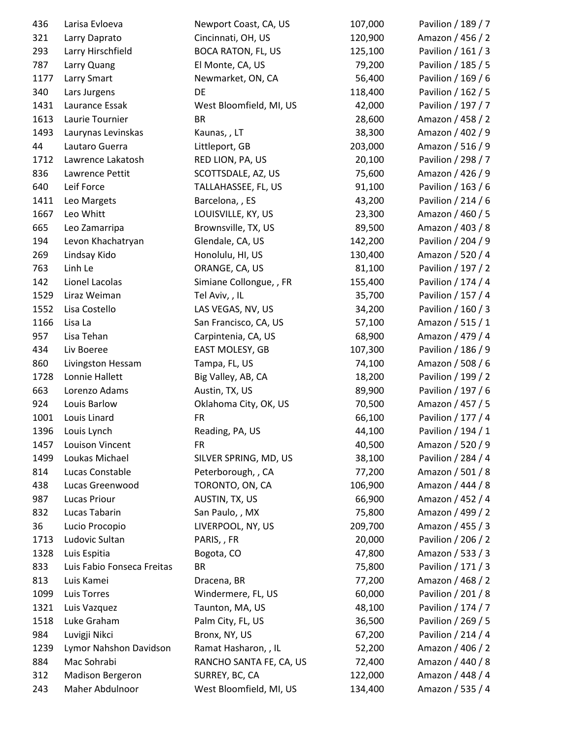| 436  | Larisa Evloeva             | Newport Coast, CA, US     | 107,000 | Pavilion / 189 / 7 |
|------|----------------------------|---------------------------|---------|--------------------|
| 321  | Larry Daprato              | Cincinnati, OH, US        | 120,900 | Amazon / 456 / 2   |
| 293  | Larry Hirschfield          | <b>BOCA RATON, FL, US</b> | 125,100 | Pavilion / 161 / 3 |
| 787  | Larry Quang                | El Monte, CA, US          | 79,200  | Pavilion / 185 / 5 |
| 1177 | Larry Smart                | Newmarket, ON, CA         | 56,400  | Pavilion / 169 / 6 |
| 340  | Lars Jurgens               | DE                        | 118,400 | Pavilion / 162 / 5 |
| 1431 | Laurance Essak             | West Bloomfield, MI, US   | 42,000  | Pavilion / 197 / 7 |
| 1613 | Laurie Tournier            | <b>BR</b>                 | 28,600  | Amazon / 458 / 2   |
| 1493 | Laurynas Levinskas         | Kaunas,, LT               | 38,300  | Amazon / 402 / 9   |
| 44   | Lautaro Guerra             | Littleport, GB            | 203,000 | Amazon / 516 / 9   |
| 1712 | Lawrence Lakatosh          | RED LION, PA, US          | 20,100  | Pavilion / 298 / 7 |
| 836  | Lawrence Pettit            | SCOTTSDALE, AZ, US        | 75,600  | Amazon / 426 / 9   |
| 640  | Leif Force                 | TALLAHASSEE, FL, US       | 91,100  | Pavilion / 163 / 6 |
| 1411 | Leo Margets                | Barcelona, , ES           | 43,200  | Pavilion / 214 / 6 |
| 1667 | Leo Whitt                  | LOUISVILLE, KY, US        | 23,300  | Amazon / 460 / 5   |
| 665  | Leo Zamarripa              | Brownsville, TX, US       | 89,500  | Amazon / 403 / 8   |
| 194  | Levon Khachatryan          | Glendale, CA, US          | 142,200 | Pavilion / 204 / 9 |
| 269  | Lindsay Kido               | Honolulu, HI, US          | 130,400 | Amazon / 520 / 4   |
| 763  | Linh Le                    | ORANGE, CA, US            | 81,100  | Pavilion / 197 / 2 |
| 142  | Lionel Lacolas             | Simiane Collongue, , FR   | 155,400 | Pavilion / 174 / 4 |
| 1529 | Liraz Weiman               | Tel Aviv,, IL             | 35,700  | Pavilion / 157 / 4 |
| 1552 | Lisa Costello              | LAS VEGAS, NV, US         | 34,200  | Pavilion / 160 / 3 |
| 1166 | Lisa La                    | San Francisco, CA, US     | 57,100  | Amazon / 515 / 1   |
| 957  | Lisa Tehan                 | Carpintenia, CA, US       | 68,900  | Amazon / 479 / 4   |
| 434  | Liv Boeree                 | EAST MOLESY, GB           | 107,300 | Pavilion / 186 / 9 |
| 860  | Livingston Hessam          | Tampa, FL, US             | 74,100  | Amazon / 508 / 6   |
| 1728 | Lonnie Hallett             | Big Valley, AB, CA        | 18,200  | Pavilion / 199 / 2 |
| 663  | Lorenzo Adams              | Austin, TX, US            | 89,900  | Pavilion / 197 / 6 |
| 924  | Louis Barlow               | Oklahoma City, OK, US     | 70,500  | Amazon / 457 / 5   |
| 1001 | Louis Linard               | <b>FR</b>                 | 66,100  | Pavilion / 177 / 4 |
| 1396 | Louis Lynch                | Reading, PA, US           | 44,100  | Pavilion / 194 / 1 |
| 1457 | Louison Vincent            | <b>FR</b>                 | 40,500  | Amazon / 520 / 9   |
| 1499 | Loukas Michael             | SILVER SPRING, MD, US     | 38,100  | Pavilion / 284 / 4 |
| 814  | Lucas Constable            | Peterborough, , CA        | 77,200  | Amazon / 501 / 8   |
| 438  | Lucas Greenwood            | TORONTO, ON, CA           | 106,900 | Amazon / 444 / 8   |
| 987  | Lucas Priour               | AUSTIN, TX, US            | 66,900  | Amazon / 452 / 4   |
| 832  | Lucas Tabarin              | San Paulo, , MX           | 75,800  | Amazon / 499 / 2   |
| 36   | Lucio Procopio             | LIVERPOOL, NY, US         | 209,700 | Amazon / 455 / 3   |
| 1713 | Ludovic Sultan             | PARIS, , FR               | 20,000  | Pavilion / 206 / 2 |
| 1328 | Luis Espitia               | Bogota, CO                | 47,800  | Amazon / 533 / 3   |
| 833  | Luis Fabio Fonseca Freitas | <b>BR</b>                 | 75,800  | Pavilion / 171 / 3 |
| 813  | Luis Kamei                 | Dracena, BR               | 77,200  | Amazon / 468 / 2   |
| 1099 | Luis Torres                | Windermere, FL, US        | 60,000  | Pavilion / 201 / 8 |
| 1321 | Luis Vazquez               | Taunton, MA, US           | 48,100  | Pavilion / 174 / 7 |
| 1518 | Luke Graham                | Palm City, FL, US         | 36,500  | Pavilion / 269 / 5 |
| 984  | Luvigji Nikci              | Bronx, NY, US             | 67,200  | Pavilion / 214 / 4 |
| 1239 | Lymor Nahshon Davidson     | Ramat Hasharon, , IL      | 52,200  | Amazon / 406 / 2   |
| 884  | Mac Sohrabi                | RANCHO SANTA FE, CA, US   | 72,400  | Amazon / 440 / 8   |
| 312  | <b>Madison Bergeron</b>    | SURREY, BC, CA            | 122,000 | Amazon / 448 / 4   |
| 243  | Maher Abdulnoor            | West Bloomfield, MI, US   | 134,400 | Amazon / 535 / 4   |
|      |                            |                           |         |                    |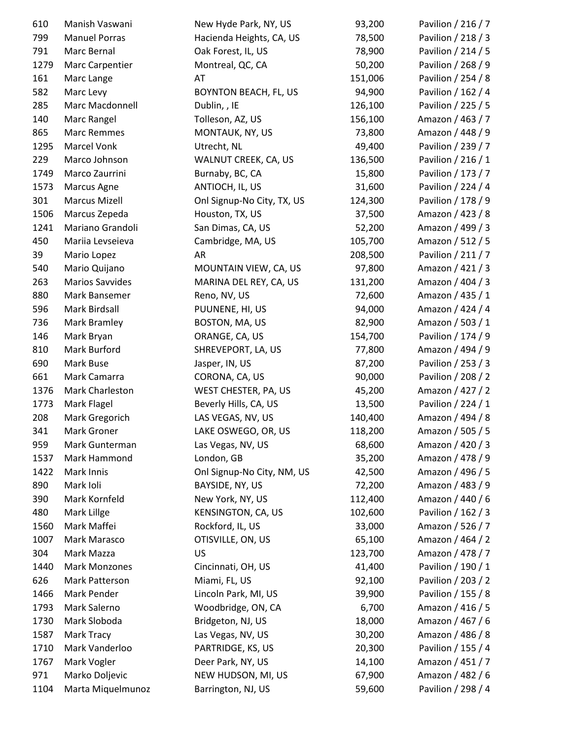| 610  | Manish Vaswani         | New Hyde Park, NY, US      | 93,200  | Pavilion / 216 / 7 |
|------|------------------------|----------------------------|---------|--------------------|
| 799  | <b>Manuel Porras</b>   | Hacienda Heights, CA, US   | 78,500  | Pavilion / 218 / 3 |
| 791  | Marc Bernal            | Oak Forest, IL, US         | 78,900  | Pavilion / 214 / 5 |
| 1279 | Marc Carpentier        | Montreal, QC, CA           | 50,200  | Pavilion / 268 / 9 |
| 161  | Marc Lange             | AT                         | 151,006 | Pavilion / 254 / 8 |
| 582  | Marc Levy              | BOYNTON BEACH, FL, US      | 94,900  | Pavilion / 162 / 4 |
| 285  | Marc Macdonnell        | Dublin, , IE               | 126,100 | Pavilion / 225 / 5 |
| 140  | Marc Rangel            | Tolleson, AZ, US           | 156,100 | Amazon / 463 / 7   |
| 865  | Marc Remmes            | MONTAUK, NY, US            | 73,800  | Amazon / 448 / 9   |
| 1295 | <b>Marcel Vonk</b>     | Utrecht, NL                | 49,400  | Pavilion / 239 / 7 |
| 229  | Marco Johnson          | WALNUT CREEK, CA, US       | 136,500 | Pavilion / 216 / 1 |
| 1749 | Marco Zaurrini         | Burnaby, BC, CA            | 15,800  | Pavilion / 173 / 7 |
| 1573 | Marcus Agne            | ANTIOCH, IL, US            | 31,600  | Pavilion / 224 / 4 |
| 301  | <b>Marcus Mizell</b>   | Onl Signup-No City, TX, US | 124,300 | Pavilion / 178 / 9 |
| 1506 | Marcus Zepeda          | Houston, TX, US            | 37,500  | Amazon / 423 / 8   |
| 1241 | Mariano Grandoli       | San Dimas, CA, US          | 52,200  | Amazon / 499 / 3   |
| 450  | Mariia Levseieva       | Cambridge, MA, US          | 105,700 | Amazon / 512 / 5   |
| 39   | Mario Lopez            | AR                         | 208,500 | Pavilion / 211 / 7 |
| 540  | Mario Quijano          | MOUNTAIN VIEW, CA, US      | 97,800  | Amazon / 421 / 3   |
| 263  | <b>Marios Savvides</b> | MARINA DEL REY, CA, US     | 131,200 | Amazon / 404 / 3   |
| 880  | Mark Bansemer          | Reno, NV, US               | 72,600  | Amazon / 435 / 1   |
| 596  | Mark Birdsall          | PUUNENE, HI, US            | 94,000  | Amazon / 424 / 4   |
| 736  | Mark Bramley           | BOSTON, MA, US             | 82,900  | Amazon / 503 / 1   |
| 146  | Mark Bryan             | ORANGE, CA, US             | 154,700 | Pavilion / 174 / 9 |
| 810  | Mark Burford           | SHREVEPORT, LA, US         | 77,800  | Amazon / 494 / 9   |
| 690  | Mark Buse              | Jasper, IN, US             | 87,200  | Pavilion / 253 / 3 |
| 661  | Mark Camarra           | CORONA, CA, US             | 90,000  | Pavilion / 208 / 2 |
| 1376 | Mark Charleston        | WEST CHESTER, PA, US       | 45,200  | Amazon / 427 / 2   |
| 1773 | Mark Flagel            | Beverly Hills, CA, US      | 13,500  | Pavilion / 224 / 1 |
| 208  | Mark Gregorich         | LAS VEGAS, NV, US          | 140,400 | Amazon / 494 / 8   |
| 341  | Mark Groner            | LAKE OSWEGO, OR, US        | 118,200 | Amazon / 505 / 5   |
| 959  | Mark Gunterman         | Las Vegas, NV, US          | 68,600  | Amazon / 420 / 3   |
| 1537 | Mark Hammond           | London, GB                 | 35,200  | Amazon / 478 / 9   |
| 1422 | Mark Innis             | Onl Signup-No City, NM, US | 42,500  | Amazon / 496 / 5   |
| 890  | Mark Ioli              | BAYSIDE, NY, US            | 72,200  | Amazon / 483 / 9   |
| 390  | Mark Kornfeld          | New York, NY, US           | 112,400 | Amazon / 440 / 6   |
| 480  | Mark Lillge            | KENSINGTON, CA, US         | 102,600 | Pavilion / 162 / 3 |
| 1560 | Mark Maffei            | Rockford, IL, US           | 33,000  | Amazon / 526 / 7   |
| 1007 | Mark Marasco           | OTISVILLE, ON, US          | 65,100  | Amazon / 464 / 2   |
| 304  | Mark Mazza             | US                         | 123,700 | Amazon / 478 / 7   |
| 1440 | <b>Mark Monzones</b>   | Cincinnati, OH, US         | 41,400  | Pavilion / 190 / 1 |
| 626  | Mark Patterson         | Miami, FL, US              | 92,100  | Pavilion / 203 / 2 |
| 1466 | Mark Pender            | Lincoln Park, MI, US       | 39,900  | Pavilion / 155 / 8 |
| 1793 | Mark Salerno           | Woodbridge, ON, CA         | 6,700   | Amazon / 416 / 5   |
| 1730 | Mark Sloboda           | Bridgeton, NJ, US          | 18,000  | Amazon / 467 / 6   |
| 1587 | Mark Tracy             | Las Vegas, NV, US          | 30,200  | Amazon / 486 / 8   |
| 1710 | Mark Vanderloo         | PARTRIDGE, KS, US          | 20,300  | Pavilion / 155 / 4 |
| 1767 | Mark Vogler            | Deer Park, NY, US          | 14,100  | Amazon / 451 / 7   |
| 971  | Marko Doljevic         | NEW HUDSON, MI, US         | 67,900  | Amazon / 482 / 6   |
| 1104 | Marta Miquelmunoz      | Barrington, NJ, US         | 59,600  | Pavilion / 298 / 4 |
|      |                        |                            |         |                    |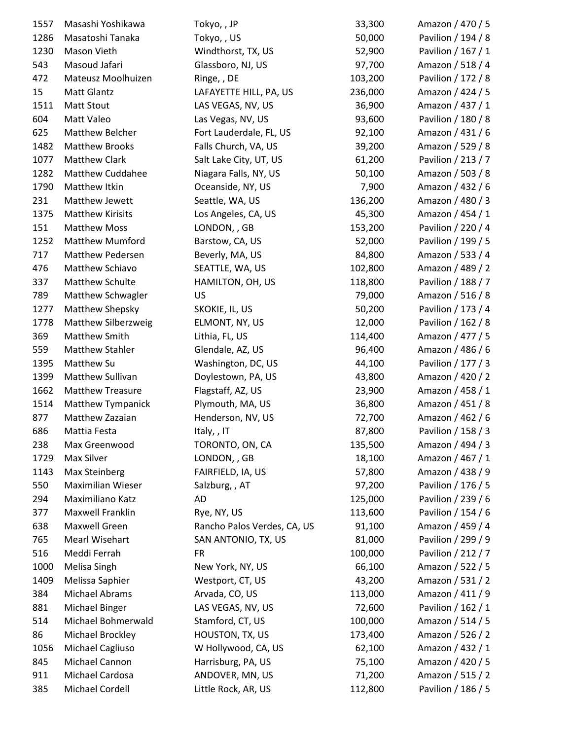| 1557 | Masashi Yoshikawa        | Tokyo,, JP                  | 33,300  | Amazon / 470 / 5   |
|------|--------------------------|-----------------------------|---------|--------------------|
| 1286 | Masatoshi Tanaka         | Tokyo,, US                  | 50,000  | Pavilion / 194 / 8 |
| 1230 | Mason Vieth              | Windthorst, TX, US          | 52,900  | Pavilion / 167 / 1 |
| 543  | Masoud Jafari            | Glassboro, NJ, US           | 97,700  | Amazon / 518 / 4   |
| 472  | Mateusz Moolhuizen       | Ringe, , DE                 | 103,200 | Pavilion / 172 / 8 |
| 15   | Matt Glantz              | LAFAYETTE HILL, PA, US      | 236,000 | Amazon / 424 / 5   |
| 1511 | <b>Matt Stout</b>        | LAS VEGAS, NV, US           | 36,900  | Amazon / 437 / 1   |
| 604  | Matt Valeo               | Las Vegas, NV, US           | 93,600  | Pavilion / 180 / 8 |
| 625  | Matthew Belcher          | Fort Lauderdale, FL, US     | 92,100  | Amazon / 431 / 6   |
| 1482 | <b>Matthew Brooks</b>    | Falls Church, VA, US        | 39,200  | Amazon / 529 / 8   |
| 1077 | <b>Matthew Clark</b>     | Salt Lake City, UT, US      | 61,200  | Pavilion / 213 / 7 |
| 1282 | Matthew Cuddahee         | Niagara Falls, NY, US       | 50,100  | Amazon / 503 / 8   |
| 1790 | Matthew Itkin            | Oceanside, NY, US           | 7,900   | Amazon / 432 / 6   |
| 231  | Matthew Jewett           | Seattle, WA, US             | 136,200 | Amazon / 480 / 3   |
| 1375 | <b>Matthew Kirisits</b>  | Los Angeles, CA, US         | 45,300  | Amazon / 454 / 1   |
| 151  | <b>Matthew Moss</b>      | LONDON, , GB                | 153,200 | Pavilion / 220 / 4 |
| 1252 | <b>Matthew Mumford</b>   | Barstow, CA, US             | 52,000  | Pavilion / 199 / 5 |
| 717  | Matthew Pedersen         | Beverly, MA, US             | 84,800  | Amazon / 533 / 4   |
| 476  | Matthew Schiavo          | SEATTLE, WA, US             | 102,800 | Amazon / 489 / 2   |
| 337  | Matthew Schulte          | HAMILTON, OH, US            | 118,800 | Pavilion / 188 / 7 |
| 789  | Matthew Schwagler        | US                          | 79,000  | Amazon / 516 / 8   |
| 1277 | Matthew Shepsky          | SKOKIE, IL, US              | 50,200  | Pavilion / 173 / 4 |
| 1778 | Matthew Silberzweig      | ELMONT, NY, US              | 12,000  | Pavilion / 162 / 8 |
| 369  | Matthew Smith            | Lithia, FL, US              | 114,400 | Amazon / 477 / 5   |
| 559  | <b>Matthew Stahler</b>   | Glendale, AZ, US            | 96,400  | Amazon / 486 / 6   |
| 1395 | Matthew Su               | Washington, DC, US          | 44,100  | Pavilion / 177 / 3 |
| 1399 | Matthew Sullivan         | Doylestown, PA, US          | 43,800  | Amazon / 420 / 2   |
| 1662 | <b>Matthew Treasure</b>  | Flagstaff, AZ, US           | 23,900  | Amazon / 458 / 1   |
| 1514 | Matthew Tympanick        | Plymouth, MA, US            | 36,800  | Amazon / 451 / 8   |
| 877  | Matthew Zazaian          | Henderson, NV, US           | 72,700  | Amazon / 462 / 6   |
| 686  | Mattia Festa             | Italy, , IT                 | 87,800  | Pavilion / 158 / 3 |
| 238  | Max Greenwood            | TORONTO, ON, CA             | 135,500 | Amazon / 494 / 3   |
| 1729 | Max Silver               | LONDON, , GB                | 18,100  | Amazon / 467 / 1   |
| 1143 | Max Steinberg            | FAIRFIELD, IA, US           | 57,800  | Amazon / 438 / 9   |
| 550  | <b>Maximilian Wieser</b> | Salzburg, , AT              | 97,200  | Pavilion / 176 / 5 |
| 294  | Maximiliano Katz         | AD                          | 125,000 | Pavilion / 239 / 6 |
| 377  | Maxwell Franklin         | Rye, NY, US                 | 113,600 | Pavilion / 154 / 6 |
| 638  | Maxwell Green            | Rancho Palos Verdes, CA, US | 91,100  | Amazon / 459 / 4   |
| 765  | <b>Mearl Wisehart</b>    | SAN ANTONIO, TX, US         | 81,000  | Pavilion / 299 / 9 |
| 516  | Meddi Ferrah             | <b>FR</b>                   | 100,000 | Pavilion / 212 / 7 |
| 1000 | Melisa Singh             | New York, NY, US            | 66,100  | Amazon / 522 / 5   |
| 1409 | Melissa Saphier          | Westport, CT, US            | 43,200  | Amazon / 531 / 2   |
| 384  | Michael Abrams           | Arvada, CO, US              | 113,000 | Amazon / 411 / 9   |
| 881  | Michael Binger           | LAS VEGAS, NV, US           | 72,600  | Pavilion / 162 / 1 |
| 514  | Michael Bohmerwald       | Stamford, CT, US            | 100,000 | Amazon / 514 / 5   |
| 86   | Michael Brockley         | HOUSTON, TX, US             | 173,400 | Amazon / 526 / 2   |
| 1056 | Michael Cagliuso         | W Hollywood, CA, US         | 62,100  | Amazon / 432 / 1   |
| 845  | Michael Cannon           | Harrisburg, PA, US          | 75,100  | Amazon / 420 / 5   |
| 911  | Michael Cardosa          | ANDOVER, MN, US             | 71,200  | Amazon / 515 / 2   |
| 385  | Michael Cordell          | Little Rock, AR, US         | 112,800 | Pavilion / 186 / 5 |
|      |                          |                             |         |                    |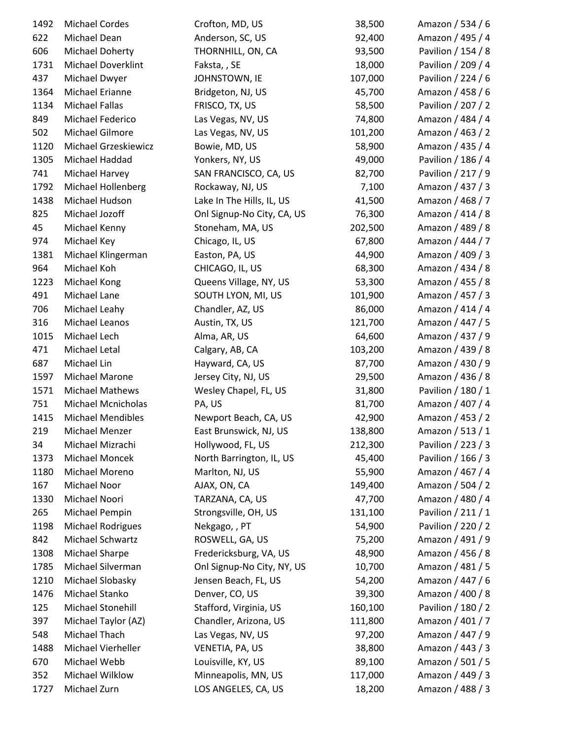| 1492 | <b>Michael Cordes</b>       | Crofton, MD, US                       | 38,500  | Amazon / 534 / 6   |
|------|-----------------------------|---------------------------------------|---------|--------------------|
| 622  | Michael Dean                | Anderson, SC, US                      | 92,400  | Amazon / 495 / 4   |
| 606  | Michael Doherty             | THORNHILL, ON, CA                     | 93,500  | Pavilion / 154 / 8 |
| 1731 | <b>Michael Doverklint</b>   | Faksta, , SE                          | 18,000  | Pavilion / 209 / 4 |
| 437  | Michael Dwyer               | JOHNSTOWN, IE                         | 107,000 | Pavilion / 224 / 6 |
| 1364 | Michael Erianne             | Bridgeton, NJ, US                     | 45,700  | Amazon / 458 / 6   |
| 1134 | <b>Michael Fallas</b>       | FRISCO, TX, US                        | 58,500  | Pavilion / 207 / 2 |
| 849  | Michael Federico            | Las Vegas, NV, US                     | 74,800  | Amazon / 484 / 4   |
| 502  | Michael Gilmore             | Las Vegas, NV, US                     | 101,200 | Amazon / 463 / 2   |
| 1120 | <b>Michael Grzeskiewicz</b> | Bowie, MD, US                         | 58,900  | Amazon / 435 / 4   |
| 1305 | Michael Haddad              | Yonkers, NY, US                       | 49,000  | Pavilion / 186 / 4 |
| 741  | Michael Harvey              | SAN FRANCISCO, CA, US                 | 82,700  | Pavilion / 217 / 9 |
| 1792 | Michael Hollenberg          | Rockaway, NJ, US                      | 7,100   | Amazon / 437 / 3   |
| 1438 | Michael Hudson              | Lake In The Hills, IL, US             | 41,500  | Amazon / 468 / 7   |
| 825  | Michael Jozoff              | Onl Signup-No City, CA, US            | 76,300  | Amazon / 414 / 8   |
| 45   | Michael Kenny               | Stoneham, MA, US                      | 202,500 | Amazon / 489 / 8   |
| 974  | Michael Key                 | Chicago, IL, US                       | 67,800  | Amazon / 444 / 7   |
| 1381 | Michael Klingerman          | Easton, PA, US                        | 44,900  | Amazon / 409 / 3   |
| 964  | Michael Koh                 | CHICAGO, IL, US                       | 68,300  | Amazon / 434 / 8   |
| 1223 | Michael Kong                | Queens Village, NY, US                | 53,300  | Amazon / 455 / 8   |
| 491  | Michael Lane                | SOUTH LYON, MI, US                    | 101,900 | Amazon / 457 / 3   |
| 706  | Michael Leahy               | Chandler, AZ, US                      | 86,000  | Amazon / 414 / 4   |
| 316  | Michael Leanos              | Austin, TX, US                        | 121,700 | Amazon / 447 / 5   |
| 1015 | Michael Lech                | Alma, AR, US                          | 64,600  | Amazon / 437 / 9   |
| 471  | Michael Letal               | Calgary, AB, CA                       | 103,200 | Amazon / 439 / 8   |
| 687  | Michael Lin                 | Hayward, CA, US                       | 87,700  | Amazon / 430 / 9   |
| 1597 | <b>Michael Marone</b>       | Jersey City, NJ, US                   | 29,500  | Amazon / 436 / 8   |
| 1571 | <b>Michael Mathews</b>      | Wesley Chapel, FL, US                 | 31,800  | Pavilion / 180 / 1 |
| 751  | <b>Michael Mcnicholas</b>   | PA, US                                | 81,700  | Amazon / 407 / 4   |
| 1415 | <b>Michael Mendibles</b>    | Newport Beach, CA, US                 | 42,900  | Amazon / 453 / 2   |
| 219  | Michael Menzer              | East Brunswick, NJ, US                | 138,800 | Amazon / 513 / 1   |
| 34   | Michael Mizrachi            | Hollywood, FL, US                     | 212,300 | Pavilion / 223 / 3 |
| 1373 | Michael Moncek              | North Barrington, IL, US              | 45,400  | Pavilion / 166 / 3 |
| 1180 | Michael Moreno              | Marlton, NJ, US                       | 55,900  | Amazon / 467 / 4   |
| 167  | Michael Noor                | AJAX, ON, CA                          | 149,400 | Amazon / 504 / 2   |
| 1330 | Michael Noori               | TARZANA, CA, US                       | 47,700  | Amazon / 480 / 4   |
| 265  | Michael Pempin              | Strongsville, OH, US                  | 131,100 | Pavilion / 211 / 1 |
| 1198 | Michael Rodrigues           | Nekgago, , PT                         | 54,900  | Pavilion / 220 / 2 |
| 842  | Michael Schwartz            | ROSWELL, GA, US                       | 75,200  | Amazon / 491 / 9   |
| 1308 | Michael Sharpe              | Fredericksburg, VA, US                | 48,900  | Amazon / 456 / 8   |
| 1785 | Michael Silverman           | Onl Signup-No City, NY, US            | 10,700  | Amazon / 481 / 5   |
| 1210 | Michael Slobasky            | Jensen Beach, FL, US                  | 54,200  | Amazon / 447 / 6   |
| 1476 | Michael Stanko              | Denver, CO, US                        | 39,300  | Amazon / 400 / 8   |
| 125  | Michael Stonehill           | Stafford, Virginia, US                | 160,100 | Pavilion / 180 / 2 |
| 397  | Michael Taylor (AZ)         | Chandler, Arizona, US                 | 111,800 | Amazon / 401 / 7   |
| 548  | Michael Thach               |                                       |         | Amazon / 447 / 9   |
| 1488 | Michael Vierheller          | Las Vegas, NV, US                     | 97,200  | Amazon / 443 / 3   |
|      | Michael Webb                | VENETIA, PA, US<br>Louisville, KY, US | 38,800  | Amazon / 501 / 5   |
| 670  | Michael Wilklow             | Minneapolis, MN, US                   | 89,100  | Amazon / 449 / 3   |
| 352  |                             |                                       | 117,000 |                    |
| 1727 | Michael Zurn                | LOS ANGELES, CA, US                   | 18,200  | Amazon / 488 / 3   |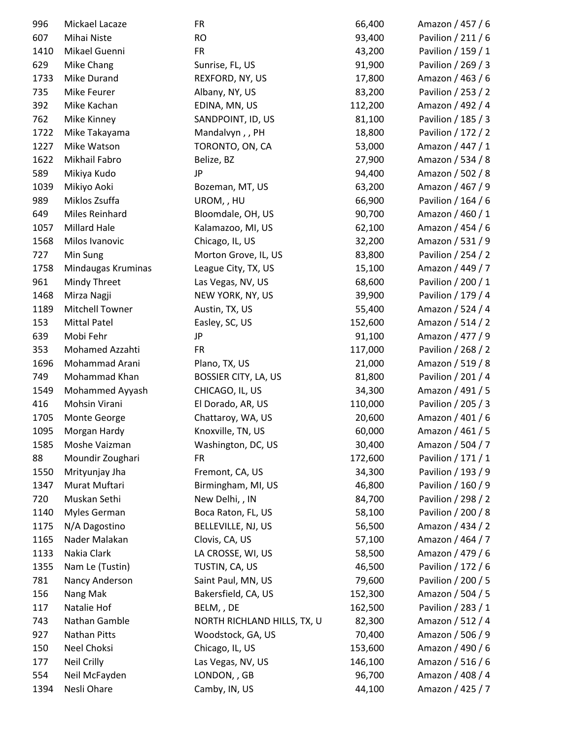| 996  | Mickael Lacaze         | <b>FR</b>                    | 66,400  | Amazon / 457 / 6   |
|------|------------------------|------------------------------|---------|--------------------|
| 607  | Mihai Niste            | <b>RO</b>                    | 93,400  | Pavilion / 211 / 6 |
| 1410 | Mikael Guenni          | <b>FR</b>                    | 43,200  | Pavilion / 159 / 1 |
| 629  | Mike Chang             | Sunrise, FL, US              | 91,900  | Pavilion / 269 / 3 |
| 1733 | Mike Durand            | REXFORD, NY, US              | 17,800  | Amazon / 463 / 6   |
| 735  | Mike Feurer            | Albany, NY, US               | 83,200  | Pavilion / 253 / 2 |
| 392  | Mike Kachan            | EDINA, MN, US                | 112,200 | Amazon / 492 / 4   |
| 762  | Mike Kinney            | SANDPOINT, ID, US            | 81,100  | Pavilion / 185 / 3 |
| 1722 | Mike Takayama          | Mandalvyn, PH                | 18,800  | Pavilion / 172 / 2 |
| 1227 | Mike Watson            | TORONTO, ON, CA              | 53,000  | Amazon / 447 / 1   |
| 1622 | Mikhail Fabro          | Belize, BZ                   | 27,900  | Amazon / 534 / 8   |
| 589  | Mikiya Kudo            | JP                           | 94,400  | Amazon / 502 / 8   |
| 1039 | Mikiyo Aoki            | Bozeman, MT, US              | 63,200  | Amazon / 467 / 9   |
| 989  | Miklos Zsuffa          | UROM,, HU                    | 66,900  | Pavilion / 164 / 6 |
| 649  | Miles Reinhard         | Bloomdale, OH, US            | 90,700  | Amazon / 460 / 1   |
| 1057 | Millard Hale           | Kalamazoo, MI, US            | 62,100  | Amazon / 454 / 6   |
| 1568 | Milos Ivanovic         | Chicago, IL, US              | 32,200  | Amazon / 531 / 9   |
| 727  | Min Sung               | Morton Grove, IL, US         | 83,800  | Pavilion / 254 / 2 |
| 1758 | Mindaugas Kruminas     | League City, TX, US          | 15,100  | Amazon / 449 / 7   |
| 961  | Mindy Threet           | Las Vegas, NV, US            | 68,600  | Pavilion / 200 / 1 |
| 1468 | Mirza Nagji            | NEW YORK, NY, US             | 39,900  | Pavilion / 179 / 4 |
| 1189 | <b>Mitchell Towner</b> | Austin, TX, US               | 55,400  | Amazon / 524 / 4   |
| 153  | <b>Mittal Patel</b>    | Easley, SC, US               | 152,600 | Amazon / 514 / 2   |
| 639  | Mobi Fehr              | JP                           | 91,100  | Amazon / 477 / 9   |
| 353  | Mohamed Azzahti        | <b>FR</b>                    | 117,000 | Pavilion / 268 / 2 |
| 1696 | Mohammad Arani         | Plano, TX, US                | 21,000  | Amazon / 519 / 8   |
| 749  | Mohammad Khan          | BOSSIER CITY, LA, US         | 81,800  | Pavilion / 201 / 4 |
| 1549 | Mohammed Ayyash        | CHICAGO, IL, US              | 34,300  | Amazon / 491 / 5   |
| 416  | Mohsin Virani          | El Dorado, AR, US            | 110,000 | Pavilion / 205 / 3 |
| 1705 | Monte George           | Chattaroy, WA, US            | 20,600  | Amazon / 401 / 6   |
| 1095 | Morgan Hardy           | Knoxville, TN, US            | 60,000  | Amazon / 461 / 5   |
| 1585 | Moshe Vaizman          | Washington, DC, US           | 30,400  | Amazon / 504 / 7   |
| 88   | Moundir Zoughari       | FR.                          | 172,600 | Pavilion / 171 / 1 |
| 1550 | Mrityunjay Jha         | Fremont, CA, US              | 34,300  | Pavilion / 193 / 9 |
| 1347 | Murat Muftari          | Birmingham, MI, US           | 46,800  | Pavilion / 160 / 9 |
| 720  | Muskan Sethi           | New Delhi, , IN              | 84,700  | Pavilion / 298 / 2 |
| 1140 | Myles German           | Boca Raton, FL, US           | 58,100  | Pavilion / 200 / 8 |
| 1175 | N/A Dagostino          | BELLEVILLE, NJ, US           | 56,500  | Amazon / 434 / 2   |
| 1165 | Nader Malakan          | Clovis, CA, US               | 57,100  | Amazon / 464 / 7   |
| 1133 | Nakia Clark            | LA CROSSE, WI, US            | 58,500  | Amazon / 479 / 6   |
| 1355 | Nam Le (Tustin)        | TUSTIN, CA, US               | 46,500  | Pavilion / 172 / 6 |
| 781  |                        | Saint Paul, MN, US           | 79,600  | Pavilion / 200 / 5 |
|      | Nancy Anderson         |                              |         |                    |
| 156  | Nang Mak               | Bakersfield, CA, US          | 152,300 | Amazon / 504 / 5   |
| 117  | Natalie Hof            | BELM, , DE                   | 162,500 | Pavilion / 283 / 1 |
| 743  | Nathan Gamble          | NORTH RICHLAND HILLS, TX, U. | 82,300  | Amazon / 512 / 4   |
| 927  | Nathan Pitts           | Woodstock, GA, US            | 70,400  | Amazon / 506 / 9   |
| 150  | Neel Choksi            | Chicago, IL, US              | 153,600 | Amazon / 490 / 6   |
| 177  | <b>Neil Crilly</b>     | Las Vegas, NV, US            | 146,100 | Amazon / 516 / 6   |
| 554  | Neil McFayden          | LONDON, , GB                 | 96,700  | Amazon / 408 / 4   |
| 1394 | Nesli Ohare            | Camby, IN, US                | 44,100  | Amazon / 425 / 7   |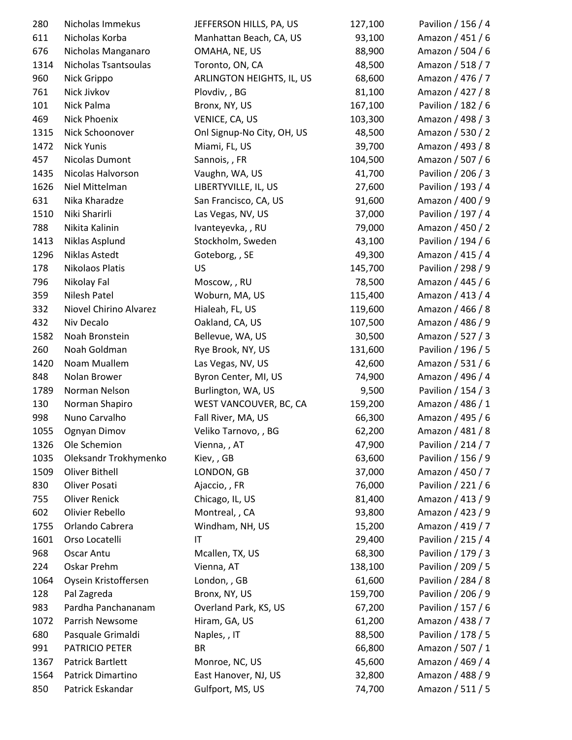| 280  | Nicholas Immekus        | JEFFERSON HILLS, PA, US    | 127,100 | Pavilion / 156 / 4 |
|------|-------------------------|----------------------------|---------|--------------------|
| 611  | Nicholas Korba          | Manhattan Beach, CA, US    | 93,100  | Amazon / 451 / 6   |
| 676  | Nicholas Manganaro      | OMAHA, NE, US              | 88,900  | Amazon / 504 / 6   |
| 1314 | Nicholas Tsantsoulas    | Toronto, ON, CA            | 48,500  | Amazon / 518 / 7   |
| 960  | Nick Grippo             | ARLINGTON HEIGHTS, IL, US  | 68,600  | Amazon / 476 / 7   |
| 761  | Nick Jivkov             | Plovdiv, , BG              | 81,100  | Amazon / 427 / 8   |
| 101  | Nick Palma              | Bronx, NY, US              | 167,100 | Pavilion / 182 / 6 |
| 469  | Nick Phoenix            | VENICE, CA, US             | 103,300 | Amazon / 498 / 3   |
| 1315 | Nick Schoonover         | Onl Signup-No City, OH, US | 48,500  | Amazon / 530 / 2   |
| 1472 | <b>Nick Yunis</b>       | Miami, FL, US              | 39,700  | Amazon / 493 / 8   |
| 457  | Nicolas Dumont          | Sannois, , FR              | 104,500 | Amazon / 507 / 6   |
| 1435 | Nicolas Halvorson       | Vaughn, WA, US             | 41,700  | Pavilion / 206 / 3 |
| 1626 | Niel Mittelman          | LIBERTYVILLE, IL, US       | 27,600  | Pavilion / 193 / 4 |
| 631  | Nika Kharadze           | San Francisco, CA, US      | 91,600  | Amazon / 400 / 9   |
| 1510 | Niki Sharirli           | Las Vegas, NV, US          | 37,000  | Pavilion / 197 / 4 |
| 788  | Nikita Kalinin          | Ivanteyevka,, RU           | 79,000  | Amazon / 450 / 2   |
| 1413 | Niklas Asplund          | Stockholm, Sweden          | 43,100  | Pavilion / 194 / 6 |
| 1296 | Niklas Astedt           | Goteborg, , SE             | 49,300  | Amazon / 415 / 4   |
| 178  | <b>Nikolaos Platis</b>  | US                         | 145,700 | Pavilion / 298 / 9 |
| 796  | Nikolay Fal             | Moscow, , RU               | 78,500  | Amazon / 445 / 6   |
| 359  | Nilesh Patel            | Woburn, MA, US             | 115,400 | Amazon / 413 / 4   |
| 332  | Niovel Chirino Alvarez  | Hialeah, FL, US            | 119,600 | Amazon / 466 / 8   |
| 432  | Niv Decalo              | Oakland, CA, US            | 107,500 | Amazon / 486 / 9   |
| 1582 | Noah Bronstein          | Bellevue, WA, US           | 30,500  | Amazon / 527 / 3   |
| 260  | Noah Goldman            | Rye Brook, NY, US          | 131,600 | Pavilion / 196 / 5 |
| 1420 | Noam Muallem            | Las Vegas, NV, US          | 42,600  | Amazon / 531 / 6   |
| 848  | Nolan Brower            | Byron Center, MI, US       | 74,900  | Amazon / 496 / 4   |
| 1789 | Norman Nelson           | Burlington, WA, US         | 9,500   | Pavilion / 154 / 3 |
| 130  | Norman Shapiro          | WEST VANCOUVER, BC, CA     | 159,200 | Amazon / 486 / 1   |
| 998  | Nuno Carvalho           | Fall River, MA, US         | 66,300  | Amazon / 495 / 6   |
| 1055 | Ognyan Dimov            | Veliko Tarnovo, , BG       | 62,200  | Amazon / 481 / 8   |
| 1326 | Ole Schemion            | Vienna, , AT               | 47,900  | Pavilion / 214 / 7 |
| 1035 | Oleksandr Trokhymenko   | Kiev, , GB                 | 63,600  | Pavilion / 156 / 9 |
| 1509 | Oliver Bithell          | LONDON, GB                 | 37,000  | Amazon / 450 / 7   |
| 830  | Oliver Posati           | Ajaccio, , FR              | 76,000  | Pavilion / 221 / 6 |
| 755  | <b>Oliver Renick</b>    | Chicago, IL, US            | 81,400  | Amazon / 413 / 9   |
| 602  | Olivier Rebello         | Montreal, , CA             | 93,800  | Amazon / 423 / 9   |
| 1755 | Orlando Cabrera         | Windham, NH, US            | 15,200  | Amazon / 419 / 7   |
| 1601 | Orso Locatelli          | IT                         | 29,400  | Pavilion / 215 / 4 |
| 968  | Oscar Antu              | Mcallen, TX, US            | 68,300  | Pavilion / 179 / 3 |
| 224  | Oskar Prehm             | Vienna, AT                 | 138,100 | Pavilion / 209 / 5 |
| 1064 | Oysein Kristoffersen    | London, , GB               | 61,600  | Pavilion / 284 / 8 |
| 128  | Pal Zagreda             | Bronx, NY, US              | 159,700 | Pavilion / 206 / 9 |
| 983  | Pardha Panchananam      | Overland Park, KS, US      | 67,200  | Pavilion / 157 / 6 |
| 1072 | Parrish Newsome         | Hiram, GA, US              | 61,200  | Amazon / 438 / 7   |
| 680  | Pasquale Grimaldi       | Naples, , IT               | 88,500  | Pavilion / 178 / 5 |
| 991  | PATRICIO PETER          | BR                         | 66,800  | Amazon / 507 / 1   |
| 1367 | <b>Patrick Bartlett</b> | Monroe, NC, US             | 45,600  | Amazon / 469 / 4   |
| 1564 | Patrick Dimartino       | East Hanover, NJ, US       | 32,800  | Amazon / 488 / 9   |
| 850  | Patrick Eskandar        | Gulfport, MS, US           | 74,700  | Amazon / 511 / 5   |
|      |                         |                            |         |                    |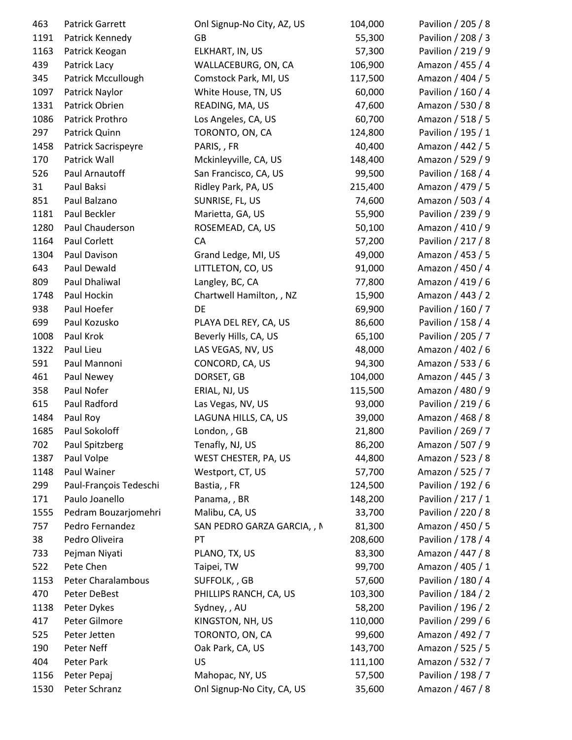| 463  | <b>Patrick Garrett</b>    | Onl Signup-No City, AZ, US  | 104,000 | Pavilion / 205 / 8 |
|------|---------------------------|-----------------------------|---------|--------------------|
| 1191 | Patrick Kennedy           | GB                          | 55,300  | Pavilion / 208 / 3 |
| 1163 | Patrick Keogan            | ELKHART, IN, US             | 57,300  | Pavilion / 219 / 9 |
| 439  | Patrick Lacy              | WALLACEBURG, ON, CA         | 106,900 | Amazon / 455 / 4   |
| 345  | Patrick Mccullough        | Comstock Park, MI, US       | 117,500 | Amazon / 404 / 5   |
| 1097 | Patrick Naylor            | White House, TN, US         | 60,000  | Pavilion / 160 / 4 |
| 1331 | Patrick Obrien            | READING, MA, US             | 47,600  | Amazon / 530 / 8   |
| 1086 | Patrick Prothro           | Los Angeles, CA, US         | 60,700  | Amazon / 518 / 5   |
| 297  | Patrick Quinn             | TORONTO, ON, CA             | 124,800 | Pavilion / 195 / 1 |
| 1458 | Patrick Sacrispeyre       | PARIS, , FR                 | 40,400  | Amazon / 442 / 5   |
| 170  | Patrick Wall              | Mckinleyville, CA, US       | 148,400 | Amazon / 529 / 9   |
| 526  | Paul Arnautoff            | San Francisco, CA, US       | 99,500  | Pavilion / 168 / 4 |
| 31   | Paul Baksi                | Ridley Park, PA, US         | 215,400 | Amazon / 479 / 5   |
| 851  | Paul Balzano              | SUNRISE, FL, US             | 74,600  | Amazon / 503 / 4   |
| 1181 | Paul Beckler              | Marietta, GA, US            | 55,900  | Pavilion / 239 / 9 |
| 1280 | Paul Chauderson           | ROSEMEAD, CA, US            | 50,100  | Amazon / 410 / 9   |
| 1164 | Paul Corlett              | CA                          | 57,200  | Pavilion / 217 / 8 |
| 1304 | Paul Davison              | Grand Ledge, MI, US         | 49,000  | Amazon / 453 / 5   |
| 643  | Paul Dewald               | LITTLETON, CO, US           | 91,000  | Amazon / 450 / 4   |
| 809  | Paul Dhaliwal             | Langley, BC, CA             | 77,800  | Amazon / 419 / 6   |
| 1748 | Paul Hockin               | Chartwell Hamilton, , NZ    | 15,900  | Amazon / 443 / 2   |
| 938  | Paul Hoefer               | DE                          | 69,900  | Pavilion / 160 / 7 |
| 699  | Paul Kozusko              | PLAYA DEL REY, CA, US       | 86,600  | Pavilion / 158 / 4 |
| 1008 | Paul Krok                 | Beverly Hills, CA, US       | 65,100  | Pavilion / 205 / 7 |
| 1322 | Paul Lieu                 | LAS VEGAS, NV, US           | 48,000  | Amazon / 402 / 6   |
| 591  | Paul Mannoni              | CONCORD, CA, US             | 94,300  | Amazon / 533 / 6   |
| 461  | Paul Newey                | DORSET, GB                  | 104,000 | Amazon / 445 / 3   |
| 358  | Paul Nofer                | ERIAL, NJ, US               | 115,500 | Amazon / 480 / 9   |
| 615  | Paul Radford              | Las Vegas, NV, US           | 93,000  | Pavilion / 219 / 6 |
| 1484 | Paul Roy                  | LAGUNA HILLS, CA, US        | 39,000  | Amazon / 468 / 8   |
| 1685 | Paul Sokoloff             | London, , GB                | 21,800  | Pavilion / 269 / 7 |
| 702  | Paul Spitzberg            | Tenafly, NJ, US             | 86,200  | Amazon / 507 / 9   |
| 1387 | Paul Volpe                | WEST CHESTER, PA, US        | 44,800  | Amazon / 523 / 8   |
| 1148 | Paul Wainer               | Westport, CT, US            | 57,700  | Amazon / 525 / 7   |
| 299  | Paul-François Tedeschi    | Bastia,, FR                 | 124,500 | Pavilion / 192 / 6 |
| 171  | Paulo Joanello            | Panama, , BR                | 148,200 | Pavilion / 217 / 1 |
| 1555 | Pedram Bouzarjomehri      | Malibu, CA, US              | 33,700  | Pavilion / 220 / 8 |
| 757  | Pedro Fernandez           | SAN PEDRO GARZA GARCIA, , N | 81,300  | Amazon / 450 / 5   |
| 38   | Pedro Oliveira            | PT.                         | 208,600 | Pavilion / 178 / 4 |
| 733  | Pejman Niyati             | PLANO, TX, US               | 83,300  | Amazon / 447 / 8   |
| 522  | Pete Chen                 | Taipei, TW                  | 99,700  | Amazon / 405 / 1   |
| 1153 | <b>Peter Charalambous</b> | SUFFOLK, , GB               | 57,600  | Pavilion / 180 / 4 |
| 470  | Peter DeBest              | PHILLIPS RANCH, CA, US      | 103,300 | Pavilion / 184 / 2 |
| 1138 | Peter Dykes               | Sydney, , AU                | 58,200  | Pavilion / 196 / 2 |
| 417  | Peter Gilmore             | KINGSTON, NH, US            | 110,000 | Pavilion / 299 / 6 |
| 525  | Peter Jetten              | TORONTO, ON, CA             | 99,600  | Amazon / 492 / 7   |
| 190  | Peter Neff                | Oak Park, CA, US            | 143,700 | Amazon / 525 / 5   |
| 404  | Peter Park                | US                          | 111,100 | Amazon / 532 / 7   |
| 1156 | Peter Pepaj               | Mahopac, NY, US             | 57,500  | Pavilion / 198 / 7 |
| 1530 | Peter Schranz             | Onl Signup-No City, CA, US  | 35,600  | Amazon / 467 / 8   |
|      |                           |                             |         |                    |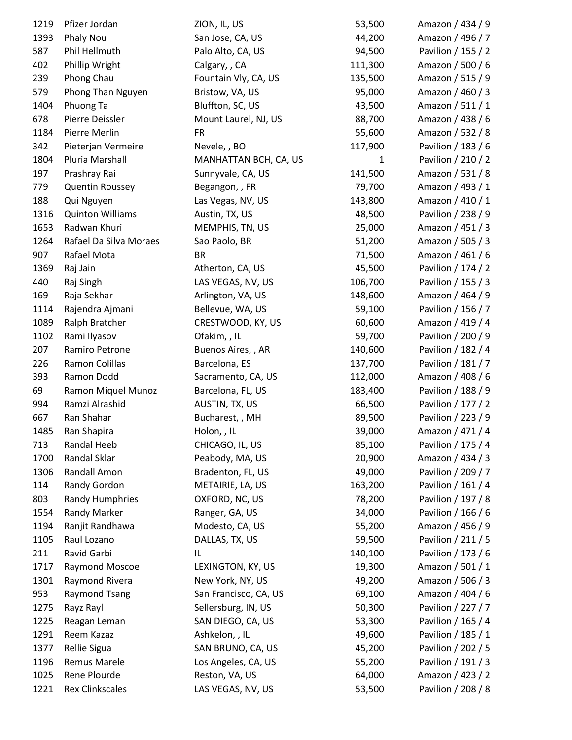| 1219 | Pfizer Jordan           | ZION, IL, US          | 53,500       | Amazon / 434 / 9   |
|------|-------------------------|-----------------------|--------------|--------------------|
| 1393 | Phaly Nou               | San Jose, CA, US      | 44,200       | Amazon / 496 / 7   |
| 587  | Phil Hellmuth           | Palo Alto, CA, US     | 94,500       | Pavilion / 155 / 2 |
| 402  | Phillip Wright          | Calgary, , CA         | 111,300      | Amazon / 500 / 6   |
| 239  | Phong Chau              | Fountain Vly, CA, US  | 135,500      | Amazon / 515 / 9   |
| 579  | Phong Than Nguyen       | Bristow, VA, US       | 95,000       | Amazon / 460 / 3   |
| 1404 | Phuong Ta               | Bluffton, SC, US      | 43,500       | Amazon / 511 / 1   |
| 678  | Pierre Deissler         | Mount Laurel, NJ, US  | 88,700       | Amazon / 438 / 6   |
| 1184 | Pierre Merlin           | <b>FR</b>             | 55,600       | Amazon / 532 / 8   |
| 342  | Pieterjan Vermeire      | Nevele, , BO          | 117,900      | Pavilion / 183 / 6 |
| 1804 | Pluria Marshall         | MANHATTAN BCH, CA, US | $\mathbf{1}$ | Pavilion / 210 / 2 |
| 197  | Prashray Rai            | Sunnyvale, CA, US     | 141,500      | Amazon / 531 / 8   |
| 779  | <b>Quentin Roussey</b>  | Begangon, , FR        | 79,700       | Amazon / 493 / 1   |
| 188  | Qui Nguyen              | Las Vegas, NV, US     | 143,800      | Amazon / 410 / 1   |
| 1316 | <b>Quinton Williams</b> | Austin, TX, US        | 48,500       | Pavilion / 238 / 9 |
| 1653 | Radwan Khuri            | MEMPHIS, TN, US       | 25,000       | Amazon / 451 / 3   |
| 1264 | Rafael Da Silva Moraes  | Sao Paolo, BR         | 51,200       | Amazon / 505 / 3   |
| 907  | Rafael Mota             | <b>BR</b>             | 71,500       | Amazon / 461 / 6   |
| 1369 | Raj Jain                | Atherton, CA, US      | 45,500       | Pavilion / 174 / 2 |
| 440  | Raj Singh               | LAS VEGAS, NV, US     | 106,700      | Pavilion / 155 / 3 |
| 169  | Raja Sekhar             | Arlington, VA, US     | 148,600      | Amazon / 464 / 9   |
| 1114 | Rajendra Ajmani         | Bellevue, WA, US      | 59,100       | Pavilion / 156 / 7 |
| 1089 | Ralph Bratcher          | CRESTWOOD, KY, US     | 60,600       | Amazon / 419 / 4   |
| 1102 | Rami Ilyasov            | Ofakim, , IL          | 59,700       | Pavilion / 200 / 9 |
| 207  | Ramiro Petrone          | Buenos Aires, , AR    | 140,600      | Pavilion / 182 / 4 |
| 226  | Ramon Colillas          | Barcelona, ES         | 137,700      | Pavilion / 181 / 7 |
| 393  | Ramon Dodd              | Sacramento, CA, US    | 112,000      | Amazon / 408 / 6   |
| 69   | Ramon Miquel Munoz      | Barcelona, FL, US     | 183,400      | Pavilion / 188 / 9 |
| 994  | Ramzi Alrashid          | AUSTIN, TX, US        | 66,500       | Pavilion / 177 / 2 |
| 667  | Ran Shahar              | Bucharest, , MH       | 89,500       | Pavilion / 223 / 9 |
| 1485 | Ran Shapira             | Holon, , IL           | 39,000       | Amazon / 471 / 4   |
| 713  | Randal Heeb             | CHICAGO, IL, US       | 85,100       | Pavilion / 175 / 4 |
| 1700 | Randal Sklar            | Peabody, MA, US       | 20,900       | Amazon / 434 / 3   |
| 1306 | Randall Amon            | Bradenton, FL, US     | 49,000       | Pavilion / 209 / 7 |
| 114  | Randy Gordon            | METAIRIE, LA, US      | 163,200      | Pavilion / 161 / 4 |
| 803  | Randy Humphries         | OXFORD, NC, US        | 78,200       | Pavilion / 197 / 8 |
| 1554 | Randy Marker            | Ranger, GA, US        | 34,000       | Pavilion / 166 / 6 |
| 1194 | Ranjit Randhawa         | Modesto, CA, US       | 55,200       | Amazon / 456 / 9   |
| 1105 | Raul Lozano             | DALLAS, TX, US        | 59,500       | Pavilion / 211 / 5 |
| 211  | Ravid Garbi             | IL                    | 140,100      | Pavilion / 173 / 6 |
| 1717 | <b>Raymond Moscoe</b>   | LEXINGTON, KY, US     | 19,300       | Amazon / 501 / 1   |
| 1301 | Raymond Rivera          | New York, NY, US      | 49,200       | Amazon / 506 / 3   |
| 953  | <b>Raymond Tsang</b>    | San Francisco, CA, US | 69,100       | Amazon / 404 / 6   |
| 1275 | Rayz Rayl               | Sellersburg, IN, US   | 50,300       | Pavilion / 227 / 7 |
| 1225 | Reagan Leman            | SAN DIEGO, CA, US     | 53,300       | Pavilion / 165 / 4 |
| 1291 | Reem Kazaz              | Ashkelon, , IL        | 49,600       | Pavilion / 185 / 1 |
| 1377 | Rellie Sigua            | SAN BRUNO, CA, US     | 45,200       | Pavilion / 202 / 5 |
| 1196 | <b>Remus Marele</b>     | Los Angeles, CA, US   | 55,200       | Pavilion / 191 / 3 |
| 1025 | Rene Plourde            | Reston, VA, US        | 64,000       | Amazon / 423 / 2   |
| 1221 | <b>Rex Clinkscales</b>  | LAS VEGAS, NV, US     | 53,500       | Pavilion / 208 / 8 |
|      |                         |                       |              |                    |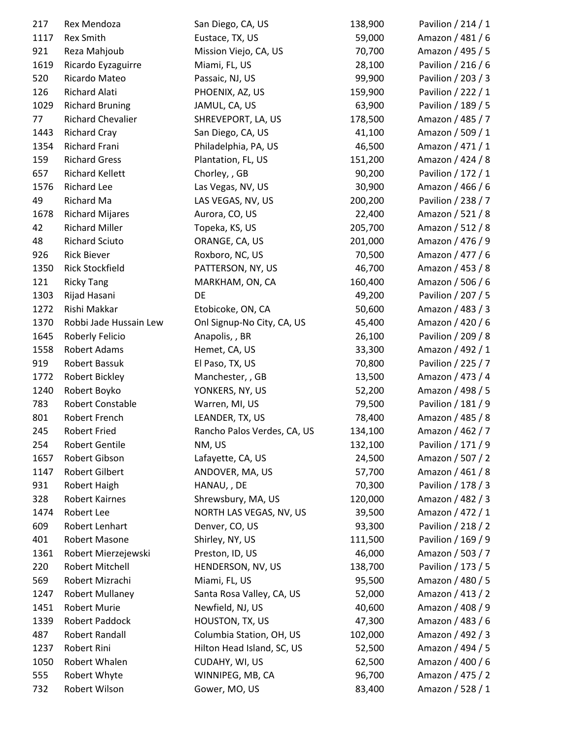| 217  | Rex Mendoza              | San Diego, CA, US           | 138,900 | Pavilion / 214 / 1 |
|------|--------------------------|-----------------------------|---------|--------------------|
| 1117 | <b>Rex Smith</b>         | Eustace, TX, US             | 59,000  | Amazon / 481 / 6   |
| 921  | Reza Mahjoub             | Mission Viejo, CA, US       | 70,700  | Amazon / 495 / 5   |
| 1619 | Ricardo Eyzaguirre       | Miami, FL, US               | 28,100  | Pavilion / 216 / 6 |
| 520  | Ricardo Mateo            | Passaic, NJ, US             | 99,900  | Pavilion / 203 / 3 |
| 126  | Richard Alati            | PHOENIX, AZ, US             | 159,900 | Pavilion / 222 / 1 |
| 1029 | <b>Richard Bruning</b>   | JAMUL, CA, US               | 63,900  | Pavilion / 189 / 5 |
| 77   | <b>Richard Chevalier</b> | SHREVEPORT, LA, US          | 178,500 | Amazon / 485 / 7   |
| 1443 | <b>Richard Cray</b>      | San Diego, CA, US           | 41,100  | Amazon / 509 / 1   |
| 1354 | Richard Frani            | Philadelphia, PA, US        | 46,500  | Amazon / 471 / 1   |
| 159  | <b>Richard Gress</b>     | Plantation, FL, US          | 151,200 | Amazon / 424 / 8   |
| 657  | <b>Richard Kellett</b>   | Chorley, , GB               | 90,200  | Pavilion / 172 / 1 |
| 1576 | <b>Richard Lee</b>       | Las Vegas, NV, US           | 30,900  | Amazon / 466 / 6   |
| 49   | Richard Ma               | LAS VEGAS, NV, US           | 200,200 | Pavilion / 238 / 7 |
| 1678 | <b>Richard Mijares</b>   | Aurora, CO, US              | 22,400  | Amazon / 521 / 8   |
| 42   | <b>Richard Miller</b>    | Topeka, KS, US              | 205,700 | Amazon / 512 / 8   |
| 48   | <b>Richard Sciuto</b>    | ORANGE, CA, US              | 201,000 | Amazon / 476 / 9   |
| 926  | <b>Rick Biever</b>       | Roxboro, NC, US             | 70,500  | Amazon / 477 / 6   |
| 1350 | <b>Rick Stockfield</b>   | PATTERSON, NY, US           | 46,700  | Amazon / 453 / 8   |
| 121  | <b>Ricky Tang</b>        | MARKHAM, ON, CA             | 160,400 | Amazon / 506 / 6   |
| 1303 | Rijad Hasani             | DE                          | 49,200  | Pavilion / 207 / 5 |
| 1272 | Rishi Makkar             | Etobicoke, ON, CA           | 50,600  | Amazon / 483 / 3   |
| 1370 | Robbi Jade Hussain Lew   | Onl Signup-No City, CA, US  | 45,400  | Amazon / 420 / 6   |
| 1645 | Roberly Felicio          | Anapolis, , BR              | 26,100  | Pavilion / 209 / 8 |
| 1558 | Robert Adams             | Hemet, CA, US               | 33,300  | Amazon / 492 / 1   |
| 919  | Robert Bassuk            | El Paso, TX, US             | 70,800  | Pavilion / 225 / 7 |
| 1772 | Robert Bickley           | Manchester, , GB            | 13,500  | Amazon / 473 / 4   |
| 1240 | Robert Boyko             | YONKERS, NY, US             | 52,200  | Amazon / 498 / 5   |
| 783  | Robert Constable         | Warren, MI, US              | 79,500  | Pavilion / 181 / 9 |
| 801  | Robert French            | LEANDER, TX, US             | 78,400  | Amazon / 485 / 8   |
| 245  | <b>Robert Fried</b>      | Rancho Palos Verdes, CA, US | 134,100 | Amazon / 462 / 7   |
| 254  | Robert Gentile           | NM, US                      | 132,100 | Pavilion / 171 / 9 |
| 1657 | Robert Gibson            | Lafayette, CA, US           | 24,500  | Amazon / 507 / 2   |
| 1147 | Robert Gilbert           | ANDOVER, MA, US             | 57,700  | Amazon / 461 / 8   |
| 931  | Robert Haigh             | HANAU, , DE                 | 70,300  | Pavilion / 178 / 3 |
| 328  | Robert Kairnes           | Shrewsbury, MA, US          | 120,000 | Amazon / 482 / 3   |
| 1474 | Robert Lee               | NORTH LAS VEGAS, NV, US     | 39,500  | Amazon / 472 / 1   |
| 609  | Robert Lenhart           | Denver, CO, US              | 93,300  | Pavilion / 218 / 2 |
| 401  | Robert Masone            | Shirley, NY, US             | 111,500 | Pavilion / 169 / 9 |
| 1361 | Robert Mierzejewski      | Preston, ID, US             | 46,000  | Amazon / 503 / 7   |
| 220  | Robert Mitchell          | HENDERSON, NV, US           | 138,700 | Pavilion / 173 / 5 |
| 569  | Robert Mizrachi          | Miami, FL, US               | 95,500  | Amazon / 480 / 5   |
| 1247 | <b>Robert Mullaney</b>   | Santa Rosa Valley, CA, US   | 52,000  | Amazon / 413 / 2   |
| 1451 | <b>Robert Murie</b>      | Newfield, NJ, US            | 40,600  | Amazon / 408 / 9   |
| 1339 | Robert Paddock           | HOUSTON, TX, US             | 47,300  | Amazon / 483 / 6   |
| 487  | Robert Randall           | Columbia Station, OH, US    | 102,000 | Amazon / 492 / 3   |
| 1237 | Robert Rini              | Hilton Head Island, SC, US  | 52,500  | Amazon / 494 / 5   |
| 1050 | Robert Whalen            | CUDAHY, WI, US              | 62,500  | Amazon / 400 / 6   |
| 555  | Robert Whyte             | WINNIPEG, MB, CA            | 96,700  | Amazon / 475 / 2   |
| 732  | Robert Wilson            | Gower, MO, US               | 83,400  | Amazon / 528 / 1   |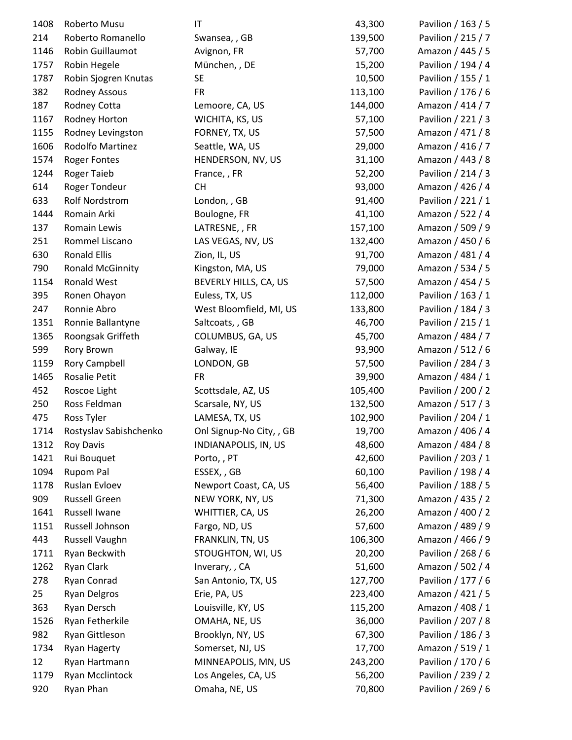| 1408 | Roberto Musu            | IT                       | 43,300  | Pavilion / 163 / 5 |
|------|-------------------------|--------------------------|---------|--------------------|
| 214  | Roberto Romanello       | Swansea, , GB            | 139,500 | Pavilion / 215 / 7 |
| 1146 | Robin Guillaumot        | Avignon, FR              | 57,700  | Amazon / 445 / 5   |
| 1757 | Robin Hegele            | München, , DE            | 15,200  | Pavilion / 194 / 4 |
| 1787 | Robin Sjogren Knutas    | <b>SE</b>                | 10,500  | Pavilion / 155 / 1 |
| 382  | Rodney Assous           | <b>FR</b>                | 113,100 | Pavilion / 176 / 6 |
| 187  | Rodney Cotta            | Lemoore, CA, US          | 144,000 | Amazon / 414 / 7   |
| 1167 | Rodney Horton           | WICHITA, KS, US          | 57,100  | Pavilion / 221 / 3 |
| 1155 | Rodney Levingston       | FORNEY, TX, US           | 57,500  | Amazon / 471 / 8   |
| 1606 | Rodolfo Martinez        | Seattle, WA, US          | 29,000  | Amazon / 416 / 7   |
| 1574 | <b>Roger Fontes</b>     | HENDERSON, NV, US        | 31,100  | Amazon / 443 / 8   |
| 1244 | Roger Taieb             | France, , FR             | 52,200  | Pavilion / 214 / 3 |
| 614  | Roger Tondeur           | <b>CH</b>                | 93,000  | Amazon / 426 / 4   |
| 633  | <b>Rolf Nordstrom</b>   | London, , GB             | 91,400  | Pavilion / 221 / 1 |
| 1444 | Romain Arki             | Boulogne, FR             | 41,100  | Amazon / 522 / 4   |
| 137  | Romain Lewis            | LATRESNE,, FR            | 157,100 | Amazon / 509 / 9   |
| 251  | Rommel Liscano          | LAS VEGAS, NV, US        | 132,400 | Amazon / 450 / 6   |
| 630  | <b>Ronald Ellis</b>     | Zion, IL, US             | 91,700  | Amazon / 481 / 4   |
| 790  | <b>Ronald McGinnity</b> | Kingston, MA, US         | 79,000  | Amazon / 534 / 5   |
| 1154 | <b>Ronald West</b>      | BEVERLY HILLS, CA, US    | 57,500  | Amazon / 454 / 5   |
| 395  | Ronen Ohayon            | Euless, TX, US           | 112,000 | Pavilion / 163 / 1 |
| 247  | Ronnie Abro             | West Bloomfield, MI, US  | 133,800 | Pavilion / 184 / 3 |
| 1351 | Ronnie Ballantyne       | Saltcoats, GB            | 46,700  | Pavilion / 215 / 1 |
| 1365 | Roongsak Griffeth       | COLUMBUS, GA, US         | 45,700  | Amazon / 484 / 7   |
| 599  | Rory Brown              | Galway, IE               | 93,900  | Amazon / 512 / 6   |
| 1159 | Rory Campbell           | LONDON, GB               | 57,500  | Pavilion / 284 / 3 |
| 1465 | Rosalie Petit           | <b>FR</b>                | 39,900  | Amazon / 484 / 1   |
| 452  | Roscoe Light            | Scottsdale, AZ, US       | 105,400 | Pavilion / 200 / 2 |
| 250  | Ross Feldman            | Scarsale, NY, US         | 132,500 | Amazon / 517 / 3   |
| 475  | Ross Tyler              | LAMESA, TX, US           | 102,900 | Pavilion / 204 / 1 |
| 1714 | Rostyslav Sabishchenko  | Onl Signup-No City, , GB | 19,700  | Amazon / 406 / 4   |
| 1312 | <b>Roy Davis</b>        | INDIANAPOLIS, IN, US     | 48,600  | Amazon / 484 / 8   |
| 1421 | Rui Bouquet             | Porto,, PT               | 42,600  | Pavilion / 203 / 1 |
| 1094 | Rupom Pal               | ESSEX, GB                | 60,100  | Pavilion / 198 / 4 |
| 1178 | Ruslan Evloev           | Newport Coast, CA, US    | 56,400  | Pavilion / 188 / 5 |
| 909  | <b>Russell Green</b>    | NEW YORK, NY, US         | 71,300  | Amazon / 435 / 2   |
| 1641 | Russell Iwane           | WHITTIER, CA, US         | 26,200  | Amazon / 400 / 2   |
| 1151 | Russell Johnson         | Fargo, ND, US            | 57,600  | Amazon / 489 / 9   |
| 443  | Russell Vaughn          | FRANKLIN, TN, US         | 106,300 | Amazon / 466 / 9   |
| 1711 | Ryan Beckwith           | STOUGHTON, WI, US        | 20,200  | Pavilion / 268 / 6 |
| 1262 | Ryan Clark              | Inverary, , CA           | 51,600  | Amazon / 502 / 4   |
| 278  | Ryan Conrad             | San Antonio, TX, US      | 127,700 | Pavilion / 177 / 6 |
| 25   | <b>Ryan Delgros</b>     | Erie, PA, US             | 223,400 | Amazon / 421 / 5   |
| 363  | Ryan Dersch             | Louisville, KY, US       | 115,200 | Amazon / 408 / 1   |
| 1526 | Ryan Fetherkile         | OMAHA, NE, US            | 36,000  | Pavilion / 207 / 8 |
| 982  | Ryan Gittleson          | Brooklyn, NY, US         | 67,300  | Pavilion / 186 / 3 |
| 1734 | <b>Ryan Hagerty</b>     | Somerset, NJ, US         | 17,700  | Amazon / 519 / 1   |
| 12   | Ryan Hartmann           | MINNEAPOLIS, MN, US      | 243,200 | Pavilion / 170 / 6 |
| 1179 | Ryan Mcclintock         | Los Angeles, CA, US      | 56,200  | Pavilion / 239 / 2 |
| 920  | Ryan Phan               | Omaha, NE, US            | 70,800  | Pavilion / 269 / 6 |
|      |                         |                          |         |                    |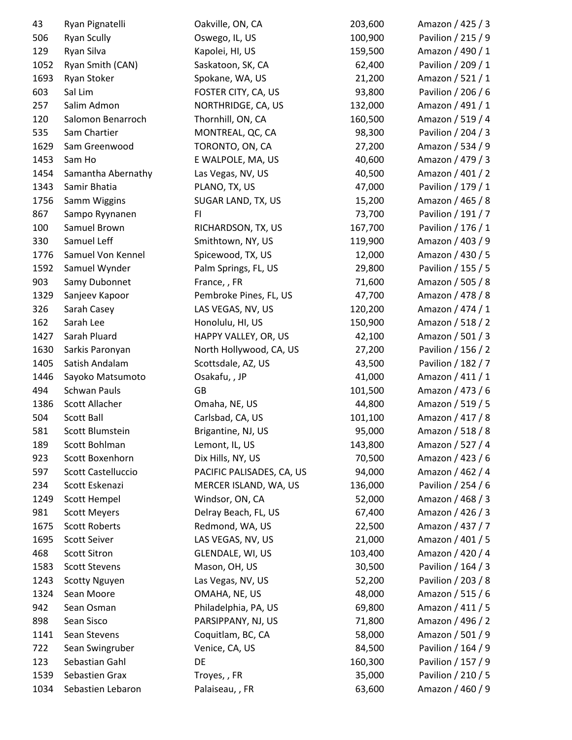| 43   | Ryan Pignatelli       | Oakville, ON, CA          | 203,600 | Amazon / 425 / 3   |
|------|-----------------------|---------------------------|---------|--------------------|
| 506  | <b>Ryan Scully</b>    | Oswego, IL, US            | 100,900 | Pavilion / 215 / 9 |
| 129  | Ryan Silva            | Kapolei, HI, US           | 159,500 | Amazon / 490 / 1   |
| 1052 | Ryan Smith (CAN)      | Saskatoon, SK, CA         | 62,400  | Pavilion / 209 / 1 |
| 1693 | Ryan Stoker           | Spokane, WA, US           | 21,200  | Amazon / 521 / 1   |
| 603  | Sal Lim               | FOSTER CITY, CA, US       | 93,800  | Pavilion / 206 / 6 |
| 257  | Salim Admon           | NORTHRIDGE, CA, US        | 132,000 | Amazon / 491 / 1   |
| 120  | Salomon Benarroch     | Thornhill, ON, CA         | 160,500 | Amazon / 519 / 4   |
| 535  | Sam Chartier          | MONTREAL, QC, CA          | 98,300  | Pavilion / 204 / 3 |
| 1629 | Sam Greenwood         | TORONTO, ON, CA           | 27,200  | Amazon / 534 / 9   |
| 1453 | Sam Ho                | E WALPOLE, MA, US         | 40,600  | Amazon / 479 / 3   |
| 1454 | Samantha Abernathy    | Las Vegas, NV, US         | 40,500  | Amazon / 401 / 2   |
| 1343 | Samir Bhatia          | PLANO, TX, US             | 47,000  | Pavilion / 179 / 1 |
| 1756 | Samm Wiggins          | SUGAR LAND, TX, US        | 15,200  | Amazon / 465 / 8   |
| 867  | Sampo Ryynanen        | FI.                       | 73,700  | Pavilion / 191 / 7 |
| 100  | Samuel Brown          | RICHARDSON, TX, US        | 167,700 | Pavilion / 176 / 1 |
| 330  | Samuel Leff           | Smithtown, NY, US         | 119,900 | Amazon / 403 / 9   |
| 1776 | Samuel Von Kennel     | Spicewood, TX, US         | 12,000  | Amazon / 430 / 5   |
| 1592 | Samuel Wynder         | Palm Springs, FL, US      | 29,800  | Pavilion / 155 / 5 |
| 903  | Samy Dubonnet         | France, , FR              | 71,600  | Amazon / 505 / 8   |
| 1329 | Sanjeev Kapoor        | Pembroke Pines, FL, US    | 47,700  | Amazon / 478 / 8   |
| 326  | Sarah Casey           | LAS VEGAS, NV, US         | 120,200 | Amazon / 474 / 1   |
| 162  | Sarah Lee             | Honolulu, HI, US          | 150,900 | Amazon / 518 / 2   |
| 1427 | Sarah Pluard          | HAPPY VALLEY, OR, US      | 42,100  | Amazon / 501 / 3   |
| 1630 | Sarkis Paronyan       | North Hollywood, CA, US   | 27,200  | Pavilion / 156 / 2 |
| 1405 | Satish Andalam        | Scottsdale, AZ, US        | 43,500  | Pavilion / 182 / 7 |
| 1446 | Sayoko Matsumoto      | Osakafu, , JP             | 41,000  | Amazon / 411 / 1   |
| 494  | <b>Schwan Pauls</b>   | GB                        | 101,500 | Amazon / 473 / 6   |
| 1386 | <b>Scott Allacher</b> | Omaha, NE, US             | 44,800  | Amazon / 519 / 5   |
| 504  | Scott Ball            | Carlsbad, CA, US          | 101,100 | Amazon / 417 / 8   |
| 581  | Scott Blumstein       | Brigantine, NJ, US        | 95,000  | Amazon / 518 / 8   |
| 189  | Scott Bohlman         | Lemont, IL, US            | 143,800 | Amazon / 527 / 4   |
| 923  | Scott Boxenhorn       | Dix Hills, NY, US         | 70,500  | Amazon / 423 / 6   |
| 597  | Scott Castelluccio    | PACIFIC PALISADES, CA, US | 94,000  | Amazon / 462 / 4   |
| 234  | Scott Eskenazi        | MERCER ISLAND, WA, US     | 136,000 | Pavilion / 254 / 6 |
| 1249 | Scott Hempel          | Windsor, ON, CA           | 52,000  | Amazon / 468 / 3   |
| 981  | <b>Scott Meyers</b>   | Delray Beach, FL, US      | 67,400  | Amazon / 426 / 3   |
| 1675 | <b>Scott Roberts</b>  | Redmond, WA, US           | 22,500  | Amazon / 437 / 7   |
| 1695 | Scott Seiver          | LAS VEGAS, NV, US         | 21,000  | Amazon / 401 / 5   |
| 468  | <b>Scott Sitron</b>   | GLENDALE, WI, US          | 103,400 | Amazon / 420 / 4   |
| 1583 | <b>Scott Stevens</b>  | Mason, OH, US             | 30,500  | Pavilion / 164 / 3 |
| 1243 | <b>Scotty Nguyen</b>  | Las Vegas, NV, US         | 52,200  | Pavilion / 203 / 8 |
| 1324 | Sean Moore            | OMAHA, NE, US             | 48,000  | Amazon / 515 / 6   |
| 942  | Sean Osman            | Philadelphia, PA, US      | 69,800  | Amazon / 411 / 5   |
| 898  | Sean Sisco            | PARSIPPANY, NJ, US        | 71,800  | Amazon / 496 / 2   |
| 1141 | Sean Stevens          | Coquitlam, BC, CA         | 58,000  | Amazon / 501 / 9   |
| 722  | Sean Swingruber       | Venice, CA, US            | 84,500  | Pavilion / 164 / 9 |
| 123  | Sebastian Gahl        | DE                        | 160,300 | Pavilion / 157 / 9 |
| 1539 | Sebastien Grax        | Troyes,, FR               | 35,000  | Pavilion / 210 / 5 |
| 1034 | Sebastien Lebaron     | Palaiseau,, FR            | 63,600  | Amazon / 460 / 9   |
|      |                       |                           |         |                    |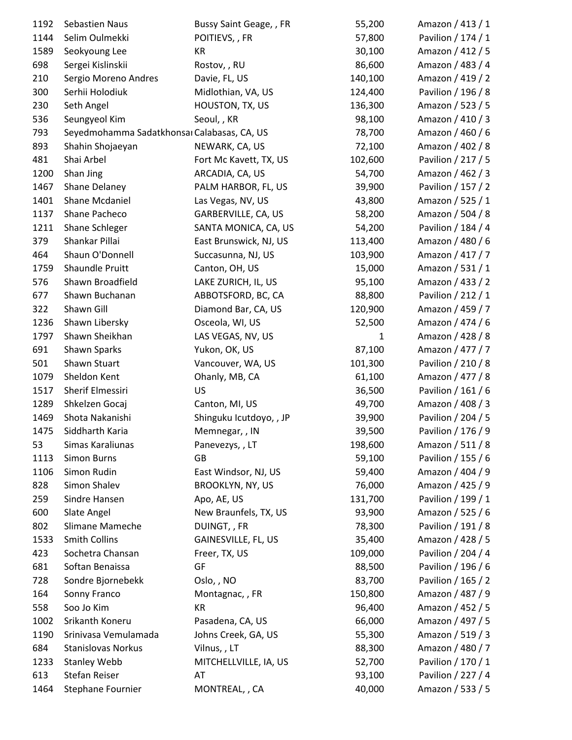| 1192 | Sebastien Naus                              | Bussy Saint Geage, , FR | 55,200       | Amazon / 413 / 1                     |
|------|---------------------------------------------|-------------------------|--------------|--------------------------------------|
| 1144 | Selim Oulmekki                              | POITIEVS, , FR          | 57,800       | Pavilion / 174 / 1                   |
| 1589 | Seokyoung Lee                               | KR                      | 30,100       | Amazon / 412 / 5                     |
| 698  | Sergei Kislinskii                           | Rostov, , RU            | 86,600       | Amazon / 483 / 4                     |
| 210  | Sergio Moreno Andres                        | Davie, FL, US           | 140,100      | Amazon / 419 / 2                     |
| 300  | Serhii Holodiuk                             | Midlothian, VA, US      | 124,400      | Pavilion / 196 / 8                   |
| 230  | Seth Angel                                  | HOUSTON, TX, US         | 136,300      | Amazon / 523 / 5                     |
| 536  | Seungyeol Kim                               | Seoul, , KR             | 98,100       | Amazon / 410 / 3                     |
| 793  | Seyedmohamma Sadatkhonsai Calabasas, CA, US |                         | 78,700       | Amazon / 460 / 6                     |
| 893  | Shahin Shojaeyan                            | NEWARK, CA, US          | 72,100       | Amazon / 402 / 8                     |
| 481  | Shai Arbel                                  | Fort Mc Kavett, TX, US  | 102,600      | Pavilion / 217 / 5                   |
| 1200 | Shan Jing                                   | ARCADIA, CA, US         | 54,700       | Amazon / 462 / 3                     |
| 1467 | Shane Delaney                               | PALM HARBOR, FL, US     | 39,900       | Pavilion / 157 / 2                   |
| 1401 | Shane Mcdaniel                              | Las Vegas, NV, US       | 43,800       | Amazon / 525 / 1                     |
| 1137 | Shane Pacheco                               | GARBERVILLE, CA, US     | 58,200       | Amazon / 504 / 8                     |
| 1211 | Shane Schleger                              | SANTA MONICA, CA, US    | 54,200       | Pavilion / 184 / 4                   |
| 379  | Shankar Pillai                              | East Brunswick, NJ, US  | 113,400      | Amazon / 480 / 6                     |
| 464  | Shaun O'Donnell                             | Succasunna, NJ, US      | 103,900      | Amazon / 417 / 7                     |
| 1759 | Shaundle Pruitt                             | Canton, OH, US          | 15,000       | Amazon / 531 / 1                     |
| 576  | Shawn Broadfield                            | LAKE ZURICH, IL, US     | 95,100       | Amazon / 433 / 2                     |
| 677  | Shawn Buchanan                              | ABBOTSFORD, BC, CA      | 88,800       | Pavilion / 212 / 1                   |
| 322  | Shawn Gill                                  | Diamond Bar, CA, US     | 120,900      | Amazon / 459 / 7                     |
| 1236 | Shawn Libersky                              | Osceola, WI, US         | 52,500       | Amazon / 474 / 6                     |
| 1797 | Shawn Sheikhan                              | LAS VEGAS, NV, US       | $\mathbf{1}$ | Amazon / 428 / 8                     |
| 691  | Shawn Sparks                                | Yukon, OK, US           | 87,100       | Amazon / 477 / 7                     |
| 501  | Shawn Stuart                                | Vancouver, WA, US       | 101,300      | Pavilion / 210 / 8                   |
| 1079 | Sheldon Kent                                | Ohanly, MB, CA          | 61,100       | Amazon / 477 / 8                     |
| 1517 | Sherif Elmessiri                            | US                      | 36,500       | Pavilion / 161 / 6                   |
| 1289 | Shkelzen Gocaj                              | Canton, MI, US          | 49,700       | Amazon / 408 / 3                     |
| 1469 | Shota Nakanishi                             | Shinguku Icutdoyo, , JP | 39,900       | Pavilion / 204 / 5                   |
| 1475 | Siddharth Karia                             | Memnegar, , IN          | 39,500       | Pavilion / 176 / 9                   |
| 53   | Simas Karaliunas                            | Panevezys, , LT         | 198,600      | Amazon / 511 / 8                     |
| 1113 | <b>Simon Burns</b>                          | GB                      | 59,100       | Pavilion / 155 / 6                   |
| 1106 | Simon Rudin                                 | East Windsor, NJ, US    | 59,400       | Amazon / 404 / 9                     |
| 828  | Simon Shalev                                | <b>BROOKLYN, NY, US</b> | 76,000       | Amazon / 425 / 9                     |
| 259  | Sindre Hansen                               | Apo, AE, US             | 131,700      | Pavilion / 199 / 1                   |
| 600  | Slate Angel                                 | New Braunfels, TX, US   | 93,900       | Amazon / 525 / 6                     |
| 802  | Slimane Mameche                             | DUINGT,, FR             | 78,300       | Pavilion / 191 / 8                   |
| 1533 | <b>Smith Collins</b>                        | GAINESVILLE, FL, US     | 35,400       | Amazon / 428 / 5                     |
| 423  | Sochetra Chansan                            | Freer, TX, US           | 109,000      | Pavilion / 204 / 4                   |
| 681  | Softan Benaissa                             | GF                      | 88,500       | Pavilion / 196 / 6                   |
| 728  | Sondre Bjornebekk                           | Oslo, , NO              | 83,700       | Pavilion / 165 / 2                   |
| 164  | Sonny Franco                                | Montagnac, , FR         | 150,800      | Amazon / 487 / 9                     |
| 558  | Soo Jo Kim                                  | KR                      | 96,400       | Amazon / 452 / 5                     |
| 1002 | Srikanth Koneru                             | Pasadena, CA, US        | 66,000       | Amazon / 497 / 5                     |
|      |                                             |                         |              |                                      |
| 1190 | Srinivasa Vemulamada                        | Johns Creek, GA, US     | 55,300       | Amazon / 519 / 3<br>Amazon / 480 / 7 |
| 684  | <b>Stanislovas Norkus</b>                   | Vilnus,, LT             | 88,300       |                                      |
| 1233 | <b>Stanley Webb</b>                         | MITCHELLVILLE, IA, US   | 52,700       | Pavilion / 170 / 1                   |
| 613  | Stefan Reiser                               | AT                      | 93,100       | Pavilion / 227 / 4                   |
| 1464 | Stephane Fournier                           | MONTREAL, , CA          | 40,000       | Amazon / 533 / 5                     |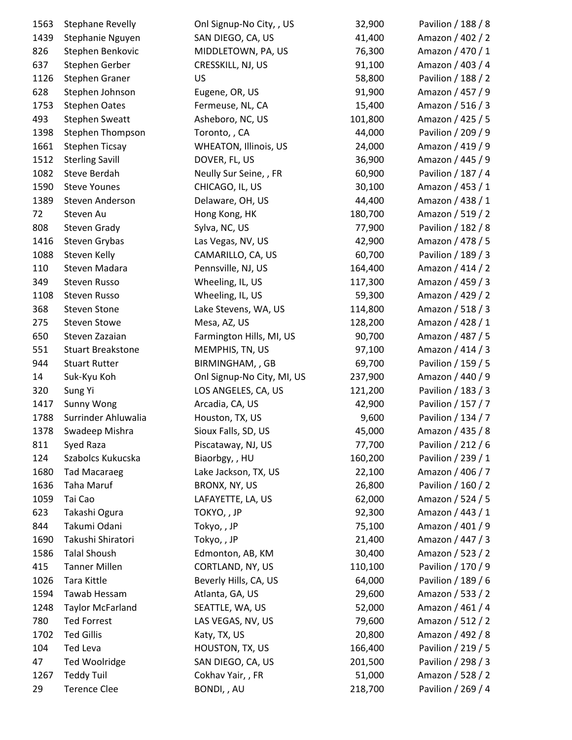| 1563 | <b>Stephane Revelly</b>  | Onl Signup-No City, , US     | 32,900  | Pavilion / 188 / 8 |
|------|--------------------------|------------------------------|---------|--------------------|
| 1439 | Stephanie Nguyen         | SAN DIEGO, CA, US            | 41,400  | Amazon / 402 / 2   |
| 826  | Stephen Benkovic         | MIDDLETOWN, PA, US           | 76,300  | Amazon / 470 / 1   |
| 637  | Stephen Gerber           | CRESSKILL, NJ, US            | 91,100  | Amazon / 403 / 4   |
| 1126 | Stephen Graner           | <b>US</b>                    | 58,800  | Pavilion / 188 / 2 |
| 628  | Stephen Johnson          | Eugene, OR, US               | 91,900  | Amazon / 457 / 9   |
| 1753 | <b>Stephen Oates</b>     | Fermeuse, NL, CA             | 15,400  | Amazon / 516 / 3   |
| 493  | <b>Stephen Sweatt</b>    | Asheboro, NC, US             | 101,800 | Amazon / 425 / 5   |
| 1398 | Stephen Thompson         | Toronto, , CA                | 44,000  | Pavilion / 209 / 9 |
| 1661 | <b>Stephen Ticsay</b>    | <b>WHEATON, Illinois, US</b> | 24,000  | Amazon / 419 / 9   |
| 1512 | <b>Sterling Savill</b>   | DOVER, FL, US                | 36,900  | Amazon / 445 / 9   |
| 1082 | Steve Berdah             | Neully Sur Seine, , FR       | 60,900  | Pavilion / 187 / 4 |
| 1590 | <b>Steve Younes</b>      | CHICAGO, IL, US              | 30,100  | Amazon / 453 / 1   |
| 1389 | Steven Anderson          | Delaware, OH, US             | 44,400  | Amazon / 438 / 1   |
| 72   | Steven Au                | Hong Kong, HK                | 180,700 | Amazon / 519 / 2   |
| 808  | <b>Steven Grady</b>      | Sylva, NC, US                | 77,900  | Pavilion / 182 / 8 |
| 1416 | Steven Grybas            | Las Vegas, NV, US            | 42,900  | Amazon / 478 / 5   |
| 1088 | Steven Kelly             | CAMARILLO, CA, US            | 60,700  | Pavilion / 189 / 3 |
| 110  | Steven Madara            | Pennsville, NJ, US           | 164,400 | Amazon / 414 / 2   |
| 349  | Steven Russo             | Wheeling, IL, US             | 117,300 | Amazon / 459 / 3   |
| 1108 | Steven Russo             | Wheeling, IL, US             | 59,300  | Amazon / 429 / 2   |
| 368  | <b>Steven Stone</b>      | Lake Stevens, WA, US         | 114,800 | Amazon / 518 / 3   |
| 275  | <b>Steven Stowe</b>      | Mesa, AZ, US                 | 128,200 | Amazon / 428 / 1   |
| 650  | Steven Zazaian           | Farmington Hills, MI, US     | 90,700  | Amazon / 487 / 5   |
| 551  | <b>Stuart Breakstone</b> | MEMPHIS, TN, US              | 97,100  | Amazon / 414 / 3   |
| 944  | <b>Stuart Rutter</b>     | BIRMINGHAM, , GB             | 69,700  | Pavilion / 159 / 5 |
| 14   | Suk-Kyu Koh              | Onl Signup-No City, MI, US   | 237,900 | Amazon / 440 / 9   |
| 320  | Sung Yi                  | LOS ANGELES, CA, US          | 121,200 | Pavilion / 183 / 3 |
| 1417 | Sunny Wong               | Arcadia, CA, US              | 42,900  | Pavilion / 157 / 7 |
| 1788 | Surrinder Ahluwalia      | Houston, TX, US              | 9,600   | Pavilion / 134 / 7 |
| 1378 | Swadeep Mishra           | Sioux Falls, SD, US          | 45,000  | Amazon / 435 / 8   |
| 811  | Syed Raza                | Piscataway, NJ, US           | 77,700  | Pavilion / 212 / 6 |
| 124  | Szabolcs Kukucska        | Biaorbgy, , HU               | 160,200 | Pavilion / 239 / 1 |
| 1680 | <b>Tad Macaraeg</b>      | Lake Jackson, TX, US         | 22,100  | Amazon / 406 / 7   |
| 1636 | Taha Maruf               | BRONX, NY, US                | 26,800  | Pavilion / 160 / 2 |
| 1059 | Tai Cao                  | LAFAYETTE, LA, US            | 62,000  | Amazon / 524 / 5   |
| 623  | Takashi Ogura            | TOKYO, , JP                  | 92,300  | Amazon / 443 / 1   |
| 844  | Takumi Odani             | Tokyo, , JP                  | 75,100  | Amazon / 401 / 9   |
| 1690 | Takushi Shiratori        | Tokyo,, JP                   | 21,400  | Amazon / 447 / 3   |
| 1586 | <b>Talal Shoush</b>      | Edmonton, AB, KM             | 30,400  | Amazon / 523 / 2   |
| 415  | <b>Tanner Millen</b>     | CORTLAND, NY, US             | 110,100 | Pavilion / 170 / 9 |
| 1026 | Tara Kittle              | Beverly Hills, CA, US        | 64,000  | Pavilion / 189 / 6 |
| 1594 | Tawab Hessam             | Atlanta, GA, US              | 29,600  | Amazon / 533 / 2   |
| 1248 | <b>Taylor McFarland</b>  | SEATTLE, WA, US              | 52,000  | Amazon / 461 / 4   |
| 780  | <b>Ted Forrest</b>       | LAS VEGAS, NV, US            | 79,600  | Amazon / 512 / 2   |
| 1702 | <b>Ted Gillis</b>        | Katy, TX, US                 | 20,800  | Amazon / 492 / 8   |
| 104  | Ted Leva                 | HOUSTON, TX, US              | 166,400 | Pavilion / 219 / 5 |
| 47   | <b>Ted Woolridge</b>     | SAN DIEGO, CA, US            | 201,500 | Pavilion / 298 / 3 |
| 1267 | <b>Teddy Tuil</b>        | Cokhav Yair,, FR             | 51,000  | Amazon / 528 / 2   |
| 29   | <b>Terence Clee</b>      | BONDI, , AU                  | 218,700 | Pavilion / 269 / 4 |
|      |                          |                              |         |                    |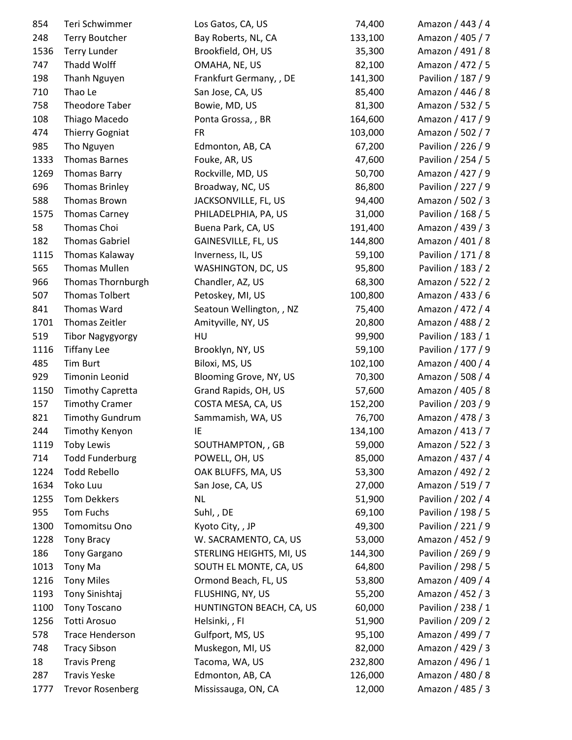| 854  | Teri Schwimmer           | Los Gatos, CA, US        | 74,400  | Amazon / 443 / 4   |
|------|--------------------------|--------------------------|---------|--------------------|
| 248  | <b>Terry Boutcher</b>    | Bay Roberts, NL, CA      | 133,100 | Amazon / 405 / 7   |
| 1536 | <b>Terry Lunder</b>      | Brookfield, OH, US       | 35,300  | Amazon / 491 / 8   |
| 747  | Thadd Wolff              | OMAHA, NE, US            | 82,100  | Amazon / 472 / 5   |
| 198  | Thanh Nguyen             | Frankfurt Germany, , DE  | 141,300 | Pavilion / 187 / 9 |
| 710  | Thao Le                  | San Jose, CA, US         | 85,400  | Amazon / 446 / 8   |
| 758  | <b>Theodore Taber</b>    | Bowie, MD, US            | 81,300  | Amazon / 532 / 5   |
| 108  | Thiago Macedo            | Ponta Grossa, , BR       | 164,600 | Amazon / 417 / 9   |
| 474  | <b>Thierry Gogniat</b>   | FR.                      | 103,000 | Amazon / 502 / 7   |
| 985  | Tho Nguyen               | Edmonton, AB, CA         | 67,200  | Pavilion / 226 / 9 |
| 1333 | <b>Thomas Barnes</b>     | Fouke, AR, US            | 47,600  | Pavilion / 254 / 5 |
| 1269 | <b>Thomas Barry</b>      | Rockville, MD, US        | 50,700  | Amazon / 427 / 9   |
| 696  | <b>Thomas Brinley</b>    | Broadway, NC, US         | 86,800  | Pavilion / 227 / 9 |
| 588  | Thomas Brown             | JACKSONVILLE, FL, US     | 94,400  | Amazon / 502 / 3   |
| 1575 | <b>Thomas Carney</b>     | PHILADELPHIA, PA, US     | 31,000  | Pavilion / 168 / 5 |
| 58   | Thomas Choi              | Buena Park, CA, US       | 191,400 | Amazon / 439 / 3   |
| 182  | <b>Thomas Gabriel</b>    | GAINESVILLE, FL, US      | 144,800 | Amazon / 401 / 8   |
| 1115 | Thomas Kalaway           | Inverness, IL, US        | 59,100  | Pavilion / 171 / 8 |
| 565  | <b>Thomas Mullen</b>     | WASHINGTON, DC, US       | 95,800  | Pavilion / 183 / 2 |
| 966  | <b>Thomas Thornburgh</b> | Chandler, AZ, US         | 68,300  | Amazon / 522 / 2   |
| 507  | <b>Thomas Tolbert</b>    | Petoskey, MI, US         | 100,800 | Amazon / 433 / 6   |
| 841  | Thomas Ward              | Seatoun Wellington, , NZ | 75,400  | Amazon / 472 / 4   |
| 1701 | Thomas Zeitler           | Amityville, NY, US       | 20,800  | Amazon / 488 / 2   |
| 519  | <b>Tibor Nagygyorgy</b>  | HU                       | 99,900  | Pavilion / 183 / 1 |
| 1116 | <b>Tiffany Lee</b>       | Brooklyn, NY, US         | 59,100  | Pavilion / 177 / 9 |
| 485  | <b>Tim Burt</b>          | Biloxi, MS, US           | 102,100 | Amazon / 400 / 4   |
| 929  | Timonin Leonid           | Blooming Grove, NY, US   | 70,300  | Amazon / 508 / 4   |
| 1150 | <b>Timothy Capretta</b>  | Grand Rapids, OH, US     | 57,600  | Amazon / 405 / 8   |
| 157  | <b>Timothy Cramer</b>    | COSTA MESA, CA, US       | 152,200 | Pavilion / 203 / 9 |
| 821  | <b>Timothy Gundrum</b>   | Sammamish, WA, US        | 76,700  | Amazon / 478 / 3   |
| 244  | Timothy Kenyon           | IE                       | 134,100 | Amazon / 413 / 7   |
| 1119 | <b>Toby Lewis</b>        | SOUTHAMPTON, , GB        | 59,000  | Amazon / 522 / 3   |
| 714  | <b>Todd Funderburg</b>   | POWELL, OH, US           | 85,000  | Amazon / 437 / 4   |
| 1224 | <b>Todd Rebello</b>      | OAK BLUFFS, MA, US       | 53,300  | Amazon / 492 / 2   |
| 1634 | Toko Luu                 | San Jose, CA, US         | 27,000  | Amazon / 519 / 7   |
| 1255 | <b>Tom Dekkers</b>       | <b>NL</b>                | 51,900  | Pavilion / 202 / 4 |
| 955  | Tom Fuchs                | Suhl, , DE               | 69,100  | Pavilion / 198 / 5 |
| 1300 | Tomomitsu Ono            | Kyoto City, , JP         | 49,300  | Pavilion / 221 / 9 |
| 1228 | <b>Tony Bracy</b>        | W. SACRAMENTO, CA, US    | 53,000  | Amazon / 452 / 9   |
| 186  | <b>Tony Gargano</b>      | STERLING HEIGHTS, MI, US | 144,300 | Pavilion / 269 / 9 |
| 1013 | Tony Ma                  | SOUTH EL MONTE, CA, US   | 64,800  | Pavilion / 298 / 5 |
| 1216 | <b>Tony Miles</b>        | Ormond Beach, FL, US     | 53,800  | Amazon / 409 / 4   |
| 1193 | Tony Sinishtaj           | FLUSHING, NY, US         | 55,200  | Amazon / 452 / 3   |
| 1100 | <b>Tony Toscano</b>      | HUNTINGTON BEACH, CA, US | 60,000  | Pavilion / 238 / 1 |
| 1256 | Totti Arosuo             | Helsinki,, Fl            | 51,900  | Pavilion / 209 / 2 |
| 578  | <b>Trace Henderson</b>   | Gulfport, MS, US         | 95,100  | Amazon / 499 / 7   |
| 748  | <b>Tracy Sibson</b>      | Muskegon, MI, US         | 82,000  | Amazon / 429 / 3   |
| 18   | <b>Travis Preng</b>      | Tacoma, WA, US           | 232,800 | Amazon / 496 / 1   |
| 287  | <b>Travis Yeske</b>      | Edmonton, AB, CA         | 126,000 | Amazon / 480 / 8   |
| 1777 | <b>Trevor Rosenberg</b>  | Mississauga, ON, CA      | 12,000  | Amazon / 485 / 3   |
|      |                          |                          |         |                    |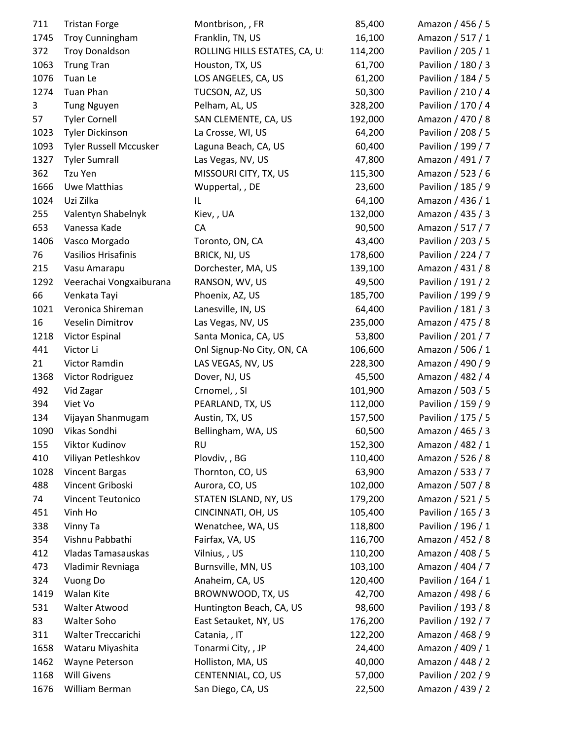| 711  | <b>Tristan Forge</b>          | Montbrison, , FR              | 85,400  | Amazon / 456 / 5   |
|------|-------------------------------|-------------------------------|---------|--------------------|
| 1745 | <b>Troy Cunningham</b>        | Franklin, TN, US              | 16,100  | Amazon / 517 / 1   |
| 372  | <b>Troy Donaldson</b>         | ROLLING HILLS ESTATES, CA, U. | 114,200 | Pavilion / 205 / 1 |
| 1063 | <b>Trung Tran</b>             | Houston, TX, US               | 61,700  | Pavilion / 180 / 3 |
| 1076 | Tuan Le                       | LOS ANGELES, CA, US           | 61,200  | Pavilion / 184 / 5 |
| 1274 | <b>Tuan Phan</b>              | TUCSON, AZ, US                | 50,300  | Pavilion / 210 / 4 |
| 3    | <b>Tung Nguyen</b>            | Pelham, AL, US                | 328,200 | Pavilion / 170 / 4 |
| 57   | <b>Tyler Cornell</b>          | SAN CLEMENTE, CA, US          | 192,000 | Amazon / 470 / 8   |
| 1023 | <b>Tyler Dickinson</b>        | La Crosse, WI, US             | 64,200  | Pavilion / 208 / 5 |
| 1093 | <b>Tyler Russell Mccusker</b> | Laguna Beach, CA, US          | 60,400  | Pavilion / 199 / 7 |
| 1327 | <b>Tyler Sumrall</b>          | Las Vegas, NV, US             | 47,800  | Amazon / 491 / 7   |
| 362  | Tzu Yen                       | MISSOURI CITY, TX, US         | 115,300 | Amazon / 523 / 6   |
| 1666 | Uwe Matthias                  | Wuppertal, , DE               | 23,600  | Pavilion / 185 / 9 |
| 1024 | Uzi Zilka                     | IL                            | 64,100  | Amazon / 436 / 1   |
| 255  | Valentyn Shabelnyk            | Kiev, , UA                    | 132,000 | Amazon / 435 / 3   |
| 653  | Vanessa Kade                  | CA                            | 90,500  | Amazon / 517 / 7   |
| 1406 | Vasco Morgado                 | Toronto, ON, CA               | 43,400  | Pavilion / 203 / 5 |
| 76   | <b>Vasilios Hrisafinis</b>    | BRICK, NJ, US                 | 178,600 | Pavilion / 224 / 7 |
| 215  | Vasu Amarapu                  | Dorchester, MA, US            | 139,100 | Amazon / 431 / 8   |
| 1292 | Veerachai Vongxaiburana       | RANSON, WV, US                | 49,500  | Pavilion / 191 / 2 |
| 66   | Venkata Tayi                  | Phoenix, AZ, US               | 185,700 | Pavilion / 199 / 9 |
| 1021 | Veronica Shireman             | Lanesville, IN, US            | 64,400  | Pavilion / 181 / 3 |
| 16   | Veselin Dimitrov              | Las Vegas, NV, US             | 235,000 | Amazon / 475 / 8   |
| 1218 | Victor Espinal                | Santa Monica, CA, US          | 53,800  | Pavilion / 201 / 7 |
| 441  | Victor Li                     | Onl Signup-No City, ON, CA    | 106,600 | Amazon / 506 / 1   |
| 21   | Victor Ramdin                 | LAS VEGAS, NV, US             | 228,300 | Amazon / 490 / 9   |
| 1368 | Victor Rodriguez              | Dover, NJ, US                 | 45,500  | Amazon / 482 / 4   |
| 492  | Vid Zagar                     | Crnomel, , SI                 | 101,900 | Amazon / 503 / 5   |
| 394  | Viet Vo                       | PEARLAND, TX, US              | 112,000 | Pavilion / 159 / 9 |
| 134  | Vijayan Shanmugam             | Austin, TX, US                | 157,500 | Pavilion / 175 / 5 |
| 1090 | Vikas Sondhi                  | Bellingham, WA, US            | 60,500  | Amazon / 465 / 3   |
| 155  | Viktor Kudinov                | <b>RU</b>                     | 152,300 | Amazon / 482 / 1   |
| 410  | Viliyan Petleshkov            | Plovdiv, , BG                 | 110,400 | Amazon / 526 / 8   |
| 1028 | <b>Vincent Bargas</b>         | Thornton, CO, US              | 63,900  | Amazon / 533 / 7   |
| 488  | Vincent Griboski              | Aurora, CO, US                | 102,000 | Amazon / 507 / 8   |
| 74   | Vincent Teutonico             | STATEN ISLAND, NY, US         | 179,200 | Amazon / 521 / 5   |
| 451  | Vinh Ho                       | CINCINNATI, OH, US            | 105,400 | Pavilion / 165 / 3 |
| 338  | Vinny Ta                      | Wenatchee, WA, US             | 118,800 | Pavilion / 196 / 1 |
| 354  | Vishnu Pabbathi               | Fairfax, VA, US               | 116,700 | Amazon / 452 / 8   |
| 412  | Vladas Tamasauskas            | Vilnius, , US                 | 110,200 | Amazon / 408 / 5   |
| 473  | Vladimir Revniaga             | Burnsville, MN, US            | 103,100 | Amazon / 404 / 7   |
| 324  | <b>Vuong Do</b>               | Anaheim, CA, US               | 120,400 | Pavilion / 164 / 1 |
| 1419 | Walan Kite                    | BROWNWOOD, TX, US             | 42,700  | Amazon / 498 / 6   |
| 531  | Walter Atwood                 | Huntington Beach, CA, US      | 98,600  | Pavilion / 193 / 8 |
| 83   | Walter Soho                   | East Setauket, NY, US         | 176,200 | Pavilion / 192 / 7 |
| 311  | Walter Treccarichi            | Catania, , IT                 | 122,200 | Amazon / 468 / 9   |
| 1658 | Wataru Miyashita              | Tonarmi City, , JP            | 24,400  | Amazon / 409 / 1   |
| 1462 | Wayne Peterson                | Holliston, MA, US             | 40,000  | Amazon / 448 / 2   |
| 1168 | <b>Will Givens</b>            | CENTENNIAL, CO, US            | 57,000  | Pavilion / 202 / 9 |
| 1676 | William Berman                | San Diego, CA, US             | 22,500  | Amazon / 439 / 2   |
|      |                               |                               |         |                    |